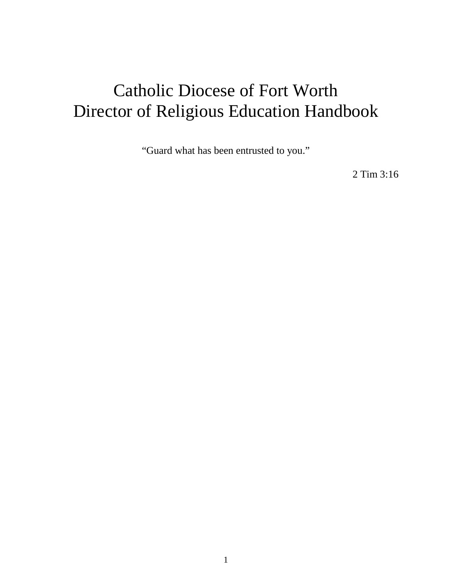# Catholic Diocese of Fort Worth Director of Religious Education Handbook

"Guard what has been entrusted to you."

2 Tim 3:16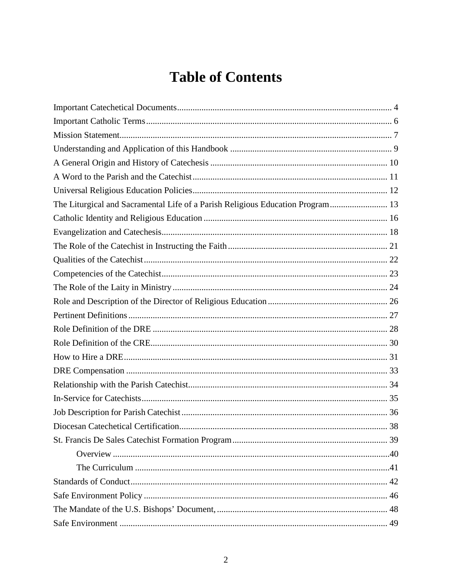# **Table of Contents**

| The Liturgical and Sacramental Life of a Parish Religious Education Program 13 |  |
|--------------------------------------------------------------------------------|--|
|                                                                                |  |
|                                                                                |  |
|                                                                                |  |
|                                                                                |  |
|                                                                                |  |
|                                                                                |  |
|                                                                                |  |
|                                                                                |  |
|                                                                                |  |
|                                                                                |  |
|                                                                                |  |
|                                                                                |  |
|                                                                                |  |
|                                                                                |  |
|                                                                                |  |
|                                                                                |  |
|                                                                                |  |
|                                                                                |  |
|                                                                                |  |
|                                                                                |  |
|                                                                                |  |
|                                                                                |  |
|                                                                                |  |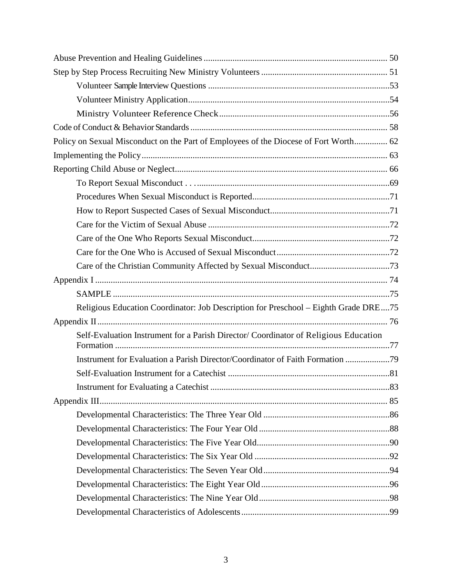| Policy on Sexual Misconduct on the Part of Employees of the Diocese of Fort Worth 62 |
|--------------------------------------------------------------------------------------|
|                                                                                      |
|                                                                                      |
|                                                                                      |
|                                                                                      |
|                                                                                      |
|                                                                                      |
|                                                                                      |
|                                                                                      |
|                                                                                      |
|                                                                                      |
|                                                                                      |
| Religious Education Coordinator: Job Description for Preschool - Eighth Grade DRE75  |
|                                                                                      |
| Self-Evaluation Instrument for a Parish Director/ Coordinator of Religious Education |
| Instrument for Evaluation a Parish Director/Coordinator of Faith Formation           |
|                                                                                      |
|                                                                                      |
|                                                                                      |
|                                                                                      |
|                                                                                      |
|                                                                                      |
|                                                                                      |
|                                                                                      |
|                                                                                      |
|                                                                                      |
|                                                                                      |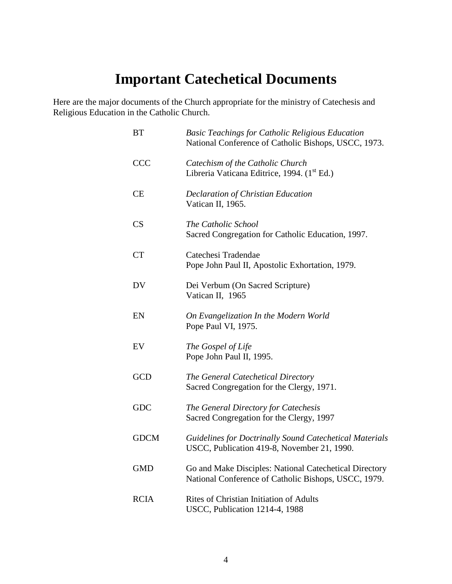## **Important Catechetical Documents**

<span id="page-3-0"></span>Here are the major documents of the Church appropriate for the ministry of Catechesis and Religious Education in the Catholic Church.

| <b>BT</b>   | <b>Basic Teachings for Catholic Religious Education</b><br>National Conference of Catholic Bishops, USCC, 1973. |
|-------------|-----------------------------------------------------------------------------------------------------------------|
| <b>CCC</b>  | Catechism of the Catholic Church<br>Libreria Vaticana Editrice, 1994. (1st Ed.)                                 |
| <b>CE</b>   | <b>Declaration of Christian Education</b><br>Vatican II, 1965.                                                  |
| CS          | The Catholic School<br>Sacred Congregation for Catholic Education, 1997.                                        |
| <b>CT</b>   | Catechesi Tradendae<br>Pope John Paul II, Apostolic Exhortation, 1979.                                          |
| DV          | Dei Verbum (On Sacred Scripture)<br>Vatican II, 1965                                                            |
| EN          | On Evangelization In the Modern World<br>Pope Paul VI, 1975.                                                    |
| EV          | The Gospel of Life<br>Pope John Paul II, 1995.                                                                  |
| <b>GCD</b>  | The General Catechetical Directory<br>Sacred Congregation for the Clergy, 1971.                                 |
| <b>GDC</b>  | The General Directory for Catechesis<br>Sacred Congregation for the Clergy, 1997                                |
| <b>GDCM</b> | Guidelines for Doctrinally Sound Catechetical Materials<br>USCC, Publication 419-8, November 21, 1990.          |
| <b>GMD</b>  | Go and Make Disciples: National Catechetical Directory<br>National Conference of Catholic Bishops, USCC, 1979.  |
| <b>RCIA</b> | Rites of Christian Initiation of Adults<br>USCC, Publication 1214-4, 1988                                       |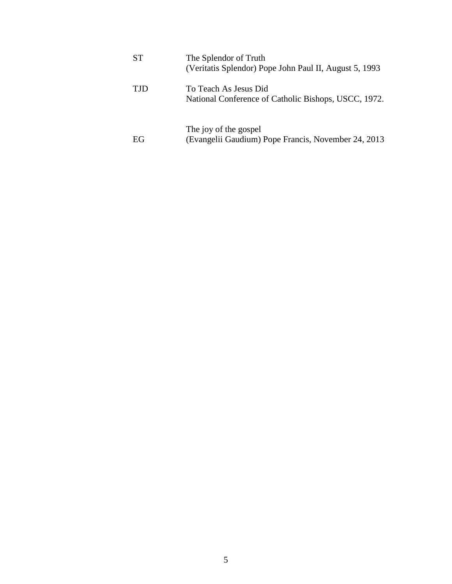| <b>ST</b>  | The Splendor of Truth<br>(Veritatis Splendor) Pope John Paul II, August 5, 1993 |
|------------|---------------------------------------------------------------------------------|
| <b>TJD</b> | To Teach As Jesus Did<br>National Conference of Catholic Bishops, USCC, 1972.   |
| EG         | The joy of the gospel<br>(Evangelii Gaudium) Pope Francis, November 24, 2013    |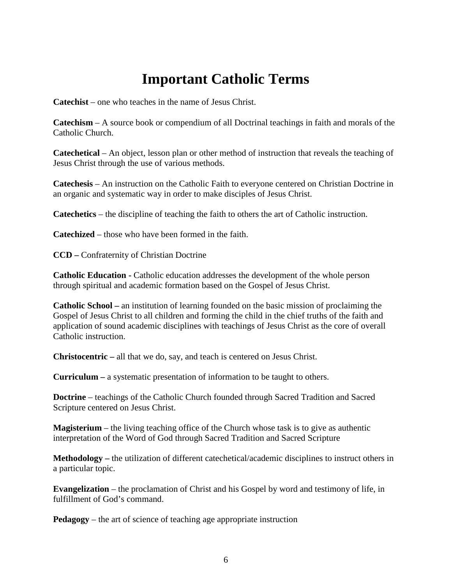## **Important Catholic Terms**

<span id="page-5-0"></span>**Catechist** – one who teaches in the name of Jesus Christ.

**Catechism** – A source book or compendium of all Doctrinal teachings in faith and morals of the Catholic Church.

**Catechetical** – An object, lesson plan or other method of instruction that reveals the teaching of Jesus Christ through the use of various methods.

**Catechesis** – An instruction on the Catholic Faith to everyone centered on Christian Doctrine in an organic and systematic way in order to make disciples of Jesus Christ.

**Catechetics** – the discipline of teaching the faith to others the art of Catholic instruction.

**Catechized** – those who have been formed in the faith.

**CCD –** Confraternity of Christian Doctrine

**Catholic Education -** Catholic education addresses the development of the whole person through spiritual and academic formation based on the Gospel of Jesus Christ.

**Catholic School –** an institution of learning founded on the basic mission of proclaiming the Gospel of Jesus Christ to all children and forming the child in the chief truths of the faith and application of sound academic disciplines with teachings of Jesus Christ as the core of overall Catholic instruction.

**Christocentric –** all that we do, say, and teach is centered on Jesus Christ.

**Curriculum –** a systematic presentation of information to be taught to others.

**Doctrine** – teachings of the Catholic Church founded through Sacred Tradition and Sacred Scripture centered on Jesus Christ.

**Magisterium** – the living teaching office of the Church whose task is to give as authentic interpretation of the Word of God through Sacred Tradition and Sacred Scripture

**Methodology –** the utilization of different catechetical/academic disciplines to instruct others in a particular topic.

**Evangelization** – the proclamation of Christ and his Gospel by word and testimony of life, in fulfillment of God's command.

**Pedagogy** – the art of science of teaching age appropriate instruction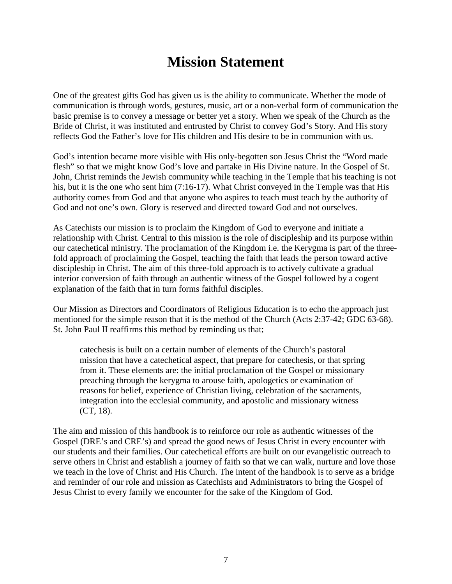## **Mission Statement**

<span id="page-6-0"></span>One of the greatest gifts God has given us is the ability to communicate. Whether the mode of communication is through words, gestures, music, art or a non-verbal form of communication the basic premise is to convey a message or better yet a story. When we speak of the Church as the Bride of Christ, it was instituted and entrusted by Christ to convey God's Story. And His story reflects God the Father's love for His children and His desire to be in communion with us.

God's intention became more visible with His only-begotten son Jesus Christ the "Word made flesh" so that we might know God's love and partake in His Divine nature. In the Gospel of St. John, Christ reminds the Jewish community while teaching in the Temple that his teaching is not his, but it is the one who sent him (7:16-17). What Christ conveyed in the Temple was that His authority comes from God and that anyone who aspires to teach must teach by the authority of God and not one's own. Glory is reserved and directed toward God and not ourselves.

As Catechists our mission is to proclaim the Kingdom of God to everyone and initiate a relationship with Christ. Central to this mission is the role of discipleship and its purpose within our catechetical ministry. The proclamation of the Kingdom i.e. the Kerygma is part of the threefold approach of proclaiming the Gospel, teaching the faith that leads the person toward active discipleship in Christ. The aim of this three-fold approach is to actively cultivate a gradual interior conversion of faith through an authentic witness of the Gospel followed by a cogent explanation of the faith that in turn forms faithful disciples.

Our Mission as Directors and Coordinators of Religious Education is to echo the approach just mentioned for the simple reason that it is the method of the Church (Acts 2:37-42; GDC 63-68). St. John Paul II reaffirms this method by reminding us that;

catechesis is built on a certain number of elements of the Church's pastoral mission that have a catechetical aspect, that prepare for catechesis, or that spring from it. These elements are: the initial proclamation of the Gospel or missionary preaching through the kerygma to arouse faith, apologetics or examination of reasons for belief, experience of Christian living, celebration of the sacraments, integration into the ecclesial community, and apostolic and missionary witness (CT, 18).

The aim and mission of this handbook is to reinforce our role as authentic witnesses of the Gospel (DRE's and CRE's) and spread the good news of Jesus Christ in every encounter with our students and their families. Our catechetical efforts are built on our evangelistic outreach to serve others in Christ and establish a journey of faith so that we can walk, nurture and love those we teach in the love of Christ and His Church. The intent of the handbook is to serve as a bridge and reminder of our role and mission as Catechists and Administrators to bring the Gospel of Jesus Christ to every family we encounter for the sake of the Kingdom of God.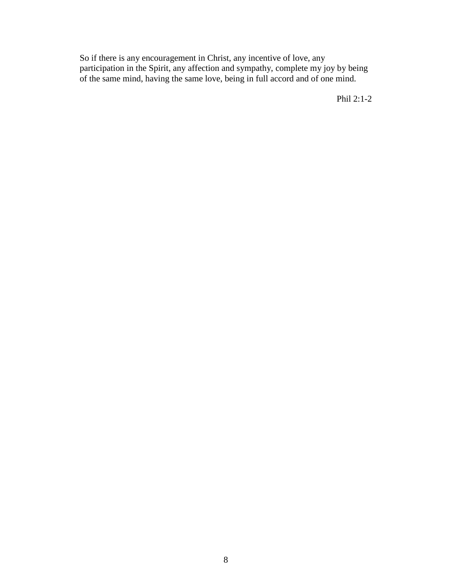So if there is any encouragement in Christ, any incentive of love, any participation in the Spirit, any affection and sympathy, complete my joy by being of the same mind, having the same love, being in full accord and of one mind.

Phil 2:1-2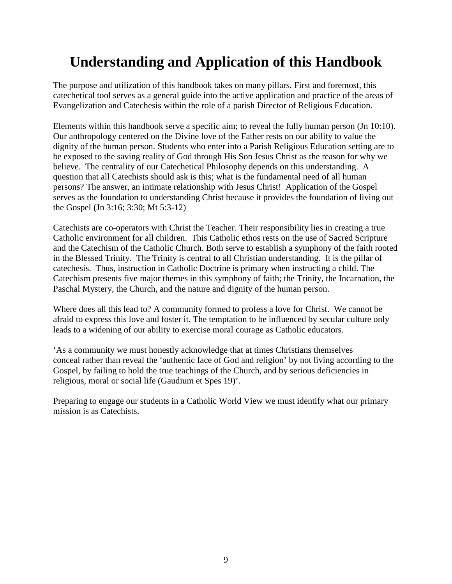## <span id="page-8-0"></span>**Understanding and Application of this Handbook**

The purpose and utilization of this handbook takes on many pillars. First and foremost, this catechetical tool serves as a general guide into the active application and practice of the areas of Evangelization and Catechesis within the role of a parish Director of Religious Education.

Elements within this handbook serve a specific aim; to reveal the fully human person (Jn 10:10). Our anthropology centered on the Divine love of the Father rests on our ability to value the dignity of the human person. Students who enter into a Parish Religious Education setting are to be exposed to the saving reality of God through His Son Jesus Christ as the reason for why we believe. The centrality of our Catechetical Philosophy depends on this understanding. A question that all Catechists should ask is this; what is the fundamental need of all human persons? The answer, an intimate relationship with Jesus Christ! Application of the Gospel serves as the foundation to understanding Christ because it provides the foundation of living out the Gospel (Jn 3:16; 3:30; Mt 5:3-12)

Catechists are co-operators with Christ the Teacher. Their responsibility lies in creating a true Catholic environment for all children. This Catholic ethos rests on the use of Sacred Scripture and the Catechism of the Catholic Church. Both serve to establish a symphony of the faith rooted in the Blessed Trinity. The Trinity is central to all Christian understanding. It is the pillar of catechesis. Thus, instruction in Catholic Doctrine is primary when instructing a child. The Catechism presents five major themes in this symphony of faith; the Trinity, the Incarnation, the Paschal Mystery, the Church, and the nature and dignity of the human person.

Where does all this lead to? A community formed to profess a love for Christ. We cannot be afraid to express this love and foster it. The temptation to be influenced by secular culture only leads to a widening of our ability to exercise moral courage as Catholic educators.

'As a community we must honestly acknowledge that at times Christians themselves conceal rather than reveal the 'authentic face of God and religion' by not living according to the Gospel, by failing to hold the true teachings of the Church, and by serious deficiencies in religious, moral or social life (Gaudium et Spes 19)'.

Preparing to engage our students in a Catholic World View we must identify what our primary mission is as Catechists.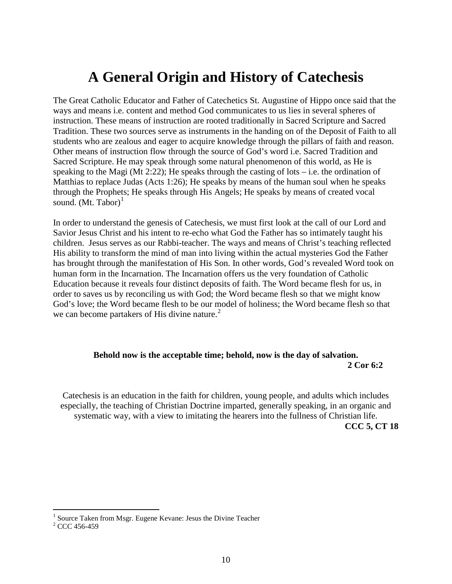## **A General Origin and History of Catechesis**

<span id="page-9-0"></span>The Great Catholic Educator and Father of Catechetics St. Augustine of Hippo once said that the ways and means i.e. content and method God communicates to us lies in several spheres of instruction. These means of instruction are rooted traditionally in Sacred Scripture and Sacred Tradition. These two sources serve as instruments in the handing on of the Deposit of Faith to all students who are zealous and eager to acquire knowledge through the pillars of faith and reason. Other means of instruction flow through the source of God's word i.e. Sacred Tradition and Sacred Scripture. He may speak through some natural phenomenon of this world, as He is speaking to the Magi (Mt 2:22); He speaks through the casting of lots – i.e. the ordination of Matthias to replace Judas (Acts 1:26); He speaks by means of the human soul when he speaks through the Prophets; He speaks through His Angels; He speaks by means of created vocal sound.  $(Mt. Tabor)^{1}$  $(Mt. Tabor)^{1}$  $(Mt. Tabor)^{1}$ 

In order to understand the genesis of Catechesis, we must first look at the call of our Lord and Savior Jesus Christ and his intent to re-echo what God the Father has so intimately taught his children. Jesus serves as our Rabbi-teacher. The ways and means of Christ's teaching reflected His ability to transform the mind of man into living within the actual mysteries God the Father has brought through the manifestation of His Son. In other words, God's revealed Word took on human form in the Incarnation. The Incarnation offers us the very foundation of Catholic Education because it reveals four distinct deposits of faith. The Word became flesh for us, in order to saves us by reconciling us with God; the Word became flesh so that we might know God's love; the Word became flesh to be our model of holiness; the Word became flesh so that we can become partakers of His divine nature. $2^2$  $2^2$ 

### **Behold now is the acceptable time; behold, now is the day of salvation. 2 Cor 6:2**

Catechesis is an education in the faith for children, young people, and adults which includes especially, the teaching of Christian Doctrine imparted, generally speaking, in an organic and systematic way, with a view to imitating the hearers into the fullness of Christian life. **CCC 5, CT 18** 

 $1$  Source Taken from Msgr. Eugene Kevane: Jesus the Divine Teacher

<span id="page-9-2"></span><span id="page-9-1"></span> $2$  CCC 456-459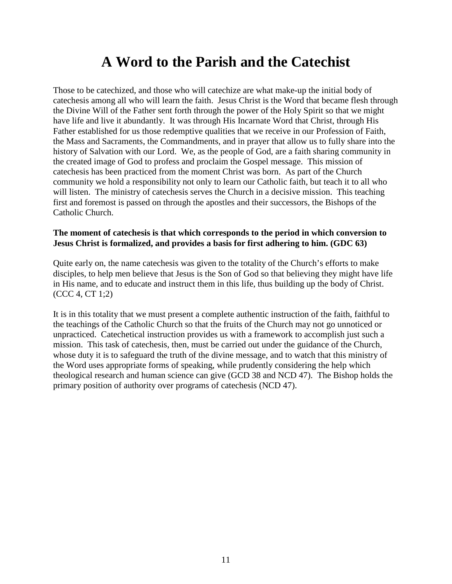## **A Word to the Parish and the Catechist**

<span id="page-10-0"></span>Those to be catechized, and those who will catechize are what make-up the initial body of catechesis among all who will learn the faith. Jesus Christ is the Word that became flesh through the Divine Will of the Father sent forth through the power of the Holy Spirit so that we might have life and live it abundantly. It was through His Incarnate Word that Christ, through His Father established for us those redemptive qualities that we receive in our Profession of Faith, the Mass and Sacraments, the Commandments, and in prayer that allow us to fully share into the history of Salvation with our Lord. We, as the people of God, are a faith sharing community in the created image of God to profess and proclaim the Gospel message. This mission of catechesis has been practiced from the moment Christ was born. As part of the Church community we hold a responsibility not only to learn our Catholic faith, but teach it to all who will listen. The ministry of cate chesis serves the Church in a decisive mission. This teaching first and foremost is passed on through the apostles and their successors, the Bishops of the Catholic Church.

#### **The moment of catechesis is that which corresponds to the period in which conversion to Jesus Christ is formalized, and provides a basis for first adhering to him. (GDC 63)**

Quite early on, the name catechesis was given to the totality of the Church's efforts to make disciples, to help men believe that Jesus is the Son of God so that believing they might have life in His name, and to educate and instruct them in this life, thus building up the body of Christ. (CCC 4, CT 1;2)

It is in this totality that we must present a complete authentic instruction of the faith, faithful to the teachings of the Catholic Church so that the fruits of the Church may not go unnoticed or unpracticed. Catechetical instruction provides us with a framework to accomplish just such a mission. This task of catechesis, then, must be carried out under the guidance of the Church, whose duty it is to safeguard the truth of the divine message, and to watch that this ministry of the Word uses appropriate forms of speaking, while prudently considering the help which theological research and human science can give (GCD 38 and NCD 47). The Bishop holds the primary position of authority over programs of catechesis (NCD 47).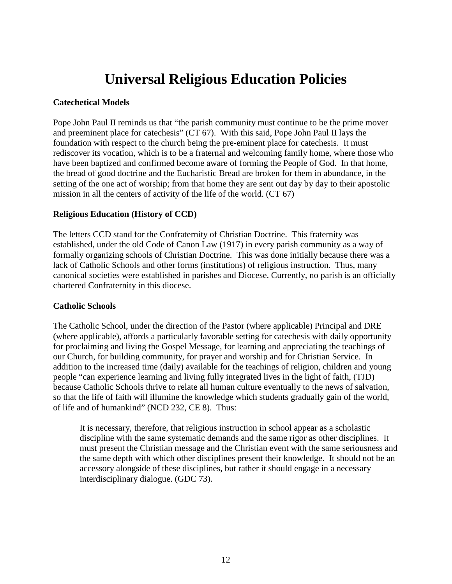## **Universal Religious Education Policies**

#### <span id="page-11-0"></span>**Catechetical Models**

Pope John Paul II reminds us that "the parish community must continue to be the prime mover and preeminent place for catechesis" (CT 67). With this said, Pope John Paul II lays the foundation with respect to the church being the pre-eminent place for catechesis. It must rediscover its vocation, which is to be a fraternal and welcoming family home, where those who have been baptized and confirmed become aware of forming the People of God. In that home, the bread of good doctrine and the Eucharistic Bread are broken for them in abundance, in the setting of the one act of worship; from that home they are sent out day by day to their apostolic mission in all the centers of activity of the life of the world. (CT 67)

#### **Religious Education (History of CCD)**

The letters CCD stand for the Confraternity of Christian Doctrine. This fraternity was established, under the old Code of Canon Law (1917) in every parish community as a way of formally organizing schools of Christian Doctrine. This was done initially because there was a lack of Catholic Schools and other forms (institutions) of religious instruction. Thus, many canonical societies were established in parishes and Diocese. Currently, no parish is an officially chartered Confraternity in this diocese.

#### **Catholic Schools**

The Catholic School, under the direction of the Pastor (where applicable) Principal and DRE (where applicable), affords a particularly favorable setting for catechesis with daily opportunity for proclaiming and living the Gospel Message, for learning and appreciating the teachings of our Church, for building community, for prayer and worship and for Christian Service. In addition to the increased time (daily) available for the teachings of religion, children and young people "can experience learning and living fully integrated lives in the light of faith, (TJD) because Catholic Schools thrive to relate all human culture eventually to the news of salvation, so that the life of faith will illumine the knowledge which students gradually gain of the world, of life and of humankind" (NCD 232, CE 8). Thus:

It is necessary, therefore, that religious instruction in school appear as a scholastic discipline with the same systematic demands and the same rigor as other disciplines. It must present the Christian message and the Christian event with the same seriousness and the same depth with which other disciplines present their knowledge. It should not be an accessory alongside of these disciplines, but rather it should engage in a necessary interdisciplinary dialogue. (GDC 73).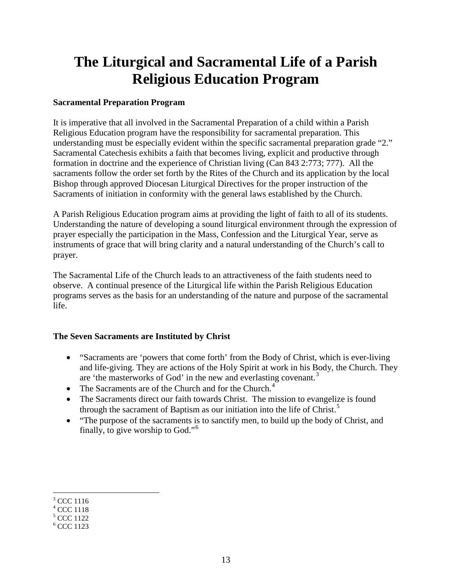## <span id="page-12-0"></span>**The Liturgical and Sacramental Life of a Parish Religious Education Program**

### **Sacramental Preparation Program**

It is imperative that all involved in the Sacramental Preparation of a child within a Parish Religious Education program have the responsibility for sacramental preparation. This understanding must be especially evident within the specific sacramental preparation grade "2." Sacramental Catechesis exhibits a faith that becomes living, explicit and productive through formation in doctrine and the experience of Christian living (Can 843 2:773; 777). All the sacraments follow the order set forth by the Rites of the Church and its application by the local Bishop through approved Diocesan Liturgical Directives for the proper instruction of the Sacraments of initiation in conformity with the general laws established by the Church.

A Parish Religious Education program aims at providing the light of faith to all of its students. Understanding the nature of developing a sound liturgical environment through the expression of prayer especially the participation in the Mass, Confession and the Liturgical Year, serve as instruments of grace that will bring clarity and a natural understanding of the Church's call to prayer.

The Sacramental Life of the Church leads to an attractiveness of the faith students need to observe. A continual presence of the Liturgical life within the Parish Religious Education programs serves as the basis for an understanding of the nature and purpose of the sacramental life.

### **The Seven Sacraments are Instituted by Christ**

- "Sacraments are 'powers that come forth' from the Body of Christ, which is ever-living and life-giving. They are actions of the Holy Spirit at work in his Body, the Church. They are 'the masterworks of God' in the new and everlasting covenant.<sup>[3](#page-12-1)</sup>
- The Sacraments are of the Church and for the Church.<sup>[4](#page-12-2)</sup>
- The Sacraments direct our faith towards Christ. The mission to evangelize is found through the sacrament of Baptism as our initiation into the life of Christ.<sup>[5](#page-12-3)</sup>
- "The purpose of the sacraments is to sanctify men, to build up the body of Christ, and finally, to give worship to God."<sup>[6](#page-12-4)</sup>

<span id="page-12-1"></span> $3$  CCC 1116

<span id="page-12-2"></span><sup>4</sup> CCC 1118

<span id="page-12-3"></span> $5$  CCC 1122

<span id="page-12-4"></span> $<sup>6</sup>$  CCC 1123</sup>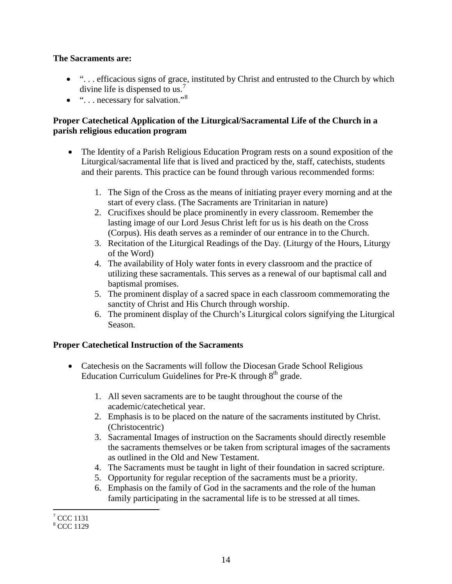#### **The Sacraments are:**

- "... efficacious signs of grace, instituted by Christ and entrusted to the Church by which divine life is dispensed to us.<sup>[7](#page-13-0)</sup>
- $\bullet$  "... necessary for salvation."<sup>[8](#page-13-1)</sup>

### **Proper Catechetical Application of the Liturgical/Sacramental Life of the Church in a parish religious education program**

- The Identity of a Parish Religious Education Program rests on a sound exposition of the Liturgical/sacramental life that is lived and practiced by the, staff, catechists, students and their parents. This practice can be found through various recommended forms:
	- 1. The Sign of the Cross as the means of initiating prayer every morning and at the start of every class. (The Sacraments are Trinitarian in nature)
	- 2. Crucifixes should be place prominently in every classroom. Remember the lasting image of our Lord Jesus Christ left for us is his death on the Cross (Corpus). His death serves as a reminder of our entrance in to the Church.
	- 3. Recitation of the Liturgical Readings of the Day. (Liturgy of the Hours, Liturgy of the Word)
	- 4. The availability of Holy water fonts in every classroom and the practice of utilizing these sacramentals. This serves as a renewal of our baptismal call and baptismal promises.
	- 5. The prominent display of a sacred space in each classroom commemorating the sanctity of Christ and His Church through worship.
	- 6. The prominent display of the Church's Liturgical colors signifying the Liturgical Season.

### **Proper Catechetical Instruction of the Sacraments**

- Catechesis on the Sacraments will follow the Diocesan Grade School Religious Education Curriculum Guidelines for Pre-K through  $8<sup>th</sup>$  grade.
	- 1. All seven sacraments are to be taught throughout the course of the academic/catechetical year.
	- 2. Emphasis is to be placed on the nature of the sacraments instituted by Christ. (Christocentric)
	- 3. Sacramental Images of instruction on the Sacraments should directly resemble the sacraments themselves or be taken from scriptural images of the sacraments as outlined in the Old and New Testament.
	- 4. The Sacraments must be taught in light of their foundation in sacred scripture.
	- 5. Opportunity for regular reception of the sacraments must be a priority.
	- 6. Emphasis on the family of God in the sacraments and the role of the human family participating in the sacramental life is to be stressed at all times.

<span id="page-13-0"></span> $<sup>7</sup>$  CCC 1131</sup>

<span id="page-13-1"></span><sup>&</sup>lt;sup>8</sup> CCC 1129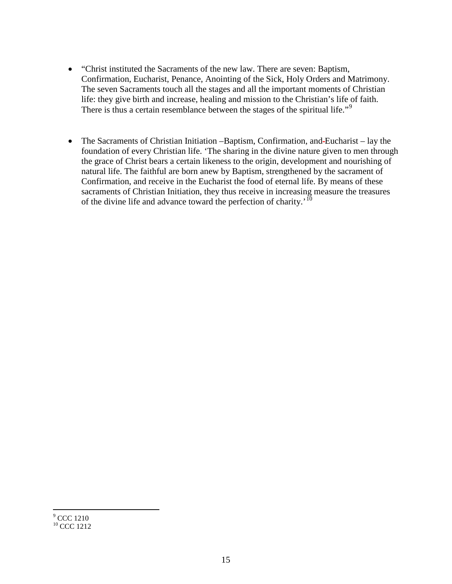- "Christ instituted the Sacraments of the new law. There are seven: Baptism, Confirmation, Eucharist, Penance, Anointing of the Sick, Holy Orders and Matrimony. The seven Sacraments touch all the stages and all the important moments of Christian life: they give birth and increase, healing and mission to the Christian's life of faith. There is thus a certain resemblance between the stages of the spiritual life.<sup>"[9](#page-14-0)</sup>
- The Sacraments of Christian Initiation –Baptism, Confirmation, and-Eucharist lay the foundation of every Christian life. 'The sharing in the divine nature given to men through the grace of Christ bears a certain likeness to the origin, development and nourishing of natural life. The faithful are born anew by Baptism, strengthened by the sacrament of Confirmation, and receive in the Eucharist the food of eternal life. By means of these sacraments of Christian Initiation, they thus receive in increasing measure the treasures of the divine life and advance toward the perfection of charity.<sup>'[10](#page-14-1)</sup>

<span id="page-14-1"></span><span id="page-14-0"></span> $<sup>9</sup>$  CCC 1210</sup> <sup>10</sup> CCC 1212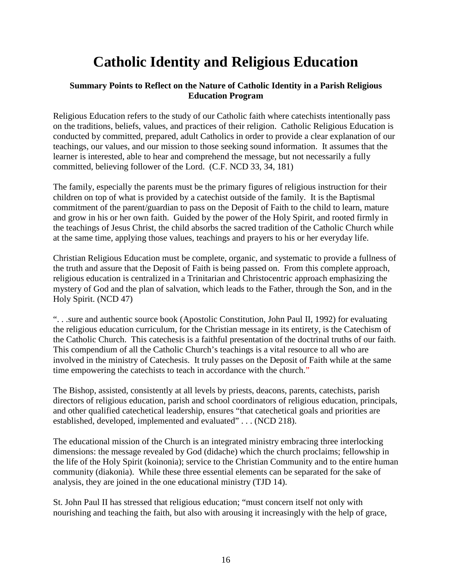## **Catholic Identity and Religious Education**

### <span id="page-15-0"></span>**Summary Points to Reflect on the Nature of Catholic Identity in a Parish Religious Education Program**

Religious Education refers to the study of our Catholic faith where catechists intentionally pass on the traditions, beliefs, values, and practices of their religion. Catholic Religious Education is conducted by committed, prepared, adult Catholics in order to provide a clear explanation of our teachings, our values, and our mission to those seeking sound information. It assumes that the learner is interested, able to hear and comprehend the message, but not necessarily a fully committed, believing follower of the Lord. (C.F. NCD 33, 34, 181)

The family, especially the parents must be the primary figures of religious instruction for their children on top of what is provided by a catechist outside of the family. It is the Baptismal commitment of the parent/guardian to pass on the Deposit of Faith to the child to learn, mature and grow in his or her own faith. Guided by the power of the Holy Spirit, and rooted firmly in the teachings of Jesus Christ, the child absorbs the sacred tradition of the Catholic Church while at the same time, applying those values, teachings and prayers to his or her everyday life.

Christian Religious Education must be complete, organic, and systematic to provide a fullness of the truth and assure that the Deposit of Faith is being passed on. From this complete approach, religious education is centralized in a Trinitarian and Christocentric approach emphasizing the mystery of God and the plan of salvation, which leads to the Father, through the Son, and in the Holy Spirit. (NCD 47)

". . .sure and authentic source book (Apostolic Constitution, John Paul II, 1992) for evaluating the religious education curriculum, for the Christian message in its entirety, is the Catechism of the Catholic Church. This catechesis is a faithful presentation of the doctrinal truths of our faith. This compendium of all the Catholic Church's teachings is a vital resource to all who are involved in the ministry of Catechesis. It truly passes on the Deposit of Faith while at the same time empowering the catechists to teach in accordance with the church."

The Bishop, assisted, consistently at all levels by priests, deacons, parents, catechists, parish directors of religious education, parish and school coordinators of religious education, principals, and other qualified catechetical leadership, ensures "that catechetical goals and priorities are established, developed, implemented and evaluated" . . . (NCD 218).

The educational mission of the Church is an integrated ministry embracing three interlocking dimensions: the message revealed by God (didache) which the church proclaims; fellowship in the life of the Holy Spirit (koinonia); service to the Christian Community and to the entire human community (diakonia). While these three essential elements can be separated for the sake of analysis, they are joined in the one educational ministry (TJD 14).

St. John Paul II has stressed that religious education; "must concern itself not only with nourishing and teaching the faith, but also with arousing it increasingly with the help of grace,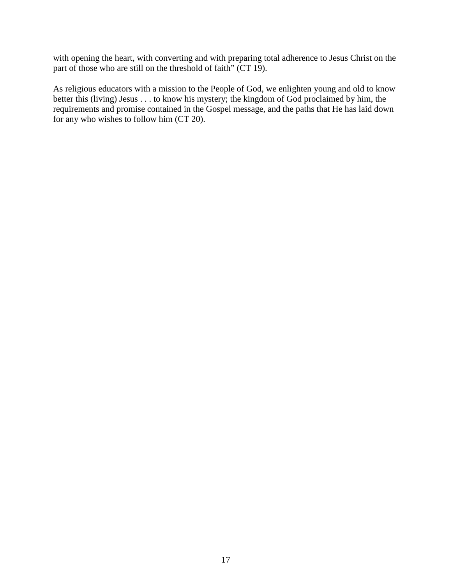with opening the heart, with converting and with preparing total adherence to Jesus Christ on the part of those who are still on the threshold of faith" (CT 19).

As religious educators with a mission to the People of God, we enlighten young and old to know better this (living) Jesus . . . to know his mystery; the kingdom of God proclaimed by him, the requirements and promise contained in the Gospel message, and the paths that He has laid down for any who wishes to follow him (CT 20).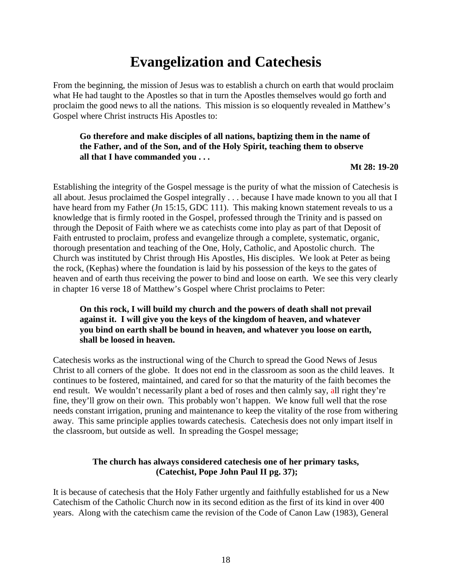## **Evangelization and Catechesis**

<span id="page-17-0"></span>From the beginning, the mission of Jesus was to establish a church on earth that would proclaim what He had taught to the Apostles so that in turn the Apostles themselves would go forth and proclaim the good news to all the nations. This mission is so eloquently revealed in Matthew's Gospel where Christ instructs His Apostles to:

### **Go therefore and make disciples of all nations, baptizing them in the name of the Father, and of the Son, and of the Holy Spirit, teaching them to observe all that I have commanded you . . .**

**Mt 28: 19-20**

Establishing the integrity of the Gospel message is the purity of what the mission of Catechesis is all about. Jesus proclaimed the Gospel integrally . . . because I have made known to you all that I have heard from my Father (Jn 15:15, GDC 111). This making known statement reveals to us a knowledge that is firmly rooted in the Gospel, professed through the Trinity and is passed on through the Deposit of Faith where we as catechists come into play as part of that Deposit of Faith entrusted to proclaim, profess and evangelize through a complete, systematic, organic, thorough presentation and teaching of the One, Holy, Catholic, and Apostolic church. The Church was instituted by Christ through His Apostles, His disciples. We look at Peter as being the rock, (Kephas) where the foundation is laid by his possession of the keys to the gates of heaven and of earth thus receiving the power to bind and loose on earth. We see this very clearly in chapter 16 verse 18 of Matthew's Gospel where Christ proclaims to Peter:

### **On this rock, I will build my church and the powers of death shall not prevail against it. I will give you the keys of the kingdom of heaven, and whatever you bind on earth shall be bound in heaven, and whatever you loose on earth, shall be loosed in heaven.**

Catechesis works as the instructional wing of the Church to spread the Good News of Jesus Christ to all corners of the globe. It does not end in the classroom as soon as the child leaves. It continues to be fostered, maintained, and cared for so that the maturity of the faith becomes the end result. We wouldn't necessarily plant a bed of roses and then calmly say, all right they're fine, they'll grow on their own. This probably won't happen. We know full well that the rose needs constant irrigation, pruning and maintenance to keep the vitality of the rose from withering away. This same principle applies towards catechesis. Catechesis does not only impart itself in the classroom, but outside as well. In spreading the Gospel message;

### **The church has always considered catechesis one of her primary tasks, (Catechist, Pope John Paul II pg. 37);**

It is because of catechesis that the Holy Father urgently and faithfully established for us a New Catechism of the Catholic Church now in its second edition as the first of its kind in over 400 years. Along with the catechism came the revision of the Code of Canon Law (1983), General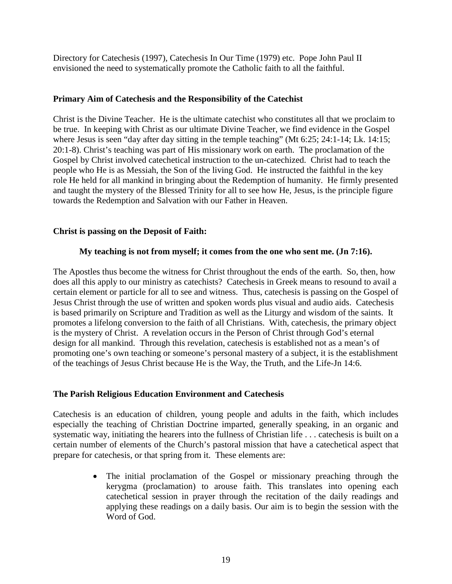Directory for Catechesis (1997), Catechesis In Our Time (1979) etc. Pope John Paul II envisioned the need to systematically promote the Catholic faith to all the faithful.

### **Primary Aim of Catechesis and the Responsibility of the Catechist**

Christ is the Divine Teacher. He is the ultimate catechist who constitutes all that we proclaim to be true. In keeping with Christ as our ultimate Divine Teacher, we find evidence in the Gospel where Jesus is seen "day after day sitting in the temple teaching" (Mt 6:25; 24:1-14; Lk. 14:15; 20:1-8). Christ's teaching was part of His missionary work on earth. The proclamation of the Gospel by Christ involved catechetical instruction to the un-catechized. Christ had to teach the people who He is as Messiah, the Son of the living God. He instructed the faithful in the key role He held for all mankind in bringing about the Redemption of humanity. He firmly presented and taught the mystery of the Blessed Trinity for all to see how He, Jesus, is the principle figure towards the Redemption and Salvation with our Father in Heaven.

### **Christ is passing on the Deposit of Faith:**

#### **My teaching is not from myself; it comes from the one who sent me. (Jn 7:16).**

The Apostles thus become the witness for Christ throughout the ends of the earth. So, then, how does all this apply to our ministry as catechists? Catechesis in Greek means to resound to avail a certain element or particle for all to see and witness. Thus, catechesis is passing on the Gospel of Jesus Christ through the use of written and spoken words plus visual and audio aids. Catechesis is based primarily on Scripture and Tradition as well as the Liturgy and wisdom of the saints. It promotes a lifelong conversion to the faith of all Christians. With, catechesis, the primary object is the mystery of Christ. A revelation occurs in the Person of Christ through God's eternal design for all mankind. Through this revelation, catechesis is established not as a mean's of promoting one's own teaching or someone's personal mastery of a subject, it is the establishment of the teachings of Jesus Christ because He is the Way, the Truth, and the Life-Jn 14:6.

#### **The Parish Religious Education Environment and Catechesis**

Catechesis is an education of children, young people and adults in the faith, which includes especially the teaching of Christian Doctrine imparted, generally speaking, in an organic and systematic way, initiating the hearers into the fullness of Christian life . . . catechesis is built on a certain number of elements of the Church's pastoral mission that have a catechetical aspect that prepare for catechesis, or that spring from it. These elements are:

> • The initial proclamation of the Gospel or missionary preaching through the kerygma (proclamation) to arouse faith. This translates into opening each catechetical session in prayer through the recitation of the daily readings and applying these readings on a daily basis. Our aim is to begin the session with the Word of God.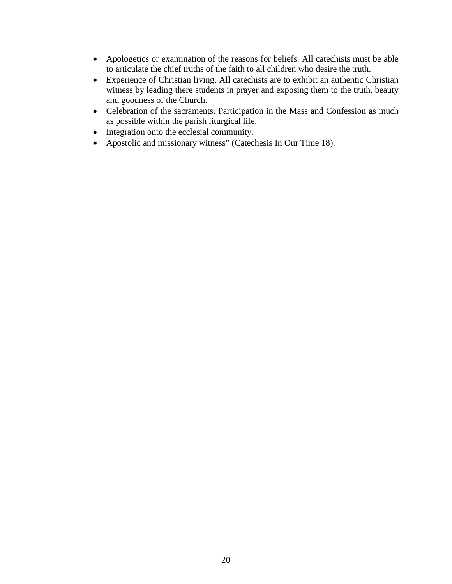- Apologetics or examination of the reasons for beliefs. All catechists must be able to articulate the chief truths of the faith to all children who desire the truth.
- Experience of Christian living. All catechists are to exhibit an authentic Christian witness by leading there students in prayer and exposing them to the truth, beauty and goodness of the Church.
- Celebration of the sacraments. Participation in the Mass and Confession as much as possible within the parish liturgical life.
- Integration onto the ecclesial community.
- Apostolic and missionary witness" (Catechesis In Our Time 18).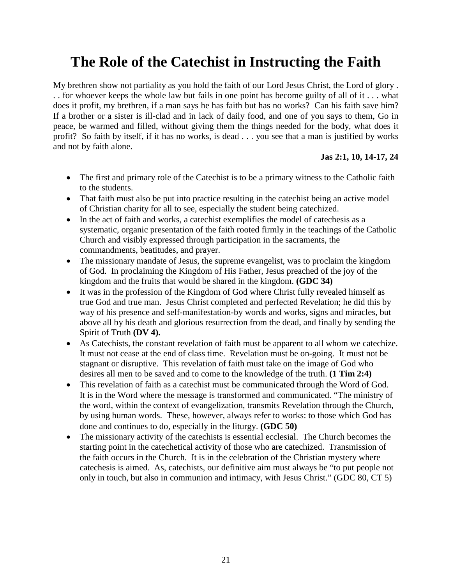## <span id="page-20-0"></span>**The Role of the Catechist in Instructing the Faith**

My brethren show not partiality as you hold the faith of our Lord Jesus Christ, the Lord of glory . . . for whoever keeps the whole law but fails in one point has become guilty of all of it . . . what does it profit, my brethren, if a man says he has faith but has no works? Can his faith save him? If a brother or a sister is ill-clad and in lack of daily food, and one of you says to them, Go in peace, be warmed and filled, without giving them the things needed for the body, what does it profit? So faith by itself, if it has no works, is dead . . . you see that a man is justified by works and not by faith alone.

### **Jas 2:1, 10, 14-17, 24**

- The first and primary role of the Catechist is to be a primary witness to the Catholic faith to the students.
- That faith must also be put into practice resulting in the cate chist being an active model of Christian charity for all to see, especially the student being catechized.
- In the act of faith and works, a catechist exemplifies the model of catechesis as a systematic, organic presentation of the faith rooted firmly in the teachings of the Catholic Church and visibly expressed through participation in the sacraments, the commandments, beatitudes, and prayer.
- The missionary mandate of Jesus, the supreme evangelist, was to proclaim the kingdom of God. In proclaiming the Kingdom of His Father, Jesus preached of the joy of the kingdom and the fruits that would be shared in the kingdom. **(GDC 34)**
- It was in the profession of the Kingdom of God where Christ fully revealed himself as true God and true man. Jesus Christ completed and perfected Revelation; he did this by way of his presence and self-manifestation-by words and works, signs and miracles, but above all by his death and glorious resurrection from the dead, and finally by sending the Spirit of Truth **(DV 4).**
- As Catechists, the constant revelation of faith must be apparent to all whom we catechize. It must not cease at the end of class time. Revelation must be on-going. It must not be stagnant or disruptive. This revelation of faith must take on the image of God who desires all men to be saved and to come to the knowledge of the truth. **(1 Tim 2:4)**
- This revelation of faith as a catechist must be communicated through the Word of God. It is in the Word where the message is transformed and communicated. "The ministry of the word, within the context of evangelization, transmits Revelation through the Church, by using human words. These, however, always refer to works: to those which God has done and continues to do, especially in the liturgy. **(GDC 50)**
- The missionary activity of the cate chists is essential ecclesial. The Church becomes the starting point in the catechetical activity of those who are catechized. Transmission of the faith occurs in the Church. It is in the celebration of the Christian mystery where catechesis is aimed. As, catechists, our definitive aim must always be "to put people not only in touch, but also in communion and intimacy, with Jesus Christ." (GDC 80, CT 5)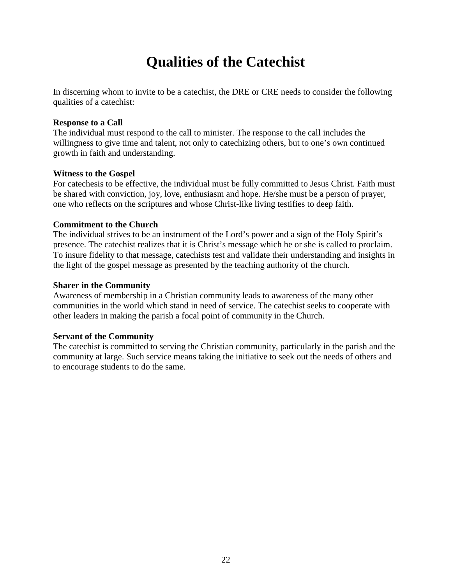## **Qualities of the Catechist**

<span id="page-21-0"></span>In discerning whom to invite to be a catechist, the DRE or CRE needs to consider the following qualities of a catechist:

#### **Response to a Call**

The individual must respond to the call to minister. The response to the call includes the willingness to give time and talent, not only to catechizing others, but to one's own continued growth in faith and understanding.

#### **Witness to the Gospel**

For catechesis to be effective, the individual must be fully committed to Jesus Christ. Faith must be shared with conviction, joy, love, enthusiasm and hope. He/she must be a person of prayer, one who reflects on the scriptures and whose Christ-like living testifies to deep faith.

#### **Commitment to the Church**

The individual strives to be an instrument of the Lord's power and a sign of the Holy Spirit's presence. The catechist realizes that it is Christ's message which he or she is called to proclaim. To insure fidelity to that message, catechists test and validate their understanding and insights in the light of the gospel message as presented by the teaching authority of the church.

#### **Sharer in the Community**

Awareness of membership in a Christian community leads to awareness of the many other communities in the world which stand in need of service. The catechist seeks to cooperate with other leaders in making the parish a focal point of community in the Church.

#### **Servant of the Community**

The catechist is committed to serving the Christian community, particularly in the parish and the community at large. Such service means taking the initiative to seek out the needs of others and to encourage students to do the same.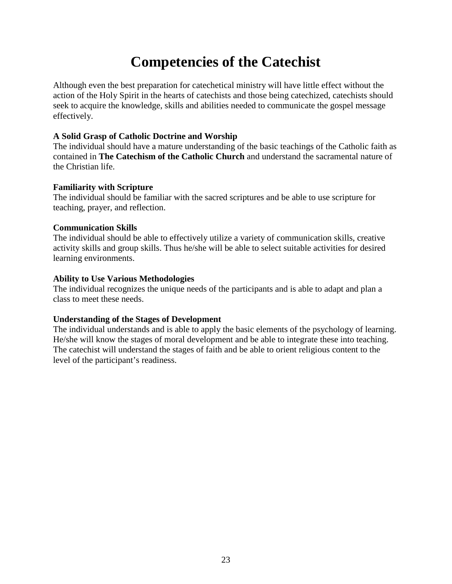## **Competencies of the Catechist**

<span id="page-22-0"></span>Although even the best preparation for catechetical ministry will have little effect without the action of the Holy Spirit in the hearts of catechists and those being catechized, catechists should seek to acquire the knowledge, skills and abilities needed to communicate the gospel message effectively.

#### **A Solid Grasp of Catholic Doctrine and Worship**

The individual should have a mature understanding of the basic teachings of the Catholic faith as contained in **The Catechism of the Catholic Church** and understand the sacramental nature of the Christian life.

#### **Familiarity with Scripture**

The individual should be familiar with the sacred scriptures and be able to use scripture for teaching, prayer, and reflection.

#### **Communication Skills**

The individual should be able to effectively utilize a variety of communication skills, creative activity skills and group skills. Thus he/she will be able to select suitable activities for desired learning environments.

#### **Ability to Use Various Methodologies**

The individual recognizes the unique needs of the participants and is able to adapt and plan a class to meet these needs.

### **Understanding of the Stages of Development**

The individual understands and is able to apply the basic elements of the psychology of learning. He/she will know the stages of moral development and be able to integrate these into teaching. The catechist will understand the stages of faith and be able to orient religious content to the level of the participant's readiness.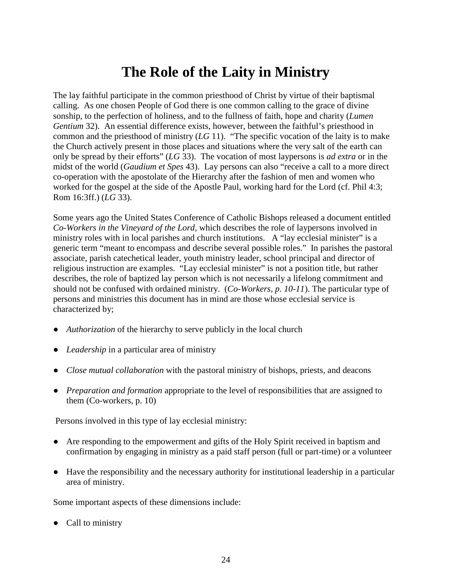## **The Role of the Laity in Ministry**

<span id="page-23-0"></span>The lay faithful participate in the common priesthood of Christ by virtue of their baptismal calling. As one chosen People of God there is one common calling to the grace of divine sonship, to the perfection of holiness, and to the fullness of faith, hope and charity (*Lumen Gentium* 32). An essential difference exists, however, between the faithful's priesthood in common and the priesthood of ministry (*LG* 11). "The specific vocation of the laity is to make the Church actively present in those places and situations where the very salt of the earth can only be spread by their efforts" (*LG* 33). The vocation of most laypersons is *ad extra* or in the midst of the world (*Gaudium et Spes* 43). Lay persons can also "receive a call to a more direct co-operation with the apostolate of the Hierarchy after the fashion of men and women who worked for the gospel at the side of the Apostle Paul, working hard for the Lord (cf. Phil 4:3; Rom 16:3ff.) (*LG* 33).

Some years ago the United States Conference of Catholic Bishops released a document entitled *Co-Workers in the Vineyard of the Lord,* which describes the role of laypersons involved in ministry roles with in local parishes and church institutions. A "lay ecclesial minister" is a generic term "meant to encompass and describe several possible roles." In parishes the pastoral associate, parish catechetical leader, youth ministry leader, school principal and director of religious instruction are examples. "Lay ecclesial minister" is not a position title, but rather describes, the role of baptized lay person which is not necessarily a lifelong commitment and should not be confused with ordained ministry. (*Co-Workers, p. 10-11*). The particular type of persons and ministries this document has in mind are those whose ecclesial service is characterized by;

- *Authorization* of the hierarchy to serve publicly in the local church
- *Leadership* in a particular area of ministry
- *Close mutual collaboration* with the pastoral ministry of bishops, priests, and deacons
- *Preparation and formation* appropriate to the level of responsibilities that are assigned to them (Co-workers, p. 10)

Persons involved in this type of lay ecclesial ministry:

- Are responding to the empowerment and gifts of the Holy Spirit received in baptism and confirmation by engaging in ministry as a paid staff person (full or part-time) or a volunteer
- Have the responsibility and the necessary authority for institutional leadership in a particular area of ministry.

Some important aspects of these dimensions include:

• Call to ministry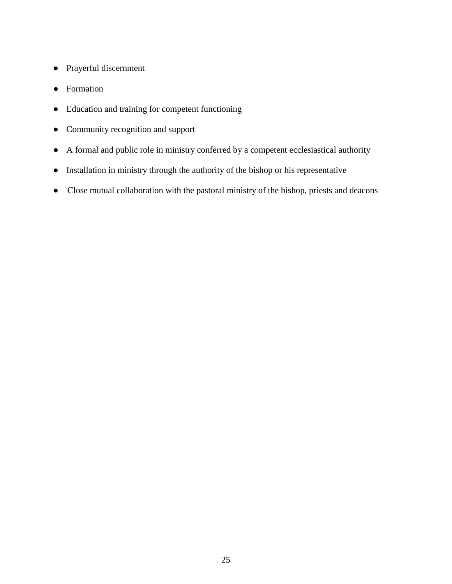- Prayerful discernment
- Formation
- Education and training for competent functioning
- Community recognition and support
- A formal and public role in ministry conferred by a competent ecclesiastical authority
- Installation in ministry through the authority of the bishop or his representative
- Close mutual collaboration with the pastoral ministry of the bishop, priests and deacons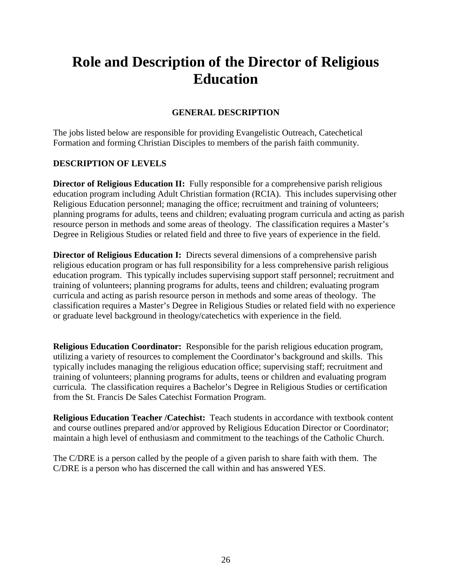## <span id="page-25-0"></span>**Role and Description of the Director of Religious Education**

### **GENERAL DESCRIPTION**

The jobs listed below are responsible for providing Evangelistic Outreach, Catechetical Formation and forming Christian Disciples to members of the parish faith community.

### **DESCRIPTION OF LEVELS**

**Director of Religious Education II:** Fully responsible for a comprehensive parish religious education program including Adult Christian formation (RCIA). This includes supervising other Religious Education personnel; managing the office; recruitment and training of volunteers; planning programs for adults, teens and children; evaluating program curricula and acting as parish resource person in methods and some areas of theology. The classification requires a Master's Degree in Religious Studies or related field and three to five years of experience in the field.

**Director of Religious Education I:** Directs several dimensions of a comprehensive parish religious education program or has full responsibility for a less comprehensive parish religious education program. This typically includes supervising support staff personnel; recruitment and training of volunteers; planning programs for adults, teens and children; evaluating program curricula and acting as parish resource person in methods and some areas of theology. The classification requires a Master's Degree in Religious Studies or related field with no experience or graduate level background in theology/catechetics with experience in the field.

**Religious Education Coordinator:** Responsible for the parish religious education program, utilizing a variety of resources to complement the Coordinator's background and skills. This typically includes managing the religious education office; supervising staff; recruitment and training of volunteers; planning programs for adults, teens or children and evaluating program curricula. The classification requires a Bachelor's Degree in Religious Studies or certification from the St. Francis De Sales Catechist Formation Program.

**Religious Education Teacher /Catechist:** Teach students in accordance with textbook content and course outlines prepared and/or approved by Religious Education Director or Coordinator; maintain a high level of enthusiasm and commitment to the teachings of the Catholic Church.

The C/DRE is a person called by the people of a given parish to share faith with them. The C/DRE is a person who has discerned the call within and has answered YES.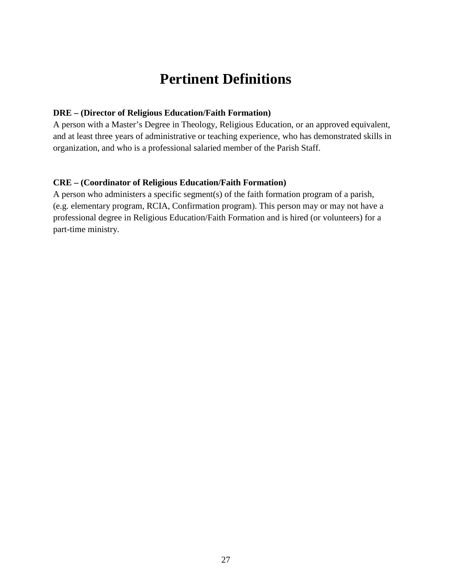## **Pertinent Definitions**

#### <span id="page-26-0"></span>**DRE – (Director of Religious Education/Faith Formation)**

A person with a Master's Degree in Theology, Religious Education, or an approved equivalent, and at least three years of administrative or teaching experience, who has demonstrated skills in organization, and who is a professional salaried member of the Parish Staff.

#### **CRE – (Coordinator of Religious Education/Faith Formation)**

A person who administers a specific segment(s) of the faith formation program of a parish, (e.g. elementary program, RCIA, Confirmation program). This person may or may not have a professional degree in Religious Education/Faith Formation and is hired (or volunteers) for a part-time ministry.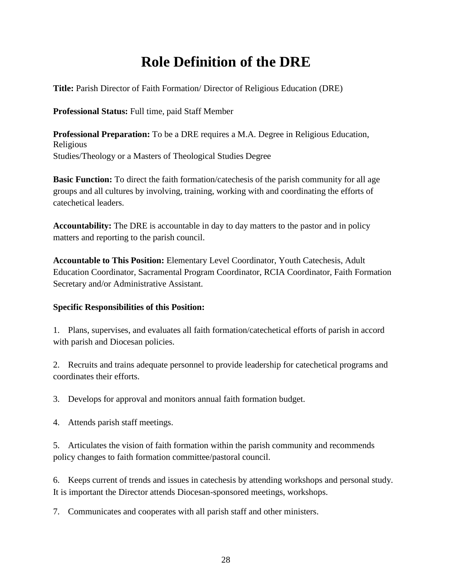## **Role Definition of the DRE**

<span id="page-27-0"></span>**Title:** Parish Director of Faith Formation/ Director of Religious Education (DRE)

**Professional Status:** Full time, paid Staff Member

**Professional Preparation:** To be a DRE requires a M.A. Degree in Religious Education, Religious Studies/Theology or a Masters of Theological Studies Degree

**Basic Function:** To direct the faith formation/catechesis of the parish community for all age groups and all cultures by involving, training, working with and coordinating the efforts of catechetical leaders.

**Accountability:** The DRE is accountable in day to day matters to the pastor and in policy matters and reporting to the parish council.

**Accountable to This Position:** Elementary Level Coordinator, Youth Catechesis, Adult Education Coordinator, Sacramental Program Coordinator, RCIA Coordinator, Faith Formation Secretary and/or Administrative Assistant.

### **Specific Responsibilities of this Position:**

1. Plans, supervises, and evaluates all faith formation/catechetical efforts of parish in accord with parish and Diocesan policies.

2. Recruits and trains adequate personnel to provide leadership for catechetical programs and coordinates their efforts.

3. Develops for approval and monitors annual faith formation budget.

4. Attends parish staff meetings.

5. Articulates the vision of faith formation within the parish community and recommends policy changes to faith formation committee/pastoral council.

6. Keeps current of trends and issues in catechesis by attending workshops and personal study. It is important the Director attends Diocesan-sponsored meetings, workshops.

7. Communicates and cooperates with all parish staff and other ministers.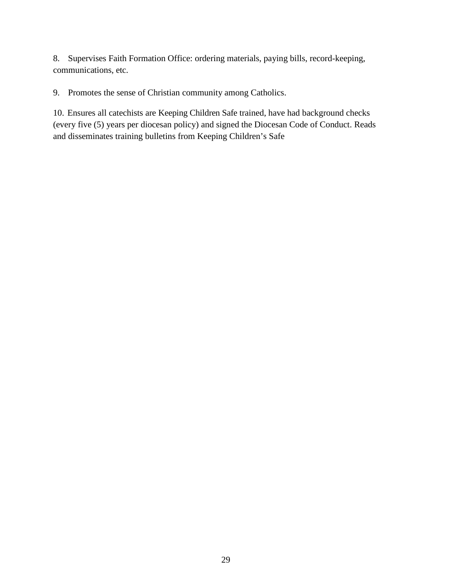8. Supervises Faith Formation Office: ordering materials, paying bills, record-keeping, communications, etc.

9. Promotes the sense of Christian community among Catholics.

10. Ensures all catechists are Keeping Children Safe trained, have had background checks (every five (5) years per diocesan policy) and signed the Diocesan Code of Conduct. Reads and disseminates training bulletins from Keeping Children's Safe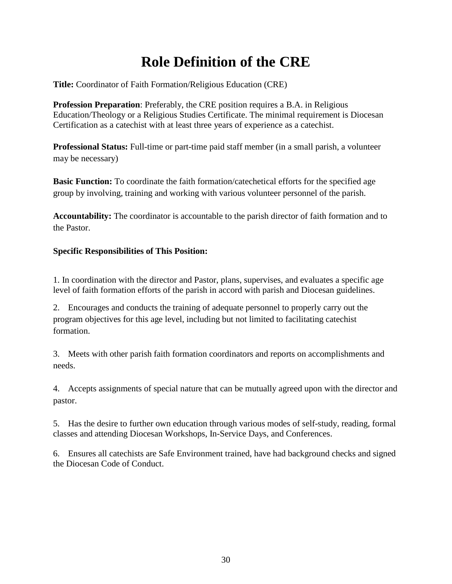## **Role Definition of the CRE**

<span id="page-29-0"></span>**Title:** Coordinator of Faith Formation/Religious Education (CRE)

**Profession Preparation**: Preferably, the CRE position requires a B.A. in Religious Education/Theology or a Religious Studies Certificate. The minimal requirement is Diocesan Certification as a catechist with at least three years of experience as a catechist.

**Professional Status:** Full-time or part-time paid staff member (in a small parish, a volunteer may be necessary)

**Basic Function:** To coordinate the faith formation/catechetical efforts for the specified age group by involving, training and working with various volunteer personnel of the parish.

**Accountability:** The coordinator is accountable to the parish director of faith formation and to the Pastor.

## **Specific Responsibilities of This Position:**

1. In coordination with the director and Pastor, plans, supervises, and evaluates a specific age level of faith formation efforts of the parish in accord with parish and Diocesan guidelines.

2. Encourages and conducts the training of adequate personnel to properly carry out the program objectives for this age level, including but not limited to facilitating catechist formation.

3. Meets with other parish faith formation coordinators and reports on accomplishments and needs.

4. Accepts assignments of special nature that can be mutually agreed upon with the director and pastor.

5. Has the desire to further own education through various modes of self-study, reading, formal classes and attending Diocesan Workshops, In-Service Days, and Conferences.

6. Ensures all catechists are Safe Environment trained, have had background checks and signed the Diocesan Code of Conduct.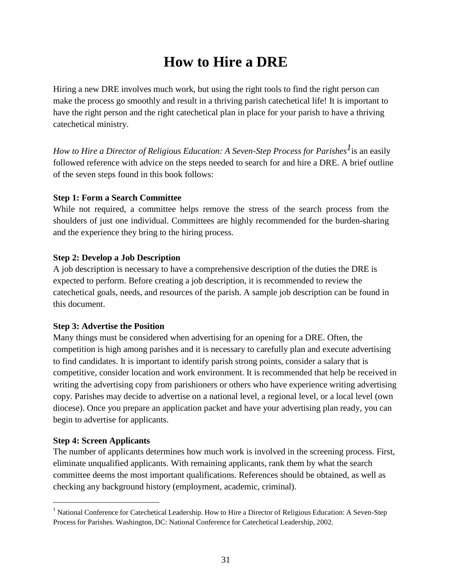## **How to Hire a DRE**

<span id="page-30-0"></span>Hiring a new DRE involves much work, but using the right tools to find the right person can make the process go smoothly and result in a thriving parish catechetical life! It is important to have the right person and the right catechetical plan in place for your parish to have a thriving catechetical ministry.

*How to Hire a Director of Religious Education: A Seven-Step Process for Parishes 1*is an easily followed reference with advice on the steps needed to search for and hire a DRE. A brief outline of the seven steps found in this book follows:

#### **Step 1: Form a Search Committee**

While not required, a committee helps remove the stress of the search process from the shoulders of just one individual. Committees are highly recommended for the burden-sharing and the experience they bring to the hiring process.

### **Step 2: Develop a Job Description**

A job description is necessary to have a comprehensive description of the duties the DRE is expected to perform. Before creating a job description, it is recommended to review the catechetical goals, needs, and resources of the parish. A sample job description can be found in this document.

### **Step 3: Advertise the Position**

Many things must be considered when advertising for an opening for a DRE. Often, the competition is high among parishes and it is necessary to carefully plan and execute advertising to find candidates. It is important to identify parish strong points, consider a salary that is competitive, consider location and work environment. It is recommended that help be received in writing the advertising copy from parishioners or others who have experience writing advertising copy. Parishes may decide to advertise on a national level, a regional level, or a local level (own diocese). Once you prepare an application packet and have your advertising plan ready, you can begin to advertise for applicants.

#### **Step 4: Screen Applicants**

The number of applicants determines how much work is involved in the screening process. First, eliminate unqualified applicants. With remaining applicants, rank them by what the search committee deems the most important qualifications. References should be obtained, as well as checking any background history (employment, academic, criminal).

<sup>&</sup>lt;sup>1</sup> National Conference for Catechetical Leadership. How to Hire a Director of Religious Education: A Seven-Step Process for Parishes. Washington, DC: National Conference for Catechetical Leadership, 2002.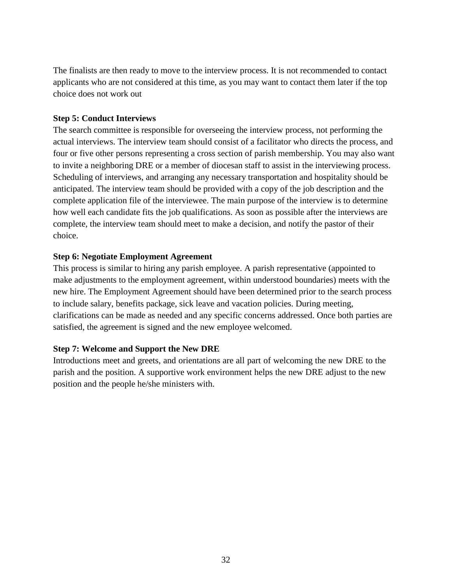The finalists are then ready to move to the interview process. It is not recommended to contact applicants who are not considered at this time, as you may want to contact them later if the top choice does not work out

### **Step 5: Conduct Interviews**

The search committee is responsible for overseeing the interview process, not performing the actual interviews. The interview team should consist of a facilitator who directs the process, and four or five other persons representing a cross section of parish membership. You may also want to invite a neighboring DRE or a member of diocesan staff to assist in the interviewing process. Scheduling of interviews, and arranging any necessary transportation and hospitality should be anticipated. The interview team should be provided with a copy of the job description and the complete application file of the interviewee. The main purpose of the interview is to determine how well each candidate fits the job qualifications. As soon as possible after the interviews are complete, the interview team should meet to make a decision, and notify the pastor of their choice.

#### **Step 6: Negotiate Employment Agreement**

This process is similar to hiring any parish employee. A parish representative (appointed to make adjustments to the employment agreement, within understood boundaries) meets with the new hire. The Employment Agreement should have been determined prior to the search process to include salary, benefits package, sick leave and vacation policies. During meeting, clarifications can be made as needed and any specific concerns addressed. Once both parties are satisfied, the agreement is signed and the new employee welcomed.

### **Step 7: Welcome and Support the New DRE**

Introductions meet and greets, and orientations are all part of welcoming the new DRE to the parish and the position. A supportive work environment helps the new DRE adjust to the new position and the people he/she ministers with.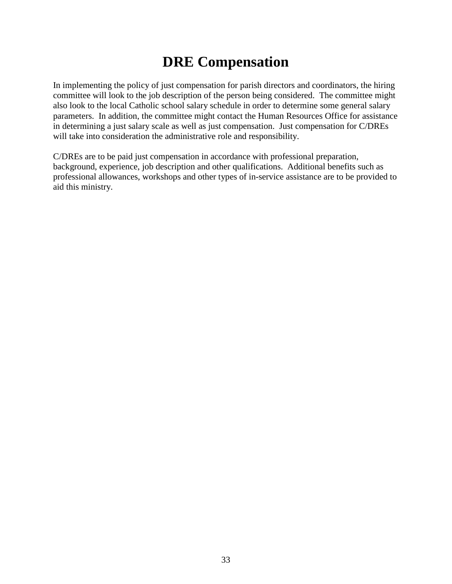## **DRE Compensation**

<span id="page-32-0"></span>In implementing the policy of just compensation for parish directors and coordinators, the hiring committee will look to the job description of the person being considered. The committee might also look to the local Catholic school salary schedule in order to determine some general salary parameters. In addition, the committee might contact the Human Resources Office for assistance in determining a just salary scale as well as just compensation. Just compensation for C/DREs will take into consideration the administrative role and responsibility.

C/DREs are to be paid just compensation in accordance with professional preparation, background, experience, job description and other qualifications. Additional benefits such as professional allowances, workshops and other types of in-service assistance are to be provided to aid this ministry.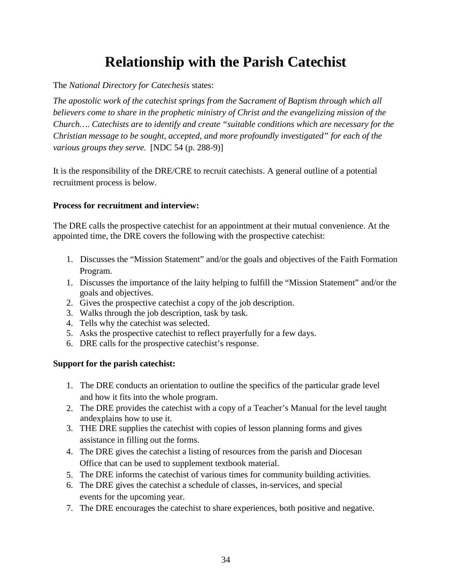## **Relationship with the Parish Catechist**

<span id="page-33-0"></span>The *National Directory for Catechesis* states:

*The apostolic work of the catechist springs from the Sacrament of Baptism through which all believers come to share in the prophetic ministry of Christ and the evangelizing mission of the Church…. Catechists are to identify and create "suitable conditions which are necessary for the Christian message to be sought, accepted, and more profoundly investigated" for each of the various groups they serve.* [NDC 54 (p. 288-9)]

It is the responsibility of the DRE/CRE to recruit catechists. A general outline of a potential recruitment process is below.

### **Process for recruitment and interview:**

The DRE calls the prospective catechist for an appointment at their mutual convenience. At the appointed time, the DRE covers the following with the prospective catechist:

- 1. Discusses the "Mission Statement" and/or the goals and objectives of the Faith Formation Program.
- 1. Discusses the importance of the laity helping to fulfill the "Mission Statement" and/or the goals and objectives.
- 2. Gives the prospective catechist a copy of the job description.
- 3. Walks through the job description, task by task.
- 4. Tells why the catechist was selected.
- 5. Asks the prospective catechist to reflect prayerfully for a few days.
- 6. DRE calls for the prospective catechist's response.

### **Support for the parish catechist:**

- 1. The DRE conducts an orientation to outline the specifics of the particular grade level and how it fits into the whole program.
- 2. The DRE provides the catechist with a copy of a Teacher's Manual for the level taught andexplains how to use it.
- 3. THE DRE supplies the catechist with copies of lesson planning forms and gives assistance in filling out the forms.
- 4. The DRE gives the catechist a listing of resources from the parish and Diocesan Office that can be used to supplement textbook material.
- 5. The DRE informs the catechist of various times for community building activities.
- 6. The DRE gives the catechist a schedule of classes, in-services, and special events for the upcoming year.
- 7. The DRE encourages the catechist to share experiences, both positive and negative.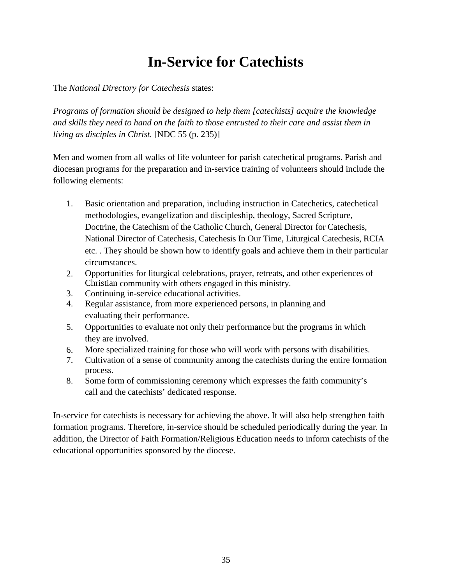## **In-Service for Catechists**

<span id="page-34-0"></span>The *National Directory for Catechesis* states:

*Programs of formation should be designed to help them [catechists] acquire the knowledge and skills they need to hand on the faith to those entrusted to their care and assist them in living as disciples in Christ.* [NDC 55 (p. 235)]

Men and women from all walks of life volunteer for parish catechetical programs. Parish and diocesan programs for the preparation and in-service training of volunteers should include the following elements:

- 1. Basic orientation and preparation, including instruction in Catechetics, catechetical methodologies, evangelization and discipleship, theology, Sacred Scripture, Doctrine, the Catechism of the Catholic Church, General Director for Catechesis, National Director of Catechesis, Catechesis In Our Time, Liturgical Catechesis, RCIA etc. . They should be shown how to identify goals and achieve them in their particular circumstances.
- 2. Opportunities for liturgical celebrations, prayer, retreats, and other experiences of Christian community with others engaged in this ministry.
- 3. Continuing in-service educational activities.
- 4. Regular assistance, from more experienced persons, in planning and evaluating their performance.
- 5. Opportunities to evaluate not only their performance but the programs in which they are involved.
- 6. More specialized training for those who will work with persons with disabilities.
- 7. Cultivation of a sense of community among the catechists during the entire formation process.
- 8. Some form of commissioning ceremony which expresses the faith community's call and the catechists' dedicated response.

In-service for catechists is necessary for achieving the above. It will also help strengthen faith formation programs. Therefore, in-service should be scheduled periodically during the year. In addition, the Director of Faith Formation/Religious Education needs to inform catechists of the educational opportunities sponsored by the diocese.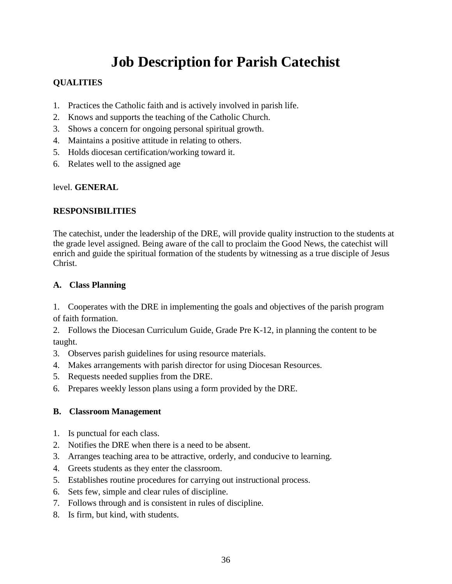## **Job Description for Parish Catechist**

## <span id="page-35-0"></span>**QUALITIES**

- 1. Practices the Catholic faith and is actively involved in parish life.
- 2. Knows and supports the teaching of the Catholic Church.
- 3. Shows a concern for ongoing personal spiritual growth.
- 4. Maintains a positive attitude in relating to others.
- 5. Holds diocesan certification/working toward it.
- 6. Relates well to the assigned age

### level. **GENERAL**

## **RESPONSIBILITIES**

The catechist, under the leadership of the DRE, will provide quality instruction to the students at the grade level assigned. Being aware of the call to proclaim the Good News, the catechist will enrich and guide the spiritual formation of the students by witnessing as a true disciple of Jesus Christ.

## **A. Class Planning**

1. Cooperates with the DRE in implementing the goals and objectives of the parish program of faith formation.

2. Follows the Diocesan Curriculum Guide, Grade Pre K-12, in planning the content to be taught.

- 3. Observes parish guidelines for using resource materials.
- 4. Makes arrangements with parish director for using Diocesan Resources.
- 5. Requests needed supplies from the DRE.
- 6. Prepares weekly lesson plans using a form provided by the DRE.

## **B. Classroom Management**

- 1. Is punctual for each class.
- 2. Notifies the DRE when there is a need to be absent.
- 3. Arranges teaching area to be attractive, orderly, and conducive to learning.
- 4. Greets students as they enter the classroom.
- 5. Establishes routine procedures for carrying out instructional process.
- 6. Sets few, simple and clear rules of discipline.
- 7. Follows through and is consistent in rules of discipline.
- 8. Is firm, but kind, with students.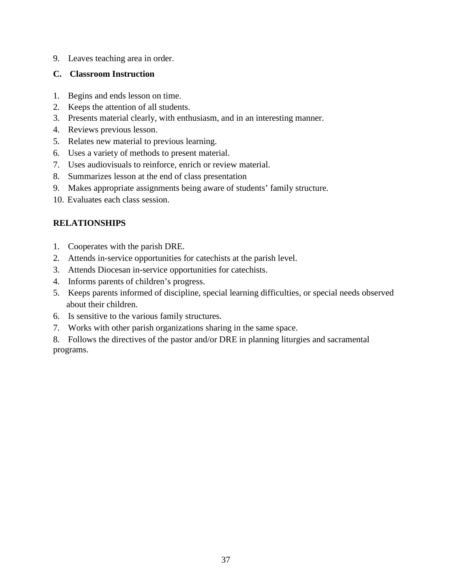9. Leaves teaching area in order.

#### **C. Classroom Instruction**

- 1. Begins and ends lesson on time.
- 2. Keeps the attention of all students.
- 3. Presents material clearly, with enthusiasm, and in an interesting manner.
- 4. Reviews previous lesson.
- 5. Relates new material to previous learning.
- 6. Uses a variety of methods to present material.
- 7. Uses audiovisuals to reinforce, enrich or review material.
- 8. Summarizes lesson at the end of class presentation
- 9. Makes appropriate assignments being aware of students' family structure.
- 10. Evaluates each class session.

## **RELATIONSHIPS**

- 1. Cooperates with the parish DRE.
- 2. Attends in-service opportunities for catechists at the parish level.
- 3. Attends Diocesan in-service opportunities for catechists.
- 4. Informs parents of children's progress.
- 5. Keeps parents informed of discipline, special learning difficulties, or special needs observed about their children.
- 6. Is sensitive to the various family structures.
- 7. Works with other parish organizations sharing in the same space.
- 8. Follows the directives of the pastor and/or DRE in planning liturgies and sacramental programs.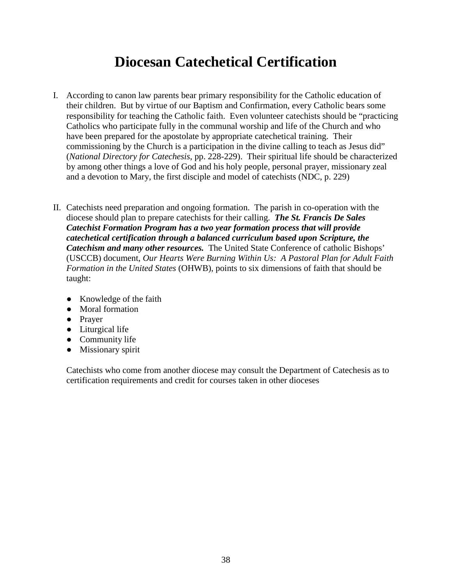# **Diocesan Catechetical Certification**

- I. According to canon law parents bear primary responsibility for the Catholic education of their children. But by virtue of our Baptism and Confirmation, every Catholic bears some responsibility for teaching the Catholic faith. Even volunteer catechists should be "practicing Catholics who participate fully in the communal worship and life of the Church and who have been prepared for the apostolate by appropriate catechetical training. Their commissioning by the Church is a participation in the divine calling to teach as Jesus did" (*National Directory for Catechesis*, pp. 228-229). Their spiritual life should be characterized by among other things a love of God and his holy people, personal prayer, missionary zeal and a devotion to Mary, the first disciple and model of catechists (NDC, p. 229)
- II. Catechists need preparation and ongoing formation. The parish in co-operation with the diocese should plan to prepare catechists for their calling. *The St. Francis De Sales Catechist Formation Program has a two year formation process that will provide catechetical certification through a balanced curriculum based upon Scripture, the Catechism and many other resources.* The United State Conference of catholic Bishops' (USCCB) document, *Our Hearts Were Burning Within Us: A Pastoral Plan for Adult Faith Formation in the United States* (OHWB), points to six dimensions of faith that should be taught:
	- Knowledge of the faith
	- Moral formation
	- Prayer
	- Liturgical life
	- Community life
	- Missionary spirit

Catechists who come from another diocese may consult the Department of Catechesis as to certification requirements and credit for courses taken in other dioceses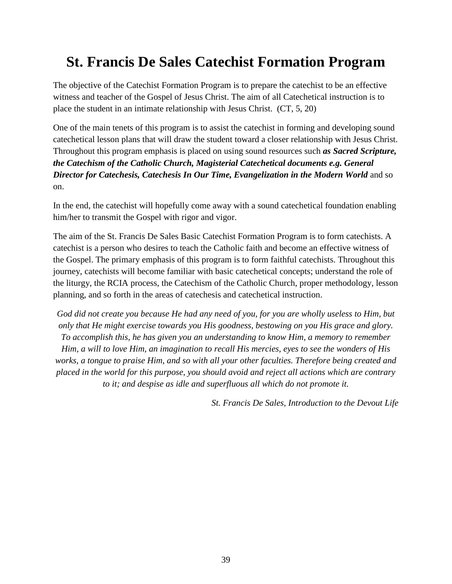# **St. Francis De Sales Catechist Formation Program**

The objective of the Catechist Formation Program is to prepare the catechist to be an effective witness and teacher of the Gospel of Jesus Christ. The aim of all Catechetical instruction is to place the student in an intimate relationship with Jesus Christ. (CT, 5, 20)

One of the main tenets of this program is to assist the catechist in forming and developing sound catechetical lesson plans that will draw the student toward a closer relationship with Jesus Christ. Throughout this program emphasis is placed on using sound resources such *as Sacred Scripture, the Catechism of the Catholic Church, Magisterial Catechetical documents e.g. General Director for Catechesis, Catechesis In Our Time, Evangelization in the Modern World* and so on.

In the end, the catechist will hopefully come away with a sound catechetical foundation enabling him/her to transmit the Gospel with rigor and vigor.

The aim of the St. Francis De Sales Basic Catechist Formation Program is to form catechists. A catechist is a person who desires to teach the Catholic faith and become an effective witness of the Gospel. The primary emphasis of this program is to form faithful catechists. Throughout this journey, catechists will become familiar with basic catechetical concepts; understand the role of the liturgy, the RCIA process, the Catechism of the Catholic Church, proper methodology, lesson planning, and so forth in the areas of catechesis and catechetical instruction.

*God did not create you because He had any need of you, for you are wholly useless to Him, but only that He might exercise towards you His goodness, bestowing on you His grace and glory. To accomplish this, he has given you an understanding to know Him, a memory to remember Him, a will to love Him, an imagination to recall His mercies, eyes to see the wonders of His works, a tongue to praise Him, and so with all your other faculties. Therefore being created and placed in the world for this purpose, you should avoid and reject all actions which are contrary to it; and despise as idle and superfluous all which do not promote it.* 

*St. Francis De Sales, Introduction to the Devout Life*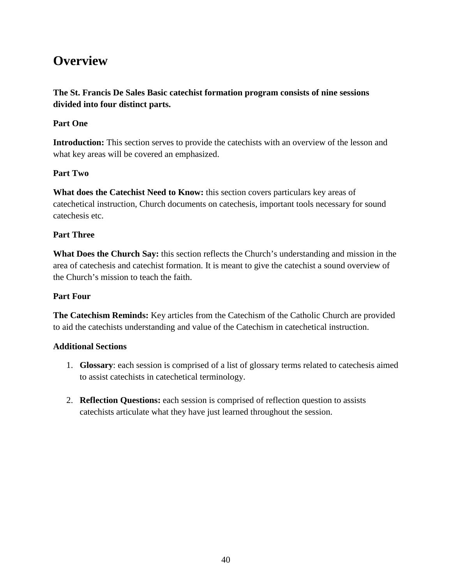# **Overview**

## **The St. Francis De Sales Basic catechist formation program consists of nine sessions divided into four distinct parts.**

#### **Part One**

**Introduction:** This section serves to provide the catechists with an overview of the lesson and what key areas will be covered an emphasized.

#### **Part Two**

**What does the Catechist Need to Know:** this section covers particulars key areas of catechetical instruction, Church documents on catechesis, important tools necessary for sound catechesis etc.

### **Part Three**

**What Does the Church Say:** this section reflects the Church's understanding and mission in the area of catechesis and catechist formation. It is meant to give the catechist a sound overview of the Church's mission to teach the faith.

#### **Part Four**

**The Catechism Reminds:** Key articles from the Catechism of the Catholic Church are provided to aid the catechists understanding and value of the Catechism in catechetical instruction.

#### **Additional Sections**

- 1. **Glossary**: each session is comprised of a list of glossary terms related to catechesis aimed to assist catechists in catechetical terminology.
- 2. **Reflection Questions:** each session is comprised of reflection question to assists catechists articulate what they have just learned throughout the session.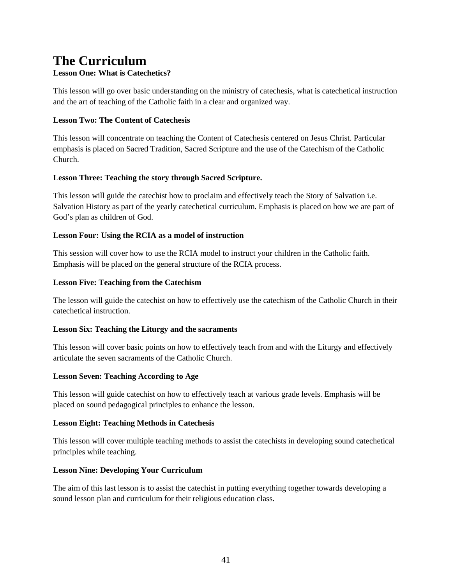# **The Curriculum**

#### **Lesson One: What is Catechetics?**

This lesson will go over basic understanding on the ministry of catechesis, what is catechetical instruction and the art of teaching of the Catholic faith in a clear and organized way.

#### **Lesson Two: The Content of Catechesis**

This lesson will concentrate on teaching the Content of Catechesis centered on Jesus Christ. Particular emphasis is placed on Sacred Tradition, Sacred Scripture and the use of the Catechism of the Catholic Church.

#### **Lesson Three: Teaching the story through Sacred Scripture.**

This lesson will guide the catechist how to proclaim and effectively teach the Story of Salvation i.e. Salvation History as part of the yearly catechetical curriculum. Emphasis is placed on how we are part of God's plan as children of God.

#### **Lesson Four: Using the RCIA as a model of instruction**

This session will cover how to use the RCIA model to instruct your children in the Catholic faith. Emphasis will be placed on the general structure of the RCIA process.

#### **Lesson Five: Teaching from the Catechism**

The lesson will guide the catechist on how to effectively use the catechism of the Catholic Church in their catechetical instruction.

#### **Lesson Six: Teaching the Liturgy and the sacraments**

This lesson will cover basic points on how to effectively teach from and with the Liturgy and effectively articulate the seven sacraments of the Catholic Church.

#### **Lesson Seven: Teaching According to Age**

This lesson will guide catechist on how to effectively teach at various grade levels. Emphasis will be placed on sound pedagogical principles to enhance the lesson.

#### **Lesson Eight: Teaching Methods in Catechesis**

This lesson will cover multiple teaching methods to assist the catechists in developing sound catechetical principles while teaching.

#### **Lesson Nine: Developing Your Curriculum**

The aim of this last lesson is to assist the catechist in putting everything together towards developing a sound lesson plan and curriculum for their religious education class.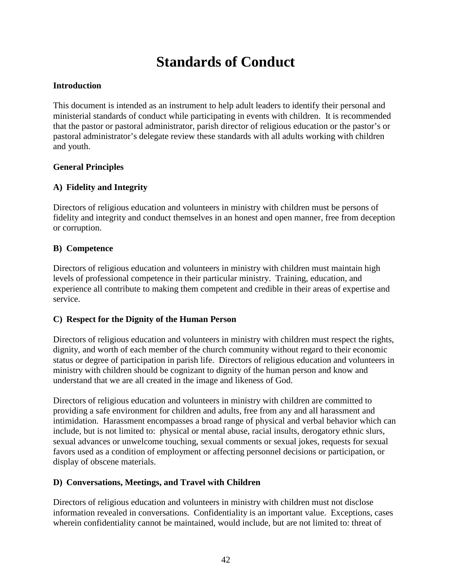# **Standards of Conduct**

### **Introduction**

This document is intended as an instrument to help adult leaders to identify their personal and ministerial standards of conduct while participating in events with children. It is recommended that the pastor or pastoral administrator, parish director of religious education or the pastor's or pastoral administrator's delegate review these standards with all adults working with children and youth.

#### **General Principles**

#### **A) Fidelity and Integrity**

Directors of religious education and volunteers in ministry with children must be persons of fidelity and integrity and conduct themselves in an honest and open manner, free from deception or corruption.

#### **B) Competence**

Directors of religious education and volunteers in ministry with children must maintain high levels of professional competence in their particular ministry. Training, education, and experience all contribute to making them competent and credible in their areas of expertise and service.

#### **C) Respect for the Dignity of the Human Person**

Directors of religious education and volunteers in ministry with children must respect the rights, dignity, and worth of each member of the church community without regard to their economic status or degree of participation in parish life. Directors of religious education and volunteers in ministry with children should be cognizant to dignity of the human person and know and understand that we are all created in the image and likeness of God.

Directors of religious education and volunteers in ministry with children are committed to providing a safe environment for children and adults, free from any and all harassment and intimidation. Harassment encompasses a broad range of physical and verbal behavior which can include, but is not limited to: physical or mental abuse, racial insults, derogatory ethnic slurs, sexual advances or unwelcome touching, sexual comments or sexual jokes, requests for sexual favors used as a condition of employment or affecting personnel decisions or participation, or display of obscene materials.

#### **D) Conversations, Meetings, and Travel with Children**

Directors of religious education and volunteers in ministry with children must not disclose information revealed in conversations. Confidentiality is an important value. Exceptions, cases wherein confidentiality cannot be maintained, would include, but are not limited to: threat of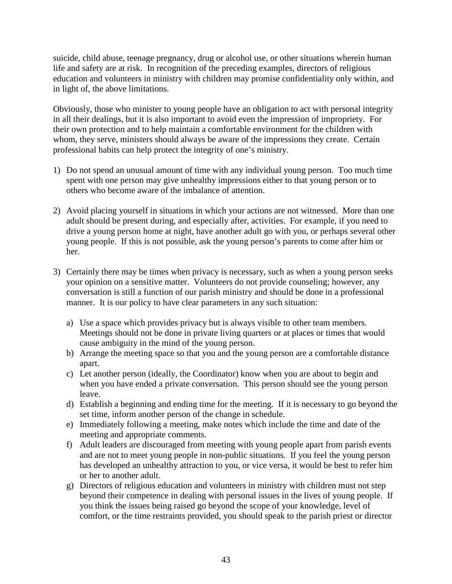suicide, child abuse, teenage pregnancy, drug or alcohol use, or other situations wherein human life and safety are at risk. In recognition of the preceding examples, directors of religious education and volunteers in ministry with children may promise confidentiality only within, and in light of, the above limitations.

Obviously, those who minister to young people have an obligation to act with personal integrity in all their dealings, but it is also important to avoid even the impression of impropriety. For their own protection and to help maintain a comfortable environment for the children with whom, they serve, ministers should always be aware of the impressions they create. Certain professional habits can help protect the integrity of one's ministry.

- 1) Do not spend an unusual amount of time with any individual young person. Too much time spent with one person may give unhealthy impressions either to that young person or to others who become aware of the imbalance of attention.
- 2) Avoid placing yourself in situations in which your actions are not witnessed. More than one adult should be present during, and especially after, activities. For example, if you need to drive a young person home at night, have another adult go with you, or perhaps several other young people. If this is not possible, ask the young person's parents to come after him or her.
- 3) Certainly there may be times when privacy is necessary, such as when a young person seeks your opinion on a sensitive matter. Volunteers do not provide counseling; however, any conversation is still a function of our parish ministry and should be done in a professional manner. It is our policy to have clear parameters in any such situation:
	- a) Use a space which provides privacy but is always visible to other team members. Meetings should not be done in private living quarters or at places or times that would cause ambiguity in the mind of the young person.
	- b) Arrange the meeting space so that you and the young person are a comfortable distance apart.
	- c) Let another person (ideally, the Coordinator) know when you are about to begin and when you have ended a private conversation. This person should see the young person leave.
	- d) Establish a beginning and ending time for the meeting. If it is necessary to go beyond the set time, inform another person of the change in schedule.
	- e) Immediately following a meeting, make notes which include the time and date of the meeting and appropriate comments.
	- f) Adult leaders are discouraged from meeting with young people apart from parish events and are not to meet young people in non-public situations. If you feel the young person has developed an unhealthy attraction to you, or vice versa, it would be best to refer him or her to another adult.
	- g) Directors of religious education and volunteers in ministry with children must not step beyond their competence in dealing with personal issues in the lives of young people. If you think the issues being raised go beyond the scope of your knowledge, level of comfort, or the time restraints provided, you should speak to the parish priest or director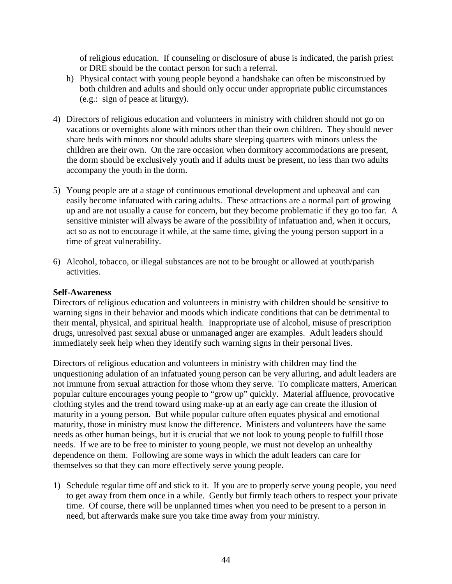of religious education. If counseling or disclosure of abuse is indicated, the parish priest or DRE should be the contact person for such a referral.

- h) Physical contact with young people beyond a handshake can often be misconstrued by both children and adults and should only occur under appropriate public circumstances (e.g.: sign of peace at liturgy).
- 4) Directors of religious education and volunteers in ministry with children should not go on vacations or overnights alone with minors other than their own children. They should never share beds with minors nor should adults share sleeping quarters with minors unless the children are their own. On the rare occasion when dormitory accommodations are present, the dorm should be exclusively youth and if adults must be present, no less than two adults accompany the youth in the dorm.
- 5) Young people are at a stage of continuous emotional development and upheaval and can easily become infatuated with caring adults. These attractions are a normal part of growing up and are not usually a cause for concern, but they become problematic if they go too far. A sensitive minister will always be aware of the possibility of infatuation and, when it occurs, act so as not to encourage it while, at the same time, giving the young person support in a time of great vulnerability.
- 6) Alcohol, tobacco, or illegal substances are not to be brought or allowed at youth/parish activities.

#### **Self-Awareness**

Directors of religious education and volunteers in ministry with children should be sensitive to warning signs in their behavior and moods which indicate conditions that can be detrimental to their mental, physical, and spiritual health. Inappropriate use of alcohol, misuse of prescription drugs, unresolved past sexual abuse or unmanaged anger are examples. Adult leaders should immediately seek help when they identify such warning signs in their personal lives.

Directors of religious education and volunteers in ministry with children may find the unquestioning adulation of an infatuated young person can be very alluring, and adult leaders are not immune from sexual attraction for those whom they serve. To complicate matters, American popular culture encourages young people to "grow up" quickly. Material affluence, provocative clothing styles and the trend toward using make-up at an early age can create the illusion of maturity in a young person. But while popular culture often equates physical and emotional maturity, those in ministry must know the difference. Ministers and volunteers have the same needs as other human beings, but it is crucial that we not look to young people to fulfill those needs. If we are to be free to minister to young people, we must not develop an unhealthy dependence on them. Following are some ways in which the adult leaders can care for themselves so that they can more effectively serve young people.

1) Schedule regular time off and stick to it. If you are to properly serve young people, you need to get away from them once in a while. Gently but firmly teach others to respect your private time. Of course, there will be unplanned times when you need to be present to a person in need, but afterwards make sure you take time away from your ministry.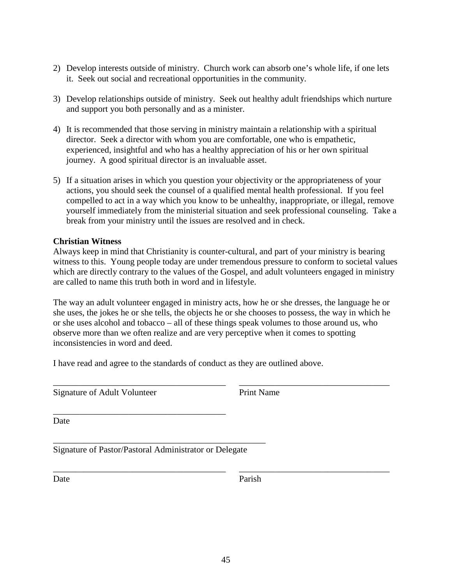- 2) Develop interests outside of ministry. Church work can absorb one's whole life, if one lets it. Seek out social and recreational opportunities in the community.
- 3) Develop relationships outside of ministry. Seek out healthy adult friendships which nurture and support you both personally and as a minister.
- 4) It is recommended that those serving in ministry maintain a relationship with a spiritual director. Seek a director with whom you are comfortable, one who is empathetic, experienced, insightful and who has a healthy appreciation of his or her own spiritual journey. A good spiritual director is an invaluable asset.
- 5) If a situation arises in which you question your objectivity or the appropriateness of your actions, you should seek the counsel of a qualified mental health professional. If you feel compelled to act in a way which you know to be unhealthy, inappropriate, or illegal, remove yourself immediately from the ministerial situation and seek professional counseling. Take a break from your ministry until the issues are resolved and in check.

#### **Christian Witness**

Always keep in mind that Christianity is counter-cultural, and part of your ministry is bearing witness to this. Young people today are under tremendous pressure to conform to societal values which are directly contrary to the values of the Gospel, and adult volunteers engaged in ministry are called to name this truth both in word and in lifestyle.

The way an adult volunteer engaged in ministry acts, how he or she dresses, the language he or she uses, the jokes he or she tells, the objects he or she chooses to possess, the way in which he or she uses alcohol and tobacco – all of these things speak volumes to those around us, who observe more than we often realize and are very perceptive when it comes to spotting inconsistencies in word and deed.

\_\_\_\_\_\_\_\_\_\_\_\_\_\_\_\_\_\_\_\_\_\_\_\_\_\_\_\_\_\_\_\_\_\_\_\_\_\_\_ \_\_\_\_\_\_\_\_\_\_\_\_\_\_\_\_\_\_\_\_\_\_\_\_\_\_\_\_\_\_\_\_\_\_

\_\_\_\_\_\_\_\_\_\_\_\_\_\_\_\_\_\_\_\_\_\_\_\_\_\_\_\_\_\_\_\_\_\_\_\_\_\_\_ \_\_\_\_\_\_\_\_\_\_\_\_\_\_\_\_\_\_\_\_\_\_\_\_\_\_\_\_\_\_\_\_\_\_

I have read and agree to the standards of conduct as they are outlined above.

Signature of Adult Volunteer Print Name

Date

Signature of Pastor/Pastoral Administrator or Delegate

\_\_\_\_\_\_\_\_\_\_\_\_\_\_\_\_\_\_\_\_\_\_\_\_\_\_\_\_\_\_\_\_\_\_\_\_\_\_\_\_\_\_\_\_\_\_\_\_

\_\_\_\_\_\_\_\_\_\_\_\_\_\_\_\_\_\_\_\_\_\_\_\_\_\_\_\_\_\_\_\_\_\_\_\_\_\_\_

Date Parish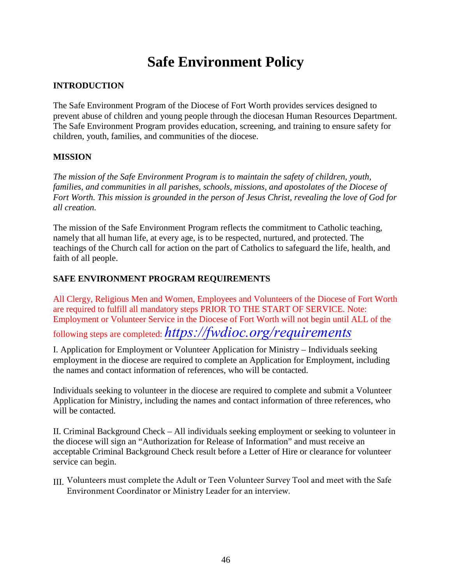# **Safe Environment Policy**

## **INTRODUCTION**

The Safe Environment Program of the Diocese of Fort Worth provides services designed to prevent abuse of children and young people through the diocesan Human Resources Department. The Safe Environment Program provides education, screening, and training to ensure safety for children, youth, families, and communities of the diocese.

#### **MISSION**

*The mission of the Safe Environment Program is to maintain the safety of children, youth, families, and communities in all parishes, schools, missions, and apostolates of the Diocese of Fort Worth. This mission is grounded in the person of Jesus Christ, revealing the love of God for all creation.*

The mission of the Safe Environment Program reflects the commitment to Catholic teaching, namely that all human life, at every age, is to be respected, nurtured, and protected. The teachings of the Church call for action on the part of Catholics to safeguard the life, health, and faith of all people.

#### **SAFE ENVIRONMENT PROGRAM REQUIREMENTS**

All Clergy, Religious Men and Women, Employees and Volunteers of the Diocese of Fort Worth are required to fulfill all mandatory steps PRIOR TO THE START OF SERVICE. Note: Employment or Volunteer Service in the Diocese of Fort Worth will not begin until ALL of the following steps are completed: *[https://fwdioc.org/requiremen](https://fwdioc.org/requirements)ts*

I. Application for Employment or Volunteer Application for Ministry – Individuals seeking employment in the diocese are required to complete an Application for Employment, including the names and contact information of references, who will be contacted.

Individuals seeking to volunteer in the diocese are required to complete and submit a Volunteer Application for Ministry, including the names and contact information of three references, who will be contacted.

II. Criminal Background Check – All individuals seeking employment or seeking to volunteer in the diocese will sign an "Authorization for Release of Information" and must receive an acceptable Criminal Background Check result before a Letter of Hire or clearance for volunteer service can begin.

III. Volunteers must complete the Adult or Teen Volunteer Survey Tool and meet with the Safe Environment Coordinator or Ministry Leader for an interview.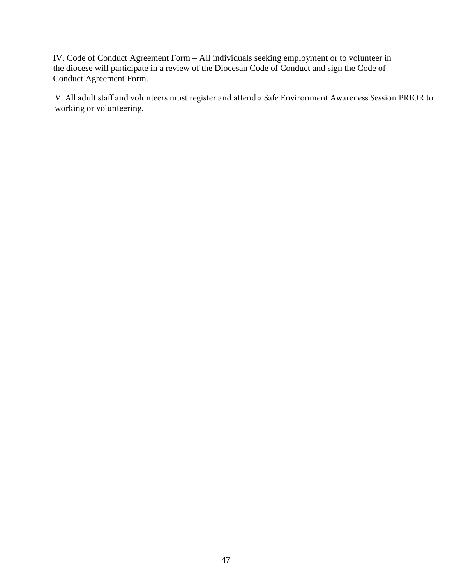IV. Code of Conduct Agreement Form – All individuals seeking employment or to volunteer in the diocese will participate in a review of the Diocesan Code of Conduct and sign the Code of Conduct Agreement Form.

V. All adult staff and volunteers must register and attend a Safe Environment Awareness Session PRIOR to working or volunteering.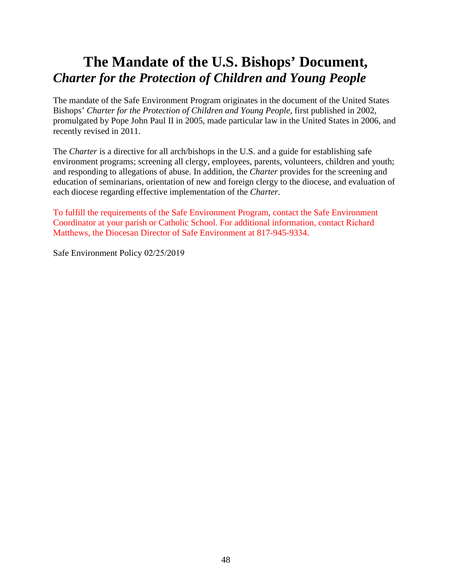# **The Mandate of the U.S. Bishops' Document,**  *Charter for the Protection of Children and Young People*

The mandate of the Safe Environment Program originates in the document of the United States Bishops' *Charter for the Protection of Children and Young People*, first published in 2002, promulgated by Pope John Paul II in 2005, made particular law in the United States in 2006, and recently revised in 2011.

The *Charter* is a directive for all arch/bishops in the U.S. and a guide for establishing safe environment programs; screening all clergy, employees, parents, volunteers, children and youth; and responding to allegations of abuse. In addition, the *Charter* provides for the screening and education of seminarians, orientation of new and foreign clergy to the diocese, and evaluation of each diocese regarding effective implementation of the *Charter.* 

To fulfill the requirements of the Safe Environment Program, contact the Safe Environment Coordinator at your parish or Catholic School. For additional information, contact Richard Matthews, the Diocesan Director of Safe Environment at 817-945-9334.

Safe Environment Policy 02/25/2019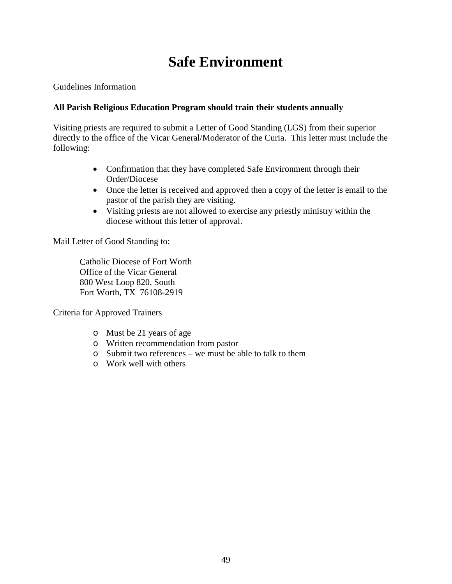# **Safe Environment**

Guidelines Information

#### **All Parish Religious Education Program should train their students annually**

Visiting priests are required to submit a Letter of Good Standing (LGS) from their superior directly to the office of the Vicar General/Moderator of the Curia. This letter must include the following:

- Confirmation that they have completed Safe Environment through their Order/Diocese
- Once the letter is received and approved then a copy of the letter is email to the pastor of the parish they are visiting.
- Visiting priests are not allowed to exercise any priestly ministry within the diocese without this letter of approval.

Mail Letter of Good Standing to:

Catholic Diocese of Fort Worth Office of the Vicar General 800 West Loop 820, South Fort Worth, TX 76108-2919

Criteria for Approved Trainers

- o Must be 21 years of age
- o Written recommendation from pastor
- o Submit two references we must be able to talk to them
- o Work well with others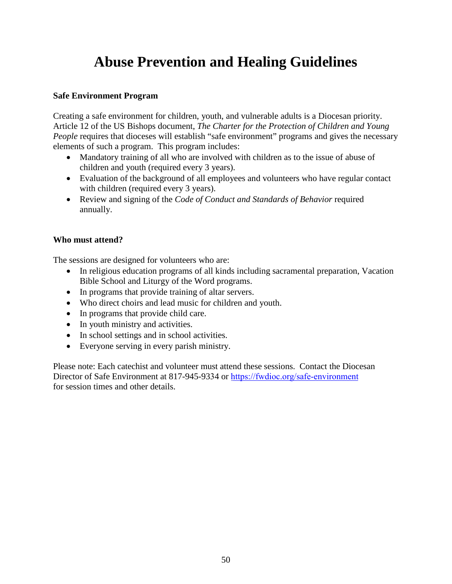# **Abuse Prevention and Healing Guidelines**

#### **Safe Environment Program**

Creating a safe environment for children, youth, and vulnerable adults is a Diocesan priority. Article 12 of the US Bishops document, *The Charter for the Protection of Children and Young People* requires that dioceses will establish "safe environment" programs and gives the necessary elements of such a program. This program includes:

- Mandatory training of all who are involved with children as to the issue of abuse of children and youth (required every 3 years).
- Evaluation of the background of all employees and volunteers who have regular contact with children (required every 3 years).
- Review and signing of the *Code of Conduct and Standards of Behavior* required annually.

#### **Who must attend?**

The sessions are designed for volunteers who are:

- In religious education programs of all kinds including sacramental preparation, Vacation Bible School and Liturgy of the Word programs.
- In programs that provide training of altar servers.
- Who direct choirs and lead music for children and youth.
- In programs that provide child care.
- In youth ministry and activities.
- In school settings and in school activities.
- Everyone serving in every parish ministry.

Please note: Each catechist and volunteer must attend these sessions. Contact the Diocesan Director of Safe Environment at 817-945-9334 or h[ttps://fwdioc.org/safe-environment](https://fwdioc.org/safe-environment) for session times and other details.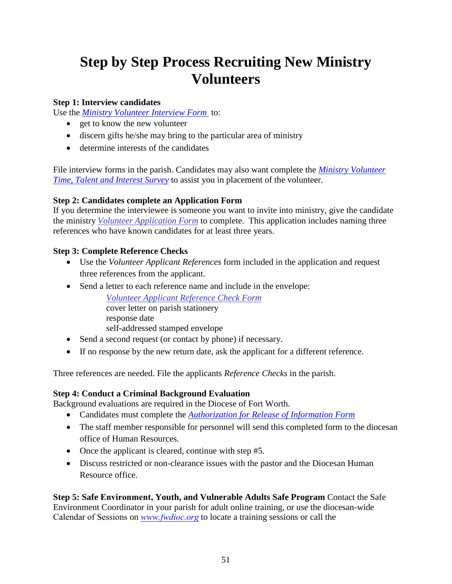# **Step by Step Process Recruiting New Ministry Volunteers**

#### **Step 1: Interview candidates**

Use the *[Ministry Volunteer Interview Form](http://fwdioc.org/volunteer_interview_form_english.pdf)* to:

- get to know the new volunteer
- discern gifts he/she may bring to the particular area of ministry
- determine interests of the candidates

File interview forms in the parish. Candidates may also want complete the *[Ministry Volunteer](http://fwdioc.org/volunteer_time_talent_survey_english.pdf)  [Time, Talent and Interest Survey](http://fwdioc.org/volunteer_time_talent_survey_english.pdf)* to assist you in placement of the volunteer.

#### **Step 2: Candidates complete an Application Form**

If you determine the interviewee is someone you want to invite into ministry, give the candidate the ministry *[Volunteer Application Form](https://fwdioc.org/volunteer-ministry-application-english.pdf)* to complete. This application includes naming three references who have known candidates for at least three years.

#### **Step 3: Complete Reference Checks**

- Use the *Volunteer Applicant References* form included in the application and request three references from the applicant.
- Send a letter to each reference name and include in the envelope:

*[Volunteer Applicant Reference Check Form](http://fwdioc.org/volunteer_reference_check_english.pdf)* cover letter on parish stationery response date self-addressed stamped envelope

- Send a second request (or contact by phone) if necessary.
- If no response by the new return date, ask the applicant for a different reference.

Three references are needed. File the applicants *Reference Checks* in the parish.

#### **Step 4: Conduct a Criminal Background Evaluation**

Background evaluations are required in the Diocese of Fort Worth.

- Candidates must complete the *[Authorization for Release of Information Form](https://fwdioc.org/authorization-release-information-english.pdf)*
- The staff member responsible for personnel will send this completed form to the diocesan office of Human Resources.
- Once the applicant is cleared, continue with step #5.
- Discuss restricted or non-clearance issues with the pastor and the Diocesan Human Resource office.

**Step 5: Safe Environment, Youth, and Vulnerable Adults Safe Program** Contact the Safe Environment Coordinator in your parish for adult online training, or use the diocesan-wide Calendar of Sessions on *[www.fwdioc.org](https://fwdioc.org/training-sessions)* to locate a training sessions or call the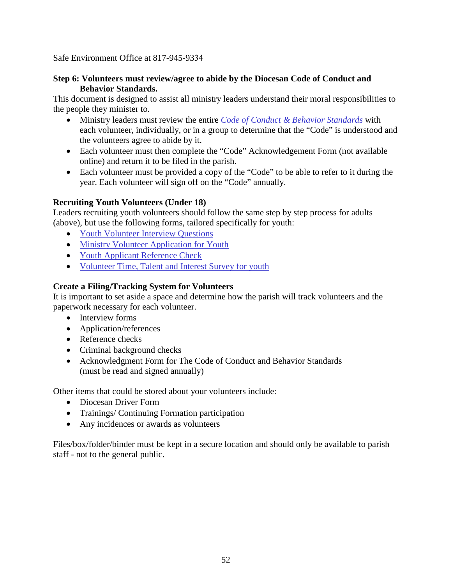Safe Environment Office at 817-945-9334

#### **Step 6: Volunteers must review/agree to abide by the Diocesan Code of Conduct and Behavior Standards.**

This document is designed to assist all ministry leaders understand their moral responsibilities to the people they minister to.

- Ministry leaders must review the entire *[Code of Conduct & Behavior Standards](https://form.jotform.com/80304736187155)* with each volunteer, individually, or in a group to determine that the "Code" is understood and the volunteers agree to abide by it.
- Each volunteer must then complete the "Code" Acknowledgement Form (not available online) and return it to be filed in the parish.
- Each volunteer must be provided a copy of the "Code" to be able to refer to it during the year. Each volunteer will sign off on the "Code" annually.

## **Recruiting Youth Volunteers (Under 18)**

Leaders recruiting youth volunteers should follow the same step by step process for adults (above), but use the following forms, tailored specifically for youth:

- [Youth Volunteer Interview Questions](http://fwdioc.org/volunteer_interview_form_english.pdf)
- [Ministry Volunteer Application for Youth](http://fwdioc.org/volunteer_application_teen_english.pdf)
- [Youth Applicant Reference Check](http://fwdioc.org/volunteer_reference_check_youth_english.pdf)
- [Volunteer Time, Talent and Interest Survey for youth](http://fwdioc.org/volunteer_time_talent_survey_youth_english.pdf)

#### **Create a Filing/Tracking System for Volunteers**

It is important to set aside a space and determine how the parish will track volunteers and the paperwork necessary for each volunteer.

- Interview forms
- Application/references
- Reference checks
- Criminal background checks
- Acknowledgment Form for The Code of Conduct and Behavior Standards (must be read and signed annually)

Other items that could be stored about your volunteers include:

- Diocesan Driver Form
- Trainings/ Continuing Formation participation
- Any incidences or awards as volunteers

Files/box/folder/binder must be kept in a secure location and should only be available to parish staff - not to the general public.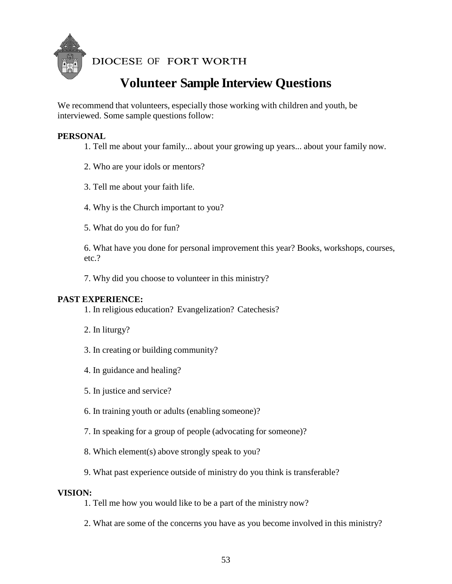

DIOCESE OF FORT WORTH

# **Volunteer Sample Interview Questions**

We recommend that volunteers, especially those working with children and youth, be interviewed. Some sample questions follow:

#### **PERSONAL**

- 1. Tell me about your family... about your growing up years... about your family now.
- 2. Who are your idols or mentors?
- 3. Tell me about your faith life.
- 4. Why is the Church important to you?
- 5. What do you do for fun?

6. What have you done for personal improvement this year? Books, workshops, courses, etc.?

7. Why did you choose to volunteer in this ministry?

#### **PAST EXPERIENCE:**

1. In religious education? Evangelization? Catechesis?

- 2. In liturgy?
- 3. In creating or building community?
- 4. In guidance and healing?
- 5. In justice and service?
- 6. In training youth or adults (enabling someone)?
- 7. In speaking for a group of people (advocating for someone)?
- 8. Which element(s) above strongly speak to you?
- 9. What past experience outside of ministry do you think is transferable?

#### **VISION:**

- 1. Tell me how you would like to be a part of the ministry now?
- 2. What are some of the concerns you have as you become involved in this ministry?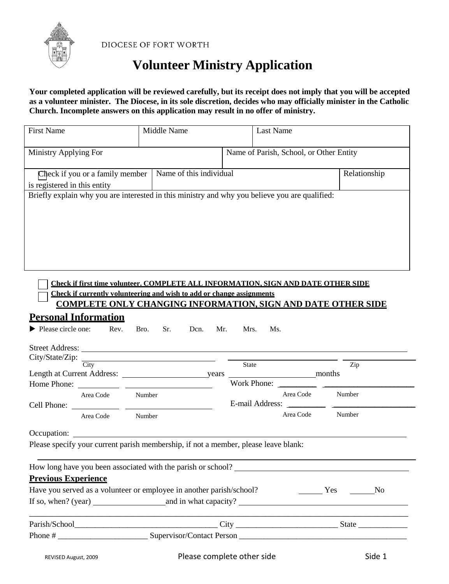

DIOCESE OF FORT WORTH

# **Volunteer Ministry Application**

**Your completed application will be reviewed carefully, but its receipt does not imply that you will be accepted as a volunteer minister. The Diocese, in its sole discretion, decides who may officially minister in the Catholic Church. Incomplete answers on this application may result in no offer of ministry.**

| <b>First Name</b>                                                                              | Middle Name         | <b>Last Name</b>                                                                                                                                                                                                                                                                                                                                                                                                                            |                  |
|------------------------------------------------------------------------------------------------|---------------------|---------------------------------------------------------------------------------------------------------------------------------------------------------------------------------------------------------------------------------------------------------------------------------------------------------------------------------------------------------------------------------------------------------------------------------------------|------------------|
| Ministry Applying For                                                                          |                     | Name of Parish, School, or Other Entity                                                                                                                                                                                                                                                                                                                                                                                                     |                  |
| Check if you or a family member   Name of this individual                                      |                     |                                                                                                                                                                                                                                                                                                                                                                                                                                             | Relationship     |
| is registered in this entity                                                                   |                     |                                                                                                                                                                                                                                                                                                                                                                                                                                             |                  |
| Briefly explain why you are interested in this ministry and why you believe you are qualified: |                     |                                                                                                                                                                                                                                                                                                                                                                                                                                             |                  |
| Check if currently volunteering and wish to add or change assignments                          |                     | <b>Check if first time volunteer. COMPLETE ALL INFORMATION, SIGN AND DATE OTHER SIDE</b><br><b>COMPLETE ONLY CHANGING INFORMATION, SIGN AND DATE OTHER SIDE</b>                                                                                                                                                                                                                                                                             |                  |
| <b>Personal Information</b>                                                                    |                     |                                                                                                                                                                                                                                                                                                                                                                                                                                             |                  |
| $\blacktriangleright$ Please circle one: Rev.<br>$City/State/Zip:$ $\frac{City}{City}$         | Bro.<br>Sr.<br>Dcn. | Mr.<br>Mrs.<br>Ms.<br>State                                                                                                                                                                                                                                                                                                                                                                                                                 | Zip              |
|                                                                                                |                     | Work Phone: $\frac{1}{\sqrt{1-\frac{1}{2}} \cdot \frac{1}{\sqrt{1-\frac{1}{2}} \cdot \frac{1}{2}} \cdot \frac{1}{\sqrt{1-\frac{1}{2}} \cdot \frac{1}{2}}}{\sqrt{1-\frac{1}{2}} \cdot \frac{1}{2} \cdot \frac{1}{2} \cdot \frac{1}{2} \cdot \frac{1}{2} \cdot \frac{1}{2} \cdot \frac{1}{2} \cdot \frac{1}{2} \cdot \frac{1}{2} \cdot \frac{1}{2} \cdot \frac{1}{2} \cdot \frac{1}{2} \cdot \frac{1}{2} \cdot \frac{1}{2} \cdot \frac{1}{2}$ |                  |
| Area Code Number                                                                               |                     | Area Code<br>E-mail Address:                                                                                                                                                                                                                                                                                                                                                                                                                | Number           |
| Area Code Number                                                                               |                     |                                                                                                                                                                                                                                                                                                                                                                                                                                             | Area Code Number |
|                                                                                                |                     |                                                                                                                                                                                                                                                                                                                                                                                                                                             |                  |
| Please specify your current parish membership, if not a member, please leave blank:            |                     |                                                                                                                                                                                                                                                                                                                                                                                                                                             |                  |
| How long have you been associated with the parish or school?                                   |                     |                                                                                                                                                                                                                                                                                                                                                                                                                                             |                  |
| <b>Previous Experience</b>                                                                     |                     |                                                                                                                                                                                                                                                                                                                                                                                                                                             |                  |
| Have you served as a volunteer or employee in another parish/school?                           |                     |                                                                                                                                                                                                                                                                                                                                                                                                                                             | No Nesternal No  |
|                                                                                                |                     |                                                                                                                                                                                                                                                                                                                                                                                                                                             |                  |
|                                                                                                |                     |                                                                                                                                                                                                                                                                                                                                                                                                                                             |                  |
|                                                                                                |                     |                                                                                                                                                                                                                                                                                                                                                                                                                                             |                  |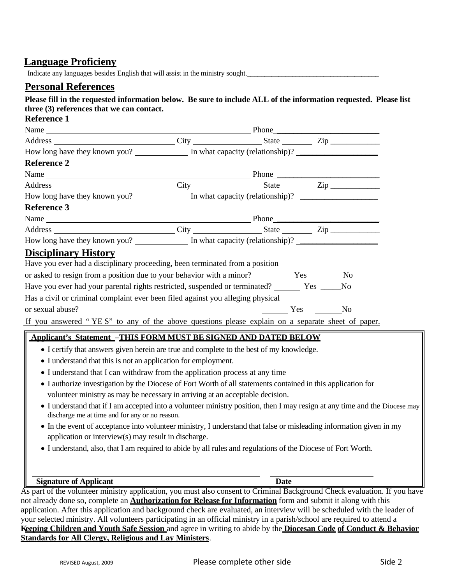## **Language Proficieny**

Indicate any languages besides English that will assist in the ministry sought.

### **Personal References**

#### **Please fill in the requested information below. Be sure to include ALL of the information requested. Please list three (3) references that we can contact.**

| <b>Reference 1</b>                                                                                                                                                           |  |                |  |
|------------------------------------------------------------------------------------------------------------------------------------------------------------------------------|--|----------------|--|
| Name<br>Phone Phone Phone                                                                                                                                                    |  |                |  |
| Address City State Zip                                                                                                                                                       |  |                |  |
| How long have they known you? In what capacity (relationship)?                                                                                                               |  |                |  |
| <b>Reference 2</b>                                                                                                                                                           |  |                |  |
|                                                                                                                                                                              |  |                |  |
| Address City City State Zip                                                                                                                                                  |  |                |  |
| How long have they known you? In what capacity (relationship)?                                                                                                               |  |                |  |
| <b>Reference 3</b>                                                                                                                                                           |  |                |  |
| Name Phone                                                                                                                                                                   |  |                |  |
| Address City City State Zip                                                                                                                                                  |  |                |  |
| How long have they known you? ______________ In what capacity (relationship)? ______________________                                                                         |  |                |  |
| <b>Disciplinary History</b>                                                                                                                                                  |  |                |  |
| Have you ever had a disciplinary proceeding, been terminated from a position                                                                                                 |  |                |  |
| or asked to resign from a position due to your behavior with a minor? The Yes The No                                                                                         |  |                |  |
| Have you ever had your parental rights restricted, suspended or terminated? ______ Yes ____                                                                                  |  | N <sub>0</sub> |  |
| Has a civil or criminal complaint ever been filed against you alleging physical                                                                                              |  |                |  |
| or sexual abuse?                                                                                                                                                             |  |                |  |
| If you answered "YES" to any of the above questions please explain on a separate sheet of paper.                                                                             |  |                |  |
| <b>Applicant's Statement -THIS FORM MUST BE SIGNED AND DATED BELOW</b>                                                                                                       |  |                |  |
| • I certify that answers given herein are true and complete to the best of my knowledge.                                                                                     |  |                |  |
| • I understand that this is not an application for employment.                                                                                                               |  |                |  |
| • I understand that I can withdraw from the application process at any time                                                                                                  |  |                |  |
| • I authorize investigation by the Diocese of Fort Worth of all statements contained in this application for                                                                 |  |                |  |
| volunteer ministry as may be necessary in arriving at an acceptable decision.                                                                                                |  |                |  |
| • I understand that if I am accepted into a volunteer ministry position, then I may resign at any time and the Diocese may<br>discharge me at time and for any or no reason. |  |                |  |
| • In the event of acceptance into volunteer ministry, I understand that false or misleading information given in my                                                          |  |                |  |
| application or interview(s) may result in discharge.                                                                                                                         |  |                |  |
| • I understand, also, that I am required to abide by all rules and regulations of the Diocese of Fort Worth.                                                                 |  |                |  |
|                                                                                                                                                                              |  |                |  |

#### **Signature of Applicant Date**

As part of the volunteer ministry application, you must also consent to Criminal Background Check evaluation. If you have not already done so, complete an **Authorization for Release for Information** form and submit it along with this application. After this application and background check are evaluated, an interview will be scheduled with the leader of your selected ministry. All volunteers participating in an official ministry in a parish/school are required to attend a **Keeping Children and Youth Safe Session** and agree in writing to abide by the **Diocesan Code of Conduct & Behavior Standards for All Clergy, Religious and Lay Ministers**.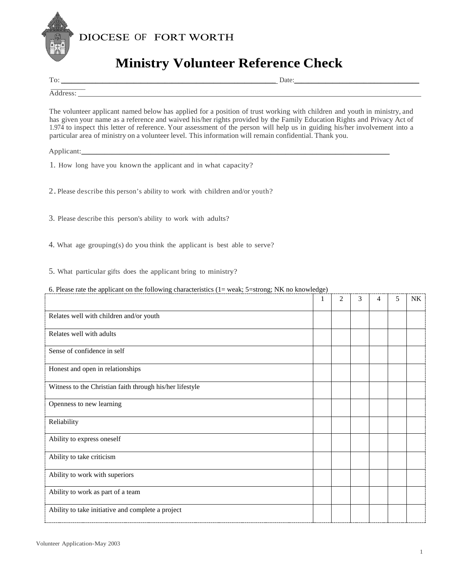



# **Ministry Volunteer Reference Check**

To: \_\_\_\_\_\_\_\_\_\_\_\_\_\_\_\_\_\_\_\_\_\_\_\_\_\_\_\_\_\_\_\_\_\_\_\_\_\_\_\_\_\_\_\_\_\_\_\_\_\_\_\_\_\_\_\_\_\_\_\_\_\_ Date:\_\_\_\_\_\_\_\_\_\_\_\_\_\_\_\_\_\_\_\_\_\_\_\_\_\_\_\_\_\_\_\_\_\_\_\_ \_\_\_\_\_\_\_\_\_\_

Address:

The volunteer applicant named below has applied for a position of trust working with children and youth in ministry, and has given your name as a reference and waived his/her rights provided by the Family Education Rights and Privacy Act of 1.974 to inspect this letter of reference. Your assessment of the person will help us in guiding his/her involvement into a particular area of ministry on a volunteer level. This information will remain confidential. Thank you.

Applicant:\_\_\_\_\_\_\_\_\_\_\_\_\_\_\_\_\_\_\_\_\_\_\_\_\_\_\_\_\_\_\_\_\_\_\_\_\_\_\_\_\_\_\_\_\_\_\_\_\_\_\_\_\_\_\_\_\_\_\_\_\_\_\_\_\_\_\_\_\_\_\_\_\_\_\_\_\_\_\_\_

- 1. How long have you known the applicant and in what capacity?
- 2.Please describe this person's ability to work with children and/or youth?
- 3. Please describe this person's ability to work with adults?
- 4. What age grouping(s) do you think the applicant is best able to serve?
- 5. What particular gifts does the applicant bring to ministry?

#### 6. Please rate the applicant on the following characteristics (1= weak; 5=strong; NK no knowledge)

|                                                          | 1 | $\overline{c}$ | 3 | 4 | 5 | NK |
|----------------------------------------------------------|---|----------------|---|---|---|----|
| Relates well with children and/or youth                  |   |                |   |   |   |    |
| Relates well with adults                                 |   |                |   |   |   |    |
| Sense of confidence in self                              |   |                |   |   |   |    |
| Honest and open in relationships                         |   |                |   |   |   |    |
| Witness to the Christian faith through his/her lifestyle |   |                |   |   |   |    |
| Openness to new learning                                 |   |                |   |   |   |    |
| Reliability                                              |   |                |   |   |   |    |
| Ability to express oneself                               |   |                |   |   |   |    |
| Ability to take criticism                                |   |                |   |   |   |    |
| Ability to work with superiors                           |   |                |   |   |   |    |
| Ability to work as part of a team                        |   |                |   |   |   |    |
| Ability to take initiative and complete a project        |   |                |   |   |   |    |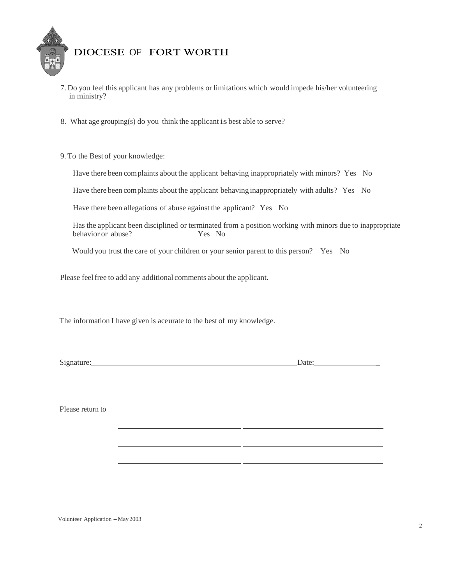

- 7. Do you feel this applicant has any problems or limitations which would impede his/her volunteering in ministry?
- 8. What age grouping(s) do you think the applicant is best able to serve?
- 9. To the Best of your knowledge:

Have there been complaints about the applicant behaving inappropriately with minors? Yes No

Have there been complaints about the applicant behaving inappropriately with adults? Yes No

Have there been allegations of abuse against the applicant? Yes No

Has the applicant been disciplined or terminated from a position working with minors due to inappropriate behavior or abuse? Yes No

 $-1$ 

Would you trust the care of your children or your senior parent to this person? Yes No

Please feel free to add any additional comments about the applicant.

The information I have given is aceurate to the best of my knowledge.

Signature: Date: Date: Date:

Please return to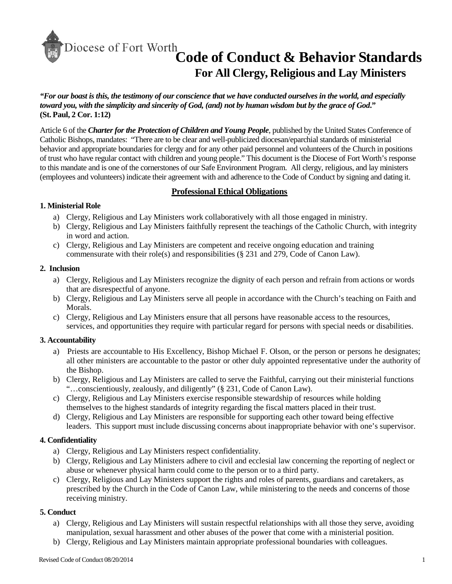# **Code of Conduct & Behavior Standards For All Clergy, Religious and Lay Ministers**

*"For our boast is this, the testimony of our conscience that we have conducted ourselves in the world, and especially toward you, with the simplicity and sincerity of God, (and) not by human wisdom but by the grace of God***." (St. Paul, 2 Cor. 1:12)**

Article 6 of the *Charter for the Protection of Children and Young People*, published by the United States Conference of Catholic Bishops, mandates: "There are to be clear and well-publicized diocesan/eparchial standards of ministerial behavior and appropriate boundaries for clergy and for any other paid personnel and volunteers of the Church in positions of trust who have regular contact with children and young people." This document is the Diocese of Fort Worth's response to this mandate and is one of the cornerstones of our Safe Environment Program. All clergy, religious, and lay ministers (employees and volunteers) indicate their agreement with and adherence to the Code of Conduct by signing and dating it.

#### **Professional Ethical Obligations**

#### **1. Ministerial Role**

- a) Clergy, Religious and Lay Ministers work collaboratively with all those engaged in ministry.
- b) Clergy, Religious and Lay Ministers faithfully represent the teachings of the Catholic Church, with integrity in word and action.
- c) Clergy, Religious and Lay Ministers are competent and receive ongoing education and training commensurate with their role(s) and responsibilities (§ 231 and 279, Code of Canon Law).

#### **2. Inclusion**

- a) Clergy, Religious and Lay Ministers recognize the dignity of each person and refrain from actions or words that are disrespectful of anyone.
- b) Clergy, Religious and Lay Ministers serve all people in accordance with the Church's teaching on Faith and Morals.
- c) Clergy, Religious and Lay Ministers ensure that all persons have reasonable access to the resources, services, and opportunities they require with particular regard for persons with special needs or disabilities.

#### **3. Accountability**

- a) Priests are accountable to His Excellency, Bishop Michael F. Olson, or the person or persons he designates; all other ministers are accountable to the pastor or other duly appointed representative under the authority of the Bishop.
- b) Clergy, Religious and Lay Ministers are called to serve the Faithful, carrying out their ministerial functions "…conscientiously, zealously, and diligently" (§ 231, Code of Canon Law).
- c) Clergy, Religious and Lay Ministers exercise responsible stewardship of resources while holding themselves to the highest standards of integrity regarding the fiscal matters placed in their trust.
- d) Clergy, Religious and Lay Ministers are responsible for supporting each other toward being effective leaders. This support must include discussing concerns about inappropriate behavior with one's supervisor.

#### **4. Confidentiality**

- a) Clergy, Religious and Lay Ministers respect confidentiality.
- b) Clergy, Religious and Lay Ministers adhere to civil and ecclesial law concerning the reporting of neglect or abuse or whenever physical harm could come to the person or to a third party.
- c) Clergy, Religious and Lay Ministers support the rights and roles of parents, guardians and caretakers, as prescribed by the Church in the Code of Canon Law, while ministering to the needs and concerns of those receiving ministry.

#### **5. Conduct**

- a) Clergy, Religious and Lay Ministers will sustain respectful relationships with all those they serve, avoiding manipulation, sexual harassment and other abuses of the power that come with a ministerial position.
- b) Clergy, Religious and Lay Ministers maintain appropriate professional boundaries with colleagues.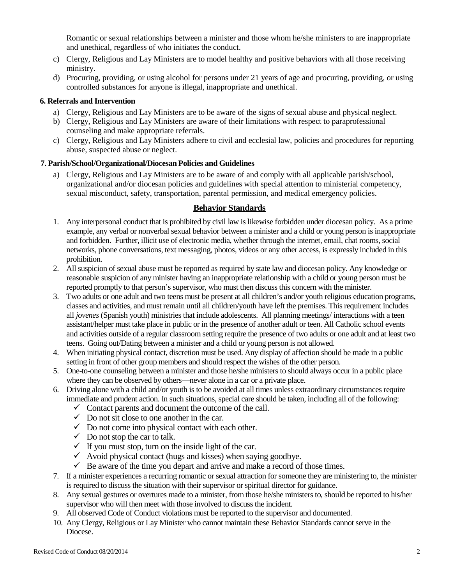Romantic or sexual relationships between a minister and those whom he/she ministers to are inappropriate and unethical, regardless of who initiates the conduct.

- c) Clergy, Religious and Lay Ministers are to model healthy and positive behaviors with all those receiving ministry.
- d) Procuring, providing, or using alcohol for persons under 21 years of age and procuring, providing, or using controlled substances for anyone is illegal, inappropriate and unethical.

#### **6. Referrals and Intervention**

- a) Clergy, Religious and Lay Ministers are to be aware of the signs of sexual abuse and physical neglect.
- b) Clergy, Religious and Lay Ministers are aware of their limitations with respect to paraprofessional counseling and make appropriate referrals.
- c) Clergy, Religious and Lay Ministers adhere to civil and ecclesial law, policies and procedures for reporting abuse, suspected abuse or neglect.

#### **7. Parish/School/Organizational/Diocesan Policies and Guidelines**

a) Clergy, Religious and Lay Ministers are to be aware of and comply with all applicable parish/school, organizational and/or diocesan policies and guidelines with special attention to ministerial competency, sexual misconduct, safety, transportation, parental permission, and medical emergency policies.

#### **Behavior Standards**

- 1. Any interpersonal conduct that is prohibited by civil law is likewise forbidden under diocesan policy. As a prime example, any verbal or nonverbal sexual behavior between a minister and a child or young person is inappropriate and forbidden. Further, illicit use of electronic media, whether through the internet, email, chat rooms, social networks, phone conversations, text messaging, photos, videos or any other access, is expressly included in this prohibition.
- 2. All suspicion of sexual abuse must be reported as required by state law and diocesan policy. Any knowledge or reasonable suspicion of any minister having an inappropriate relationship with a child or young person must be reported promptly to that person's supervisor, who must then discuss this concern with the minister.
- 3. Two adults or one adult and two teens must be present at all children's and/or youth religious education programs, classes and activities, and must remain until all children/youth have left the premises. This requirement includes all *jovenes* (Spanish youth) ministries that include adolescents. All planning meetings/ interactions with a teen assistant/helper must take place in public or in the presence of another adult or teen. All Catholic school events and activities outside of a regular classroom setting require the presence of two adults or one adult and at least two teens. Going out/Dating between a minister and a child or young person is not allowed.
- 4. When initiating physical contact, discretion must be used. Any display of affection should be made in a public setting in front of other group members and should respect the wishes of the other person.
- 5. One-to-one counseling between a minister and those he/she ministers to should always occur in a public place where they can be observed by others—never alone in a car or a private place.
- 6. Driving alone with a child and/or youth is to be avoided at all times unless extraordinary circumstances require immediate and prudent action. In such situations, special care should be taken, including all of the following:
	- $\checkmark$  Contact parents and document the outcome of the call.
	- $\checkmark$  Do not sit close to one another in the car.
	- $\checkmark$  Do not come into physical contact with each other.
	- $\checkmark$  Do not stop the car to talk.
	- $\checkmark$  If you must stop, turn on the inside light of the car.
	- $\checkmark$  Avoid physical contact (hugs and kisses) when saying goodbye.
	- $\checkmark$  Be aware of the time you depart and arrive and make a record of those times.
- 7. If a minister experiences a recurring romantic or sexual attraction for someone they are ministering to, the minister is required to discuss the situation with their supervisor or spiritual director for guidance.
- 8. Any sexual gestures or overtures made to a minister, from those he/she ministers to, should be reported to his/her supervisor who will then meet with those involved to discuss the incident.
- 9. All observed Code of Conduct violations must be reported to the supervisor and documented.
- 10. Any Clergy, Religious or Lay Minister who cannot maintain these Behavior Standards cannot serve in the Diocese.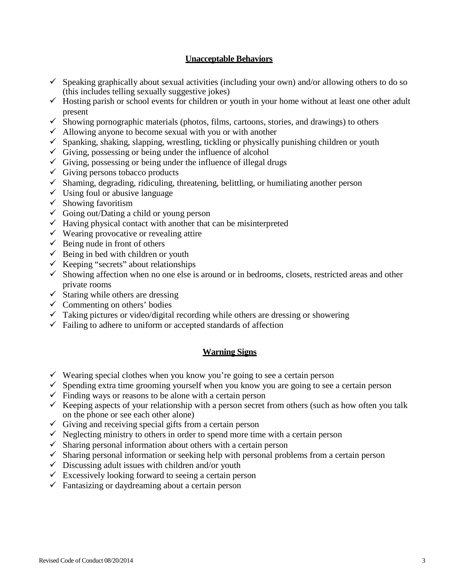#### **Unacceptable Behaviors**

- $\checkmark$  Speaking graphically about sexual activities (including your own) and/or allowing others to do so (this includes telling sexually suggestive jokes)
- $\checkmark$  Hosting parish or school events for children or youth in your home without at least one other adult present
- $\checkmark$  Showing pornographic materials (photos, films, cartoons, stories, and drawings) to others
- $\checkmark$  Allowing anyone to become sexual with you or with another
- $\checkmark$  Spanking, shaking, slapping, wrestling, tickling or physically punishing children or youth
- $\checkmark$  Giving, possessing or being under the influence of alcohol
- $\checkmark$  Giving, possessing or being under the influence of illegal drugs
- $\checkmark$  Giving persons tobacco products
- $\checkmark$  Shaming, degrading, ridiculing, threatening, belittling, or humiliating another person
- $\checkmark$  Using foul or abusive language
- $\checkmark$  Showing favoritism
- $\checkmark$  Going out/Dating a child or young person
- $\checkmark$  Having physical contact with another that can be misinterpreted
- $\checkmark$  Wearing provocative or revealing attire
- $\checkmark$  Being nude in front of others
- $\checkmark$  Being in bed with children or youth
- $\checkmark$  Keeping "secrets" about relationships
- $\checkmark$  Showing affection when no one else is around or in bedrooms, closets, restricted areas and other private rooms
- $\checkmark$  Staring while others are dressing
- $\checkmark$  Commenting on others' bodies
- $\checkmark$  Taking pictures or video/digital recording while others are dressing or showering
- $\checkmark$  Failing to adhere to uniform or accepted standards of affection

#### **Warning Signs**

- $\checkmark$  Wearing special clothes when you know you're going to see a certain person
- $\checkmark$  Spending extra time grooming yourself when you know you are going to see a certain person
- $\checkmark$  Finding ways or reasons to be alone with a certain person
- $\checkmark$  Keeping aspects of your relationship with a person secret from others (such as how often you talk on the phone or see each other alone)
- $\checkmark$  Giving and receiving special gifts from a certain person
- $\checkmark$  Neglecting ministry to others in order to spend more time with a certain person
- $\checkmark$  Sharing personal information about others with a certain person
- $\checkmark$  Sharing personal information or seeking help with personal problems from a certain person
- $\checkmark$  Discussing adult issues with children and/or youth
- $\checkmark$  Excessively looking forward to seeing a certain person
- $\checkmark$  Fantasizing or daydreaming about a certain person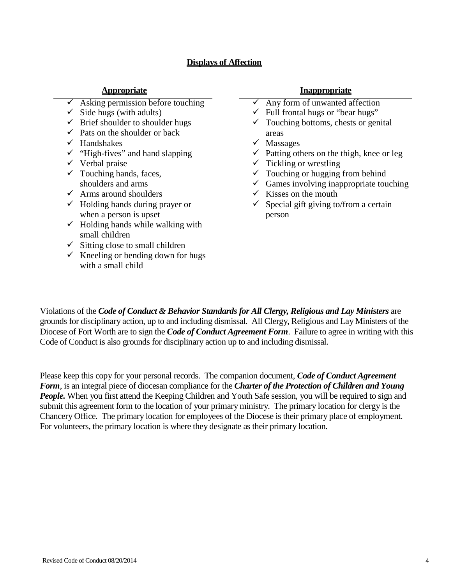#### **Displays of Affection**

| <b>Appropriate</b>                               | <b>Inappropriate</b>                                  |
|--------------------------------------------------|-------------------------------------------------------|
| Asking permission before touching                | $\checkmark$ Any form of unwanted affection           |
| Side hugs (with adults)                          | $\checkmark$ Full frontal hugs or "bear hugs"         |
| Brief shoulder to shoulder hugs                  | $\checkmark$ Touching bottoms, chests or genital      |
| Pats on the shoulder or back                     | areas                                                 |
| Handshakes                                       | Massages<br>v.                                        |
| "High-fives" and hand slapping                   | Patting others on the thigh, knee or leg              |
| Verbal praise                                    | $\checkmark$ Tickling or wrestling                    |
| $\checkmark$ Touching hands, faces,              | $\checkmark$ Touching or hugging from behind          |
| shoulders and arms                               | $\checkmark$ Games involving inappropriate touching   |
| Arms around shoulders                            | Kisses on the mouth<br>$\checkmark$                   |
| Holding hands during prayer or<br>✓              | Special gift giving to/from a certain<br>$\checkmark$ |
| when a person is upset                           | person                                                |
| Holding hands while walking with<br>$\checkmark$ |                                                       |
| small children                                   |                                                       |
| Sitting close to small children                  |                                                       |
| Kneeling or bending down for hugs                |                                                       |
| with a small child                               |                                                       |

#### **Appropriate Inappropriate**

Violations of the *Code of Conduct & Behavior Standards for All Clergy, Religious and Lay Ministers* are grounds for disciplinary action, up to and including dismissal. All Clergy, Religious and Lay Ministers of the Diocese of Fort Worth are to sign the *Code of Conduct Agreement Form*. Failure to agree in writing with this Code of Conduct is also grounds for disciplinary action up to and including dismissal.

Please keep this copy for your personal records. The companion document, *Code of Conduct Agreement Form*, is an integral piece of diocesan compliance for the *Charter of the Protection of Children and Young People*. When you first attend the Keeping Children and Youth Safe session, you will be required to sign and submit this agreement form to the location of your primary ministry. The primary location for clergy is the Chancery Office. The primary location for employees of the Diocese is their primary place of employment. For volunteers, the primary location is where they designate as their primary location.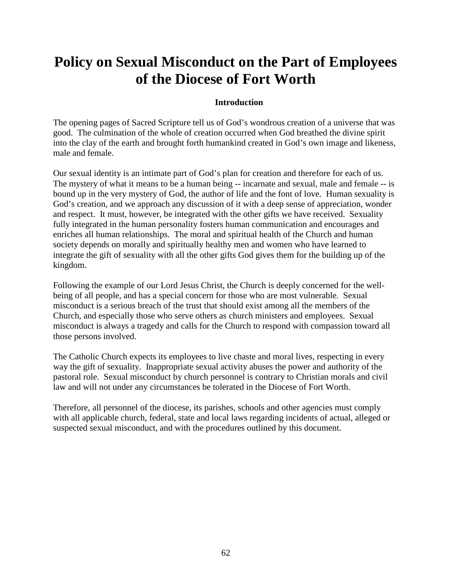# **Policy on Sexual Misconduct on the Part of Employees of the Diocese of Fort Worth**

#### **Introduction**

The opening pages of Sacred Scripture tell us of God's wondrous creation of a universe that was good. The culmination of the whole of creation occurred when God breathed the divine spirit into the clay of the earth and brought forth humankind created in God's own image and likeness, male and female.

Our sexual identity is an intimate part of God's plan for creation and therefore for each of us. The mystery of what it means to be a human being -- incarnate and sexual, male and female -- is bound up in the very mystery of God, the author of life and the font of love. Human sexuality is God's creation, and we approach any discussion of it with a deep sense of appreciation, wonder and respect. It must, however, be integrated with the other gifts we have received. Sexuality fully integrated in the human personality fosters human communication and encourages and enriches all human relationships. The moral and spiritual health of the Church and human society depends on morally and spiritually healthy men and women who have learned to integrate the gift of sexuality with all the other gifts God gives them for the building up of the kingdom.

Following the example of our Lord Jesus Christ, the Church is deeply concerned for the wellbeing of all people, and has a special concern for those who are most vulnerable. Sexual misconduct is a serious breach of the trust that should exist among all the members of the Church, and especially those who serve others as church ministers and employees. Sexual misconduct is always a tragedy and calls for the Church to respond with compassion toward all those persons involved.

The Catholic Church expects its employees to live chaste and moral lives, respecting in every way the gift of sexuality. Inappropriate sexual activity abuses the power and authority of the pastoral role. Sexual misconduct by church personnel is contrary to Christian morals and civil law and will not under any circumstances be tolerated in the Diocese of Fort Worth.

Therefore, all personnel of the diocese, its parishes, schools and other agencies must comply with all applicable church, federal, state and local laws regarding incidents of actual, alleged or suspected sexual misconduct, and with the procedures outlined by this document.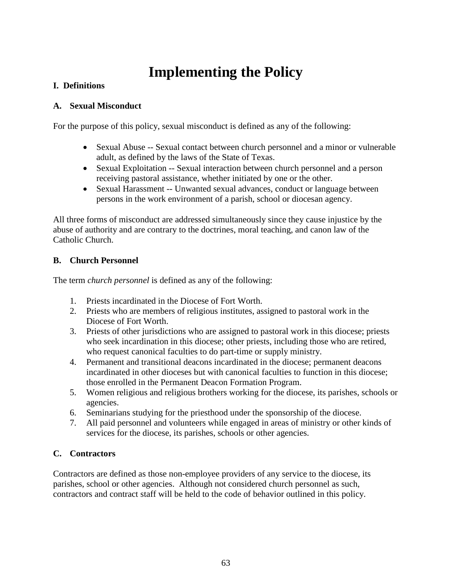# **Implementing the Policy**

## **I. Definitions**

### **A. Sexual Misconduct**

For the purpose of this policy, sexual misconduct is defined as any of the following:

- Sexual Abuse -- Sexual contact between church personnel and a minor or vulnerable adult, as defined by the laws of the State of Texas.
- Sexual Exploitation -- Sexual interaction between church personnel and a person receiving pastoral assistance, whether initiated by one or the other.
- Sexual Harassment -- Unwanted sexual advances, conduct or language between persons in the work environment of a parish, school or diocesan agency.

All three forms of misconduct are addressed simultaneously since they cause injustice by the abuse of authority and are contrary to the doctrines, moral teaching, and canon law of the Catholic Church.

## **B. Church Personnel**

The term *church personnel* is defined as any of the following:

- 1. Priests incardinated in the Diocese of Fort Worth.
- 2. Priests who are members of religious institutes, assigned to pastoral work in the Diocese of Fort Worth.
- 3. Priests of other jurisdictions who are assigned to pastoral work in this diocese; priests who seek incardination in this diocese; other priests, including those who are retired, who request canonical faculties to do part-time or supply ministry.
- 4. Permanent and transitional deacons incardinated in the diocese; permanent deacons incardinated in other dioceses but with canonical faculties to function in this diocese; those enrolled in the Permanent Deacon Formation Program.
- 5. Women religious and religious brothers working for the diocese, its parishes, schools or agencies.
- 6. Seminarians studying for the priesthood under the sponsorship of the diocese.
- 7. All paid personnel and volunteers while engaged in areas of ministry or other kinds of services for the diocese, its parishes, schools or other agencies.

## **C. Contractors**

Contractors are defined as those non-employee providers of any service to the diocese, its parishes, school or other agencies. Although not considered church personnel as such, contractors and contract staff will be held to the code of behavior outlined in this policy.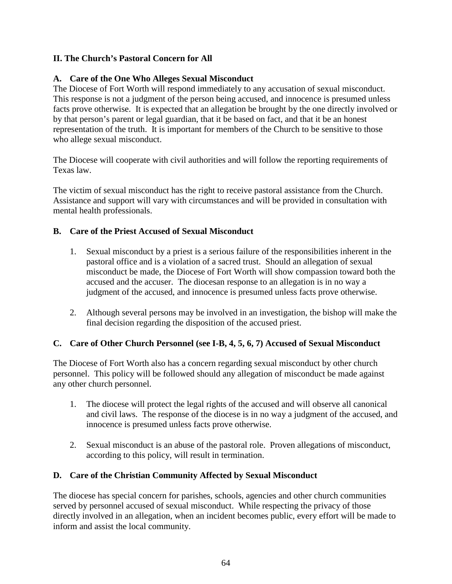### **II. The Church's Pastoral Concern for All**

#### **A. Care of the One Who Alleges Sexual Misconduct**

The Diocese of Fort Worth will respond immediately to any accusation of sexual misconduct. This response is not a judgment of the person being accused, and innocence is presumed unless facts prove otherwise. It is expected that an allegation be brought by the one directly involved or by that person's parent or legal guardian, that it be based on fact, and that it be an honest representation of the truth. It is important for members of the Church to be sensitive to those who allege sexual misconduct.

The Diocese will cooperate with civil authorities and will follow the reporting requirements of Texas law.

The victim of sexual misconduct has the right to receive pastoral assistance from the Church. Assistance and support will vary with circumstances and will be provided in consultation with mental health professionals.

### **B. Care of the Priest Accused of Sexual Misconduct**

- 1. Sexual misconduct by a priest is a serious failure of the responsibilities inherent in the pastoral office and is a violation of a sacred trust. Should an allegation of sexual misconduct be made, the Diocese of Fort Worth will show compassion toward both the accused and the accuser. The diocesan response to an allegation is in no way a judgment of the accused, and innocence is presumed unless facts prove otherwise.
- 2. Although several persons may be involved in an investigation, the bishop will make the final decision regarding the disposition of the accused priest.

## **C. Care of Other Church Personnel (see I-B, 4, 5, 6, 7) Accused of Sexual Misconduct**

The Diocese of Fort Worth also has a concern regarding sexual misconduct by other church personnel. This policy will be followed should any allegation of misconduct be made against any other church personnel.

- 1. The diocese will protect the legal rights of the accused and will observe all canonical and civil laws. The response of the diocese is in no way a judgment of the accused, and innocence is presumed unless facts prove otherwise.
- 2. Sexual misconduct is an abuse of the pastoral role. Proven allegations of misconduct, according to this policy, will result in termination.

## **D. Care of the Christian Community Affected by Sexual Misconduct**

The diocese has special concern for parishes, schools, agencies and other church communities served by personnel accused of sexual misconduct. While respecting the privacy of those directly involved in an allegation, when an incident becomes public, every effort will be made to inform and assist the local community.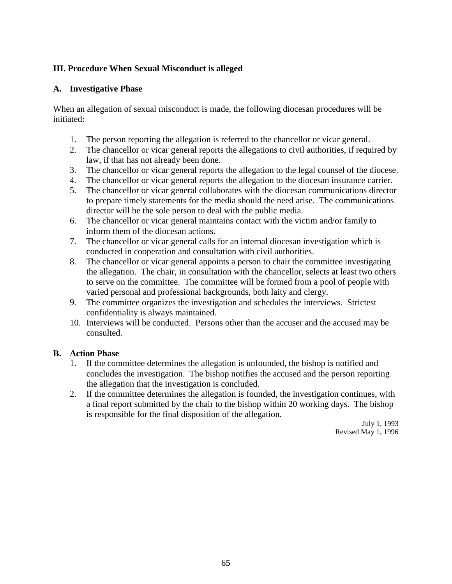### **III. Procedure When Sexual Misconduct is alleged**

#### **A. Investigative Phase**

When an allegation of sexual misconduct is made, the following diocesan procedures will be initiated:

- 1. The person reporting the allegation is referred to the chancellor or vicar general.
- 2. The chancellor or vicar general reports the allegations to civil authorities, if required by law, if that has not already been done.
- 3. The chancellor or vicar general reports the allegation to the legal counsel of the diocese.
- 4. The chancellor or vicar general reports the allegation to the diocesan insurance carrier.
- 5. The chancellor or vicar general collaborates with the diocesan communications director to prepare timely statements for the media should the need arise. The communications director will be the sole person to deal with the public media.
- 6. The chancellor or vicar general maintains contact with the victim and/or family to inform them of the diocesan actions.
- 7. The chancellor or vicar general calls for an internal diocesan investigation which is conducted in cooperation and consultation with civil authorities.
- 8. The chancellor or vicar general appoints a person to chair the committee investigating the allegation. The chair, in consultation with the chancellor, selects at least two others to serve on the committee. The committee will be formed from a pool of people with varied personal and professional backgrounds, both laity and clergy.
- 9. The committee organizes the investigation and schedules the interviews. Strictest confidentiality is always maintained.
- 10. Interviews will be conducted. Persons other than the accuser and the accused may be consulted.

#### **B. Action Phase**

- 1. If the committee determines the allegation is unfounded, the bishop is notified and concludes the investigation. The bishop notifies the accused and the person reporting the allegation that the investigation is concluded.
- 2. If the committee determines the allegation is founded, the investigation continues, with a final report submitted by the chair to the bishop within 20 working days. The bishop is responsible for the final disposition of the allegation.

July 1, 1993 Revised May 1, 1996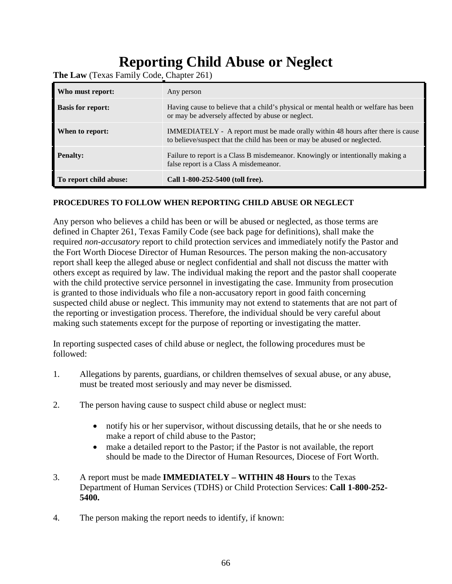# **Reporting Child Abuse or Neglect**

| Who must report:         | Any person                                                                                                                                                          |
|--------------------------|---------------------------------------------------------------------------------------------------------------------------------------------------------------------|
| <b>Basis for report:</b> | Having cause to believe that a child's physical or mental health or welfare has been<br>or may be adversely affected by abuse or neglect.                           |
| When to report:          | <b>IMMEDIATELY</b> - A report must be made orally within 48 hours after there is cause<br>to believe/suspect that the child has been or may be abused or neglected. |
| <b>Penalty:</b>          | Failure to report is a Class B misdemeanor. Knowingly or intentionally making a<br>false report is a Class A misdemeanor.                                           |
| To report child abuse:   | Call 1-800-252-5400 (toll free).                                                                                                                                    |

**The Law** (Texas Family Code, Chapter 261)

#### **PROCEDURES TO FOLLOW WHEN REPORTING CHILD ABUSE OR NEGLECT**

Any person who believes a child has been or will be abused or neglected, as those terms are defined in Chapter 261, Texas Family Code (see back page for definitions), shall make the required *non-accusatory* report to child protection services and immediately notify the Pastor and the Fort Worth Diocese Director of Human Resources. The person making the non-accusatory report shall keep the alleged abuse or neglect confidential and shall not discuss the matter with others except as required by law. The individual making the report and the pastor shall cooperate with the child protective service personnel in investigating the case. Immunity from prosecution is granted to those individuals who file a non-accusatory report in good faith concerning suspected child abuse or neglect. This immunity may not extend to statements that are not part of the reporting or investigation process. Therefore, the individual should be very careful about making such statements except for the purpose of reporting or investigating the matter.

In reporting suspected cases of child abuse or neglect, the following procedures must be followed:

- 1. Allegations by parents, guardians, or children themselves of sexual abuse, or any abuse, must be treated most seriously and may never be dismissed.
- 2. The person having cause to suspect child abuse or neglect must:
	- notify his or her supervisor, without discussing details, that he or she needs to make a report of child abuse to the Pastor;
	- make a detailed report to the Pastor; if the Pastor is not available, the report should be made to the Director of Human Resources, Diocese of Fort Worth.
- 3. A report must be made **IMMEDIATELY WITHIN 48 Hours** to the Texas Department of Human Services (TDHS) or Child Protection Services: **Call 1-800-252- 5400.**
- 4. The person making the report needs to identify, if known: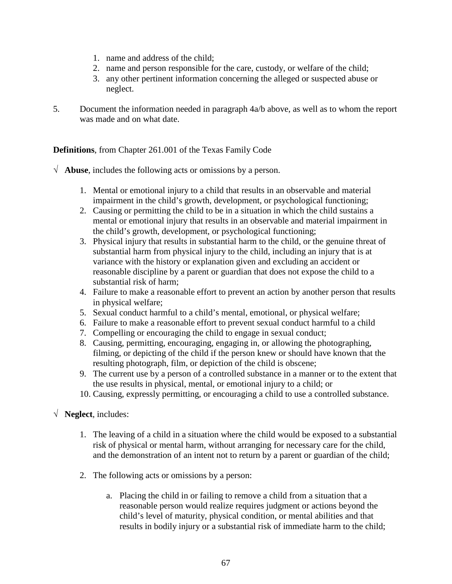- 1. name and address of the child;
- 2. name and person responsible for the care, custody, or welfare of the child;
- 3. any other pertinent information concerning the alleged or suspected abuse or neglect.
- 5. Document the information needed in paragraph 4a/b above, as well as to whom the report was made and on what date.

#### **Definitions**, from Chapter 261.001 of the Texas Family Code

- √ **Abuse**, includes the following acts or omissions by a person.
	- 1. Mental or emotional injury to a child that results in an observable and material impairment in the child's growth, development, or psychological functioning;
	- 2. Causing or permitting the child to be in a situation in which the child sustains a mental or emotional injury that results in an observable and material impairment in the child's growth, development, or psychological functioning;
	- 3. Physical injury that results in substantial harm to the child, or the genuine threat of substantial harm from physical injury to the child, including an injury that is at variance with the history or explanation given and excluding an accident or reasonable discipline by a parent or guardian that does not expose the child to a substantial risk of harm;
	- 4. Failure to make a reasonable effort to prevent an action by another person that results in physical welfare;
	- 5. Sexual conduct harmful to a child's mental, emotional, or physical welfare;
	- 6. Failure to make a reasonable effort to prevent sexual conduct harmful to a child
	- 7. Compelling or encouraging the child to engage in sexual conduct;
	- 8. Causing, permitting, encouraging, engaging in, or allowing the photographing, filming, or depicting of the child if the person knew or should have known that the resulting photograph, film, or depiction of the child is obscene;
	- 9. The current use by a person of a controlled substance in a manner or to the extent that the use results in physical, mental, or emotional injury to a child; or
	- 10. Causing, expressly permitting, or encouraging a child to use a controlled substance.
- √ **Neglect**, includes:
	- 1. The leaving of a child in a situation where the child would be exposed to a substantial risk of physical or mental harm, without arranging for necessary care for the child, and the demonstration of an intent not to return by a parent or guardian of the child;
	- 2. The following acts or omissions by a person:
		- a. Placing the child in or failing to remove a child from a situation that a reasonable person would realize requires judgment or actions beyond the child's level of maturity, physical condition, or mental abilities and that results in bodily injury or a substantial risk of immediate harm to the child;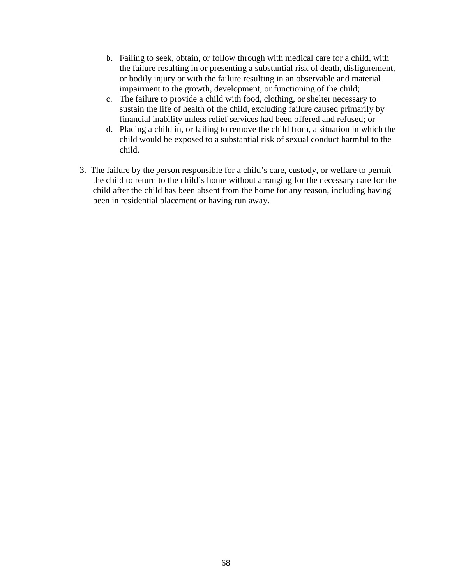- b. Failing to seek, obtain, or follow through with medical care for a child, with the failure resulting in or presenting a substantial risk of death, disfigurement, or bodily injury or with the failure resulting in an observable and material impairment to the growth, development, or functioning of the child;
- c. The failure to provide a child with food, clothing, or shelter necessary to sustain the life of health of the child, excluding failure caused primarily by financial inability unless relief services had been offered and refused; or
- d. Placing a child in, or failing to remove the child from, a situation in which the child would be exposed to a substantial risk of sexual conduct harmful to the child.
- 3. The failure by the person responsible for a child's care, custody, or welfare to permit the child to return to the child's home without arranging for the necessary care for the child after the child has been absent from the home for any reason, including having been in residential placement or having run away.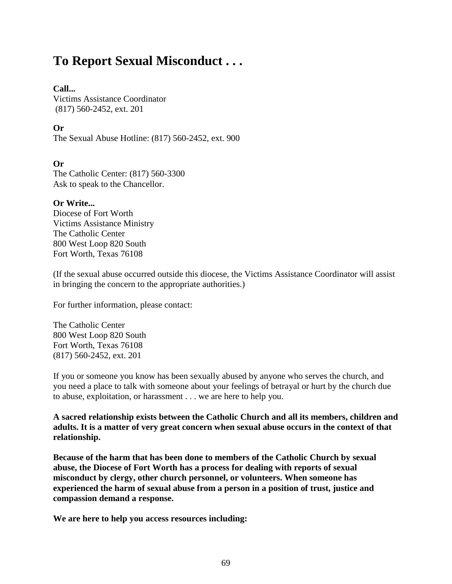# **To Report Sexual Misconduct . . .**

#### **Call...**

Victims Assistance Coordinator (817) 560-2452, ext. 201

#### **Or**

The Sexual Abuse Hotline: (817) 560-2452, ext. 900

#### **Or**

The Catholic Center: (817) 560-3300 Ask to speak to the Chancellor.

#### **Or Write...**

Diocese of Fort Worth Victims Assistance Ministry The Catholic Center 800 West Loop 820 South Fort Worth, Texas 76108

(If the sexual abuse occurred outside this diocese, the Victims Assistance Coordinator will assist in bringing the concern to the appropriate authorities.)

For further information, please contact:

The Catholic Center 800 West Loop 820 South Fort Worth, Texas 76108 (817) 560-2452, ext. 201

If you or someone you know has been sexually abused by anyone who serves the church, and you need a place to talk with someone about your feelings of betrayal or hurt by the church due to abuse, exploitation, or harassment . . . we are here to help you.

**A sacred relationship exists between the Catholic Church and all its members, children and adults. It is a matter of very great concern when sexual abuse occurs in the context of that relationship.**

**Because of the harm that has been done to members of the Catholic Church by sexual abuse, the Diocese of Fort Worth has a process for dealing with reports of sexual misconduct by clergy, other church personnel, or volunteers. When someone has experienced the harm of sexual abuse from a person in a position of trust, justice and compassion demand a response.**

**We are here to help you access resources including:**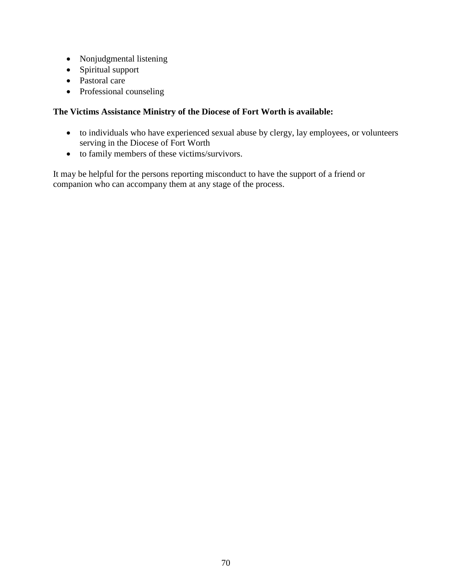- Nonjudgmental listening
- Spiritual support
- Pastoral care
- Professional counseling

#### **The Victims Assistance Ministry of the Diocese of Fort Worth is available:**

- to individuals who have experienced sexual abuse by clergy, lay employees, or volunteers serving in the Diocese of Fort Worth
- to family members of these victims/survivors.

It may be helpful for the persons reporting misconduct to have the support of a friend or companion who can accompany them at any stage of the process.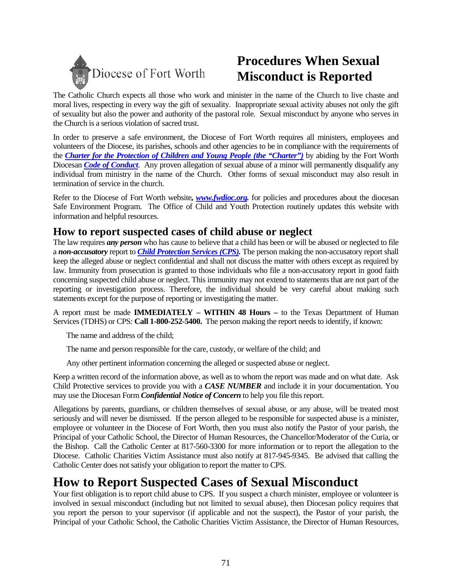

# **Procedures When Sexual Misconduct is Reported**

The Catholic Church expects all those who work and minister in the name of the Church to live chaste and moral lives, respecting in every way the gift of sexuality. Inappropriate sexual activity abuses not only the gift of sexuality but also the power and authority of the pastoral role. Sexual misconduct by anyone who serves in the Church is a serious violation of sacred trust.

In order to preserve a safe environment, the Diocese of Fort Worth requires all ministers, employees and volunteers of the Diocese, its parishes, schools and other agencies to be in compliance with the requirements of the *[Charter for the Protection of Children and Young People \(the "Charter"\)](http://www.usccb.org/ocyp/charter.shtml)* by abiding by the Fort Worth Diocesan *[Code of Conduct](https://form.jotform.com/80304736187155)*. Any proven allegation of sexual abuse of a minor will permanently disqualify any individual from ministry in the name of the Church. Other forms of sexual misconduct may also result in termination of service in the church.

Refer to the Diocese of Fort Worth website*, [www.fwdioc.org.](https://fwdioc.org/safe-environment)* for policies and procedures about the diocesan Safe Environment Program. The Office of Child and Youth Protection routinely updates this website with information and helpful resources.

## **How to report suspected cases of child abuse or neglect**

The law requires *any person* who has cause to believe that a child has been or will be abused or neglected to file a *non-accusatory* report to *[Child Protection Services \(CPS\).](http://www.dfps.state.tx.us/Child_Protection/About_Child_Protective_Services)* The person making the non-accusatory report shall keep the alleged abuse or neglect confidential and shall not discuss the matter with others except as required by law. Immunity from prosecution is granted to those individuals who file a non-accusatory report in good faith concerning suspected child abuse or neglect. This immunity may not extend to statements that are not part of the reporting or investigation process. Therefore, the individual should be very careful about making such statements except for the purpose of reporting or investigating the matter.

A report must be made **IMMEDIATELY – WITHIN 48 Hours –** to the Texas Department of Human Services (TDHS) or CPS: **Call 1-800-252-5400.** The person making the report needs to identify, if known:

The name and address of the child;

The name and person responsible for the care, custody, or welfare of the child; and

Any other pertinent information concerning the alleged or suspected abuse or neglect.

Keep a written record of the information above, as well as to whom the report was made and on what date. Ask Child Protective services to provide you with a *CASE NUMBER* and include it in your documentation. You may use the Diocesan Form *Confidential Notice of Concern* to help you file this report.

Allegations by parents, guardians, or children themselves of sexual abuse, or any abuse, will be treated most seriously and will never be dismissed. If the person alleged to be responsible for suspected abuse is a minister, employee or volunteer in the Diocese of Fort Worth, then you must also notify the Pastor of your parish, the Principal of your Catholic School, the Director of Human Resources, the Chancellor/Moderator of the Curia, or the Bishop. Call the Catholic Center at 817-560-3300 for more information or to report the allegation to the Diocese. Catholic Charities Victim Assistance must also notify at 817-945-9345. Be advised that calling the Catholic Center does not satisfy your obligation to report the matter to CPS.

# **How to Report Suspected Cases of Sexual Misconduct**

Your first obligation is to report child abuse to CPS. If you suspect a church minister, employee or volunteer is involved in sexual misconduct (including but not limited to sexual abuse), then Diocesan policy requires that you report the person to your supervisor (if applicable and not the suspect), the Pastor of your parish, the Principal of your Catholic School, the Catholic Charities Victim Assistance, the Director of Human Resources,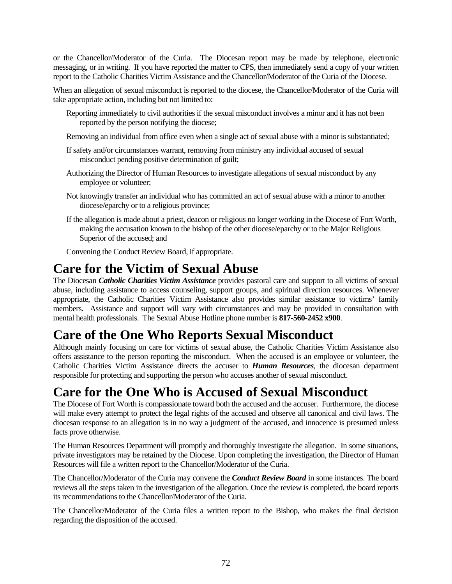or the Chancellor/Moderator of the Curia. The Diocesan report may be made by telephone, electronic messaging, or in writing. If you have reported the matter to CPS, then immediately send a copy of your written report to the Catholic Charities Victim Assistance and the Chancellor/Moderator of the Curia of the Diocese.

When an allegation of sexual misconduct is reported to the diocese, the Chancellor/Moderator of the Curia will take appropriate action, including but not limited to:

- Reporting immediately to civil authorities if the sexual misconduct involves a minor and it has not been reported by the person notifying the diocese;
- Removing an individual from office even when a single act of sexual abuse with a minor is substantiated;
- If safety and/or circumstances warrant, removing from ministry any individual accused of sexual misconduct pending positive determination of guilt;
- Authorizing the Director of Human Resources to investigate allegations of sexual misconduct by any employee or volunteer;
- Not knowingly transfer an individual who has committed an act of sexual abuse with a minor to another diocese/eparchy or to a religious province;
- If the allegation is made about a priest, deacon or religious no longer working in the Diocese of Fort Worth, making the accusation known to the bishop of the other diocese/eparchy or to the Major Religious Superior of the accused; and

Convening the Conduct Review Board, if appropriate.

# **Care for the Victim of Sexual Abuse**

The Diocesan *Catholic Charities Victim Assistance* provides pastoral care and support to all victims of sexual abuse, including assistance to access counseling, support groups, and spiritual direction resources. Whenever appropriate, the Catholic Charities Victim Assistance also provides similar assistance to victims' family members. Assistance and support will vary with circumstances and may be provided in consultation with mental health professionals. The Sexual Abuse Hotline phone number is **817-560-2452 x900**.

# **Care of the One Who Reports Sexual Misconduct**

Although mainly focusing on care for victims of sexual abuse, the Catholic Charities Victim Assistance also offers assistance to the person reporting the misconduct. When the accused is an employee or volunteer, the Catholic Charities Victim Assistance directs the accuser to *Human Resources*, the diocesan department responsible for protecting and supporting the person who accuses another of sexual misconduct.

## **Care for the One Who is Accused of Sexual Misconduct**

The Diocese of Fort Worth is compassionate toward both the accused and the accuser. Furthermore, the diocese will make every attempt to protect the legal rights of the accused and observe all canonical and civil laws. The diocesan response to an allegation is in no way a judgment of the accused, and innocence is presumed unless facts prove otherwise.

The Human Resources Department will promptly and thoroughly investigate the allegation. In some situations, private investigators may be retained by the Diocese. Upon completing the investigation, the Director of Human Resources will file a written report to the Chancellor/Moderator of the Curia.

The Chancellor/Moderator of the Curia may convene the *Conduct Review Board* in some instances. The board reviews all the steps taken in the investigation of the allegation. Once the review is completed, the board reports its recommendations to the Chancellor/Moderator of the Curia.

The Chancellor/Moderator of the Curia files a written report to the Bishop, who makes the final decision regarding the disposition of the accused.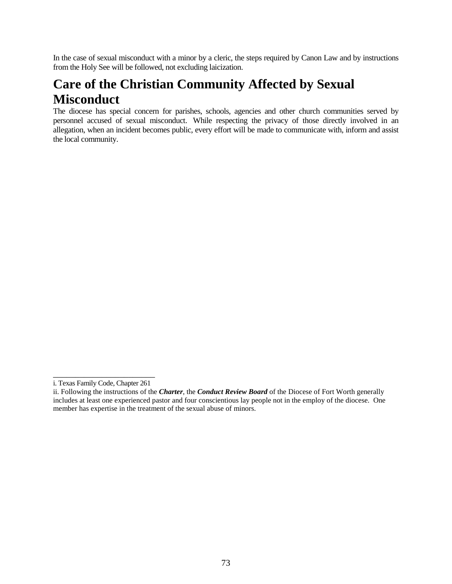In the case of sexual misconduct with a minor by a cleric, the steps required by Canon Law and by instructions from the Holy See will be followed, not excluding laicization.

## **Care of the Christian Community Affected by Sexual Misconduct**

The diocese has special concern for parishes, schools, agencies and other church communities served by personnel accused of sexual misconduct. While respecting the privacy of those directly involved in an allegation, when an incident becomes public, every effort will be made to communicate with, inform and assist the local community.

\_\_\_\_\_\_\_\_\_\_\_\_\_\_\_\_\_\_\_\_\_\_\_ i. Texas Family Code, Chapter 261

ii. Following the instructions of the *Charter*, the *Conduct Review Board* of the Diocese of Fort Worth generally includes at least one experienced pastor and four conscientious lay people not in the employ of the diocese. One member has expertise in the treatment of the sexual abuse of minors.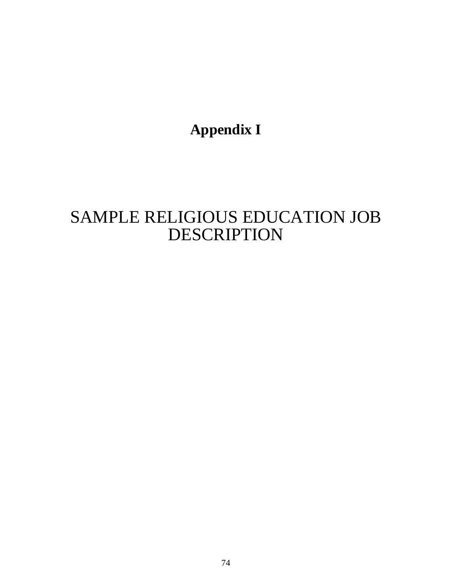**Appendix I**

# SAMPLE RELIGIOUS EDUCATION JOB DESCRIPTION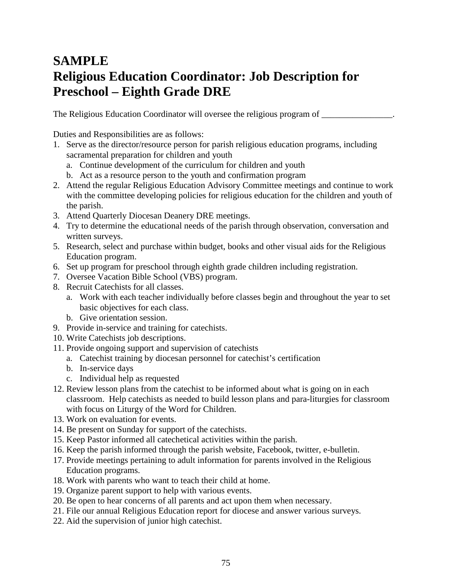## **SAMPLE Religious Education Coordinator: Job Description for Preschool – Eighth Grade DRE**

The Religious Education Coordinator will oversee the religious program of  $\Box$ 

Duties and Responsibilities are as follows:

- 1. Serve as the director/resource person for parish religious education programs, including sacramental preparation for children and youth
	- a. Continue development of the curriculum for children and youth
	- b. Act as a resource person to the youth and confirmation program
- 2. Attend the regular Religious Education Advisory Committee meetings and continue to work with the committee developing policies for religious education for the children and youth of the parish.
- 3. Attend Quarterly Diocesan Deanery DRE meetings.
- 4. Try to determine the educational needs of the parish through observation, conversation and written surveys.
- 5. Research, select and purchase within budget, books and other visual aids for the Religious Education program.
- 6. Set up program for preschool through eighth grade children including registration.
- 7. Oversee Vacation Bible School (VBS) program.
- 8. Recruit Catechists for all classes.
	- a. Work with each teacher individually before classes begin and throughout the year to set basic objectives for each class.
	- b. Give orientation session.
- 9. Provide in-service and training for catechists.
- 10. Write Catechists job descriptions.
- 11. Provide ongoing support and supervision of catechists
	- a. Catechist training by diocesan personnel for catechist's certification
	- b. In-service days
	- c. Individual help as requested
- 12. Review lesson plans from the catechist to be informed about what is going on in each classroom. Help catechists as needed to build lesson plans and para-liturgies for classroom with focus on Liturgy of the Word for Children.
- 13. Work on evaluation for events.
- 14. Be present on Sunday for support of the catechists.
- 15. Keep Pastor informed all catechetical activities within the parish.
- 16. Keep the parish informed through the parish website, Facebook, twitter, e-bulletin.
- 17. Provide meetings pertaining to adult information for parents involved in the Religious Education programs.
- 18. Work with parents who want to teach their child at home.
- 19. Organize parent support to help with various events.
- 20. Be open to hear concerns of all parents and act upon them when necessary.
- 21. File our annual Religious Education report for diocese and answer various surveys.
- 22. Aid the supervision of junior high catechist.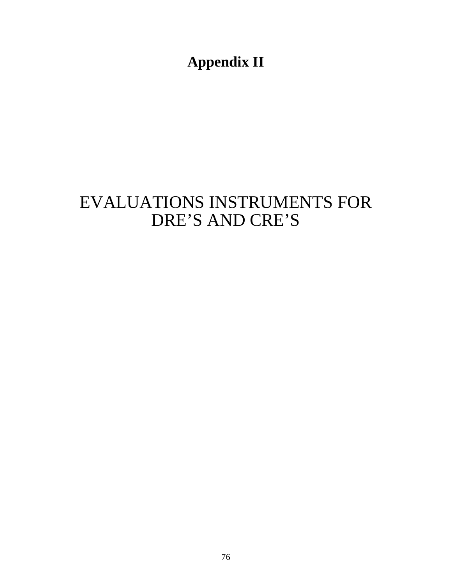**Appendix II**

# EVALUATIONS INSTRUMENTS FOR DRE'S AND CRE'S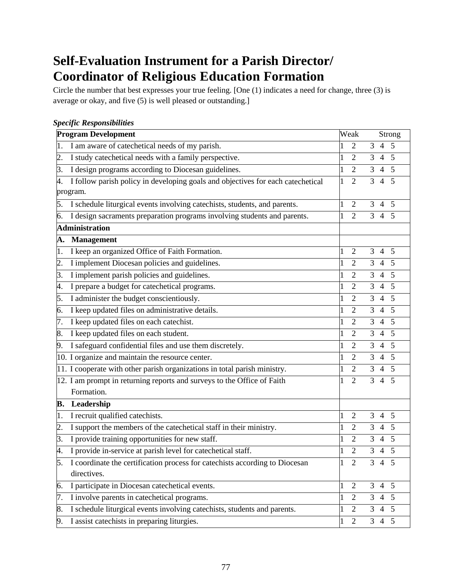## **Self-Evaluation Instrument for a Parish Director/ Coordinator of Religious Education Formation**

Circle the number that best expresses your true feeling. [One (1) indicates a need for change, three (3) is average or okay, and five (5) is well pleased or outstanding.]

|                  | specyn Responsionnies                                                           |   |                |                |                |        |
|------------------|---------------------------------------------------------------------------------|---|----------------|----------------|----------------|--------|
|                  | <b>Program Development</b>                                                      |   | Weak           |                |                | Strong |
| 1.               | I am aware of catechetical needs of my parish.                                  | 1 | $\overline{2}$ | $\overline{3}$ | $\overline{4}$ | 5      |
| 2.               | I study catechetical needs with a family perspective.                           |   | 2              | 3              | $\overline{4}$ | 5      |
| 3.               | I design programs according to Diocesan guidelines.                             |   | $\overline{2}$ | 3              | $\overline{4}$ | 5      |
| 4.               | I follow parish policy in developing goals and objectives for each catechetical | 1 | $\overline{2}$ | 3              | $\overline{4}$ | 5      |
|                  | program.                                                                        |   |                |                |                |        |
| 5.               | I schedule liturgical events involving catechists, students, and parents.       | 1 | $\overline{2}$ | 3              | $\overline{4}$ | 5      |
| 6.               | I design sacraments preparation programs involving students and parents.        | 1 | $\overline{2}$ | 3              | $\overline{4}$ | 5      |
|                  | <b>Administration</b>                                                           |   |                |                |                |        |
| A.               | Management                                                                      |   |                |                |                |        |
| 1.               | I keep an organized Office of Faith Formation.                                  |   | 2              | 3              | $\overline{4}$ | 5      |
| $\overline{2}$ . | I implement Diocesan policies and guidelines.                                   |   | $\overline{2}$ | 3              | $\overline{4}$ | 5      |
| 3.               | I implement parish policies and guidelines.                                     |   | $\overline{2}$ | 3              | $\overline{4}$ | 5      |
| 4.               | I prepare a budget for catechetical programs.                                   |   | $\overline{2}$ | 3              | $\overline{4}$ | 5      |
| 5.               | I administer the budget conscientiously.                                        |   | 2              | 3              | $\overline{4}$ | 5      |
| 6.               | I keep updated files on administrative details.                                 |   | $\overline{2}$ | 3              | $\overline{4}$ | 5      |
| 7.               | I keep updated files on each catechist.                                         |   | $\overline{2}$ | 3              | $\overline{4}$ | 5      |
| 8.               | I keep updated files on each student.                                           |   | 2              | 3              | $\overline{4}$ | 5      |
| 9.               | I safeguard confidential files and use them discretely.                         |   | $\overline{2}$ | 3              | $\overline{4}$ | 5      |
|                  | 10. I organize and maintain the resource center.                                | 1 | $\overline{2}$ | 3              | $\overline{4}$ | 5      |
|                  | 11. I cooperate with other parish organizations in total parish ministry.       |   | 2              | 3              | $\overline{4}$ | 5      |
|                  | 12. I am prompt in returning reports and surveys to the Office of Faith         |   | $\overline{2}$ | 3              | $\overline{4}$ | 5      |
|                  | Formation.                                                                      |   |                |                |                |        |
| В.               | Leadership                                                                      |   |                |                |                |        |
| 1.               | I recruit qualified catechists.                                                 | 1 | 2              | 3              | $\overline{4}$ | 5      |
| 2.               | I support the members of the catechetical staff in their ministry.              |   | 2              | 3              | 4              | 5      |
| 3.               | I provide training opportunities for new staff.                                 |   | $\overline{2}$ | 3              | $\overline{4}$ | 5      |
| 4.               | I provide in-service at parish level for catechetical staff.                    |   | $\overline{2}$ | 3              | $\overline{4}$ | 5      |
| 5.               | I coordinate the certification process for catechists according to Diocesan     | 1 | $\overline{2}$ | 3              | $\overline{4}$ | 5      |
|                  | directives.                                                                     |   |                |                |                |        |
| 6.               | I participate in Diocesan catechetical events.                                  | 1 | $\overline{2}$ | 3              | $\overline{4}$ | 5      |
| 7.               | I involve parents in catechetical programs.                                     | 1 | $\overline{2}$ | 3              | 4              | 5      |
| 8.               | I schedule liturgical events involving catechists, students and parents.        | 1 | $\overline{2}$ | 3              | 4              | 5      |
| 9.               | I assist catechists in preparing liturgies.                                     | 1 | $\overline{2}$ | 3              | $\overline{4}$ | 5      |

#### *Specific Responsibilities*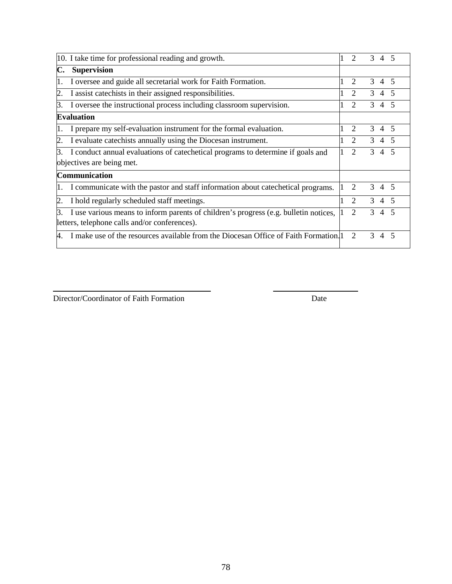|     | 10. I take time for professional reading and growth.                                 | $\mathcal{D}_{\mathcal{A}}$ | $\mathcal{R}$ | $\overline{4}$ |                          |
|-----|--------------------------------------------------------------------------------------|-----------------------------|---------------|----------------|--------------------------|
| C.  | <b>Supervision</b>                                                                   |                             |               |                |                          |
|     | I oversee and guide all secretarial work for Faith Formation.                        | 2                           | 3             | $\overline{4}$ |                          |
| 2.  | I assist catechists in their assigned responsibilities.                              | $\overline{2}$              | 3             | $\overline{4}$ | $\overline{5}$           |
| Β.  | I oversee the instructional process including classroom supervision.                 | $\overline{2}$              | 3             | $\overline{4}$ | 5                        |
|     | <b>Evaluation</b>                                                                    |                             |               |                |                          |
| 11. | I prepare my self-evaluation instrument for the formal evaluation.                   | $\mathcal{D}_{\mathcal{L}}$ | $\mathcal{F}$ | $\overline{4}$ |                          |
| 2.  | I evaluate catechists annually using the Diocesan instrument.                        | $\mathcal{D}_{\mathcal{L}}$ | $\mathcal{F}$ | $\overline{4}$ | $\overline{5}$           |
| 3.  | I conduct annual evaluations of catechetical programs to determine if goals and      | $\overline{2}$              | 3             | $\overline{4}$ | -5                       |
|     | objectives are being met.                                                            |                             |               |                |                          |
|     | <b>Communication</b>                                                                 |                             |               |                |                          |
|     | I communicate with the pastor and staff information about catechetical programs.     | $\mathcal{D}_{\mathcal{L}}$ | 3             | 4 5            |                          |
| 12. | I hold regularly scheduled staff meetings.                                           | $\mathcal{D}_{\mathcal{L}}$ | 3             | $\overline{4}$ | $\overline{\mathcal{L}}$ |
| Β.  | I use various means to inform parents of children's progress (e.g. bulletin notices, |                             | 3             | $\overline{4}$ |                          |
|     | letters, telephone calls and/or conferences).                                        |                             |               |                |                          |
| 4.  | I make use of the resources available from the Diocesan Office of Faith Formation.   | $\mathcal{D}_{\mathcal{L}}$ | 3             | $\overline{4}$ | $\overline{\phantom{1}}$ |

Director/Coordinator of Faith Formation Date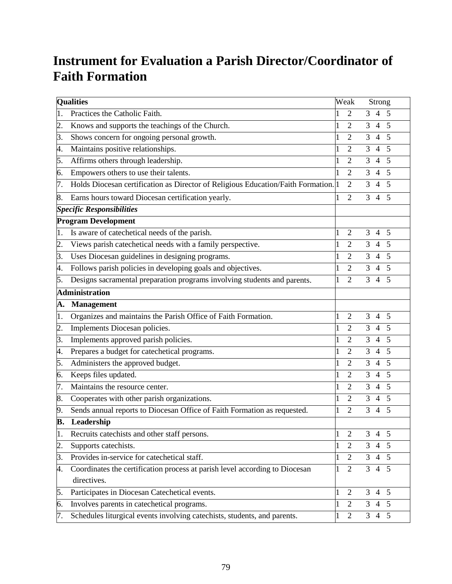## **Instrument for Evaluation a Parish Director/Coordinator of Faith Formation**

|                  | <b>Qualities</b>                                                                              |   | Weak           |   | <b>Strong</b>  |   |
|------------------|-----------------------------------------------------------------------------------------------|---|----------------|---|----------------|---|
| 1.               | Practices the Catholic Faith.                                                                 |   | 2              | 3 | $\overline{4}$ | 5 |
| $\overline{2}$ . | Knows and supports the teachings of the Church.                                               |   | 2              | 3 | $\overline{4}$ | 5 |
| 3.               | Shows concern for ongoing personal growth.                                                    |   | 2              | 3 | 4              | 5 |
| 4.               | Maintains positive relationships.                                                             |   | $\overline{2}$ | 3 | $\overline{4}$ | 5 |
| 5.               | Affirms others through leadership.                                                            |   | 2              | 3 | $\overline{4}$ | 5 |
| 6.               | Empowers others to use their talents.                                                         |   | 2              | 3 | 4              | 5 |
| 7.               | Holds Diocesan certification as Director of Religious Education/Faith Formation. <sup>1</sup> |   | $\overline{2}$ | 3 | $\overline{4}$ | 5 |
| 8.               | Earns hours toward Diocesan certification yearly.                                             |   | $\overline{2}$ | 3 | $\overline{4}$ | 5 |
|                  | <b>Specific Responsibilities</b>                                                              |   |                |   |                |   |
|                  | <b>Program Development</b>                                                                    |   |                |   |                |   |
| 1.               | Is aware of catechetical needs of the parish.                                                 |   | $\overline{2}$ | 3 | 4              | 5 |
| $\overline{2}$ . | Views parish catechetical needs with a family perspective.                                    |   | $\overline{2}$ | 3 | $\overline{4}$ | 5 |
| 3.               | Uses Diocesan guidelines in designing programs.                                               |   | $\overline{2}$ | 3 | $\overline{4}$ | 5 |
| 4.               | Follows parish policies in developing goals and objectives.                                   |   | 2              | 3 | 4              | 5 |
| 5.               | Designs sacramental preparation programs involving students and parents.                      | 1 | $\overline{2}$ | 3 | $\overline{4}$ | 5 |
|                  | <b>Administration</b>                                                                         |   |                |   |                |   |
| A.               | <b>Management</b>                                                                             |   |                |   |                |   |
| $\overline{1}$ . | Organizes and maintains the Parish Office of Faith Formation.                                 |   | $\overline{2}$ | 3 | $\overline{4}$ | 5 |
| $\overline{2}$ . | Implements Diocesan policies.                                                                 | 1 | $\overline{2}$ | 3 | $\overline{4}$ | 5 |
| 3.               | Implements approved parish policies.                                                          |   | 2              | 3 | $\overline{4}$ | 5 |
| 4.               | Prepares a budget for catechetical programs.                                                  |   | $\overline{2}$ | 3 | $\overline{4}$ | 5 |
| 5.               | Administers the approved budget.                                                              |   | 2              | 3 | $\overline{4}$ | 5 |
| 6.               | Keeps files updated.                                                                          |   | 2              | 3 | $\overline{4}$ | 5 |
| 7.               | Maintains the resource center.                                                                |   | 2              | 3 | $\overline{4}$ | 5 |
| 8.               | Cooperates with other parish organizations.                                                   |   | 2              | 3 | 4              | 5 |
| 9.               | Sends annual reports to Diocesan Office of Faith Formation as requested.                      |   | $\overline{2}$ | 3 | $\overline{4}$ | 5 |
| B.               | Leadership                                                                                    |   |                |   |                |   |
| 1.               | Recruits catechists and other staff persons.                                                  |   | $\overline{2}$ | 3 | $\overline{4}$ | 5 |
| $\overline{2}$ . | Supports catechists.                                                                          |   | $\overline{2}$ | 3 | $\overline{4}$ | 5 |
| 3.               | Provides in-service for catechetical staff.                                                   |   | $\overline{2}$ | 3 | $\overline{4}$ | 5 |
| 4.               | Coordinates the certification process at parish level according to Diocesan<br>directives.    |   | $\overline{2}$ | 3 | $\overline{4}$ | 5 |
| 5.               | Participates in Diocesan Catechetical events.                                                 | 1 | $\overline{2}$ | 3 | $\overline{4}$ | 5 |
| 6.               | Involves parents in catechetical programs.                                                    |   | $\overline{2}$ | 3 | $\overline{4}$ | 5 |
| 7.               | Schedules liturgical events involving catechists, students, and parents.                      |   | $\overline{2}$ | 3 | $\overline{4}$ | 5 |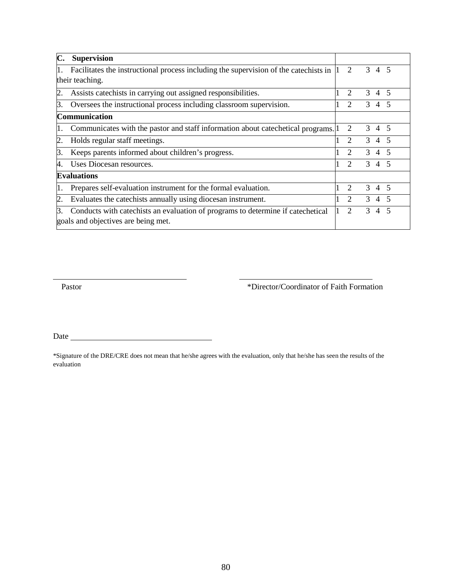|     | <b>Supervision</b>                                                                   |                             |               |                |                          |
|-----|--------------------------------------------------------------------------------------|-----------------------------|---------------|----------------|--------------------------|
|     | Facilitates the instructional process including the supervision of the catechists in | $\overline{2}$              | 3             | 4 5            |                          |
|     | their teaching.                                                                      |                             |               |                |                          |
| 2   | Assists catechists in carrying out assigned responsibilities.                        | 2                           | 3             | $\overline{4}$ | 5                        |
| З.  | Oversees the instructional process including classroom supervision.                  | $\mathcal{D}_{\mathcal{L}}$ | $\mathcal{F}$ | $\overline{4}$ | 5                        |
|     | Communication                                                                        |                             |               |                |                          |
| 1.  | Communicates with the pastor and staff information about cate chetical programs.     | $\mathcal{D}_{\mathcal{L}}$ | 3             | 4 5            |                          |
| 2   | Holds regular staff meetings.                                                        | $\mathcal{D}_{\mathcal{A}}$ | 3             | $\overline{4}$ | $\overline{\phantom{1}}$ |
| Β.  | Keeps parents informed about children's progress.                                    | $\mathcal{D}_{\mathcal{L}}$ | 3             | $\overline{4}$ | 5                        |
| 4.  | Uses Diocesan resources.                                                             |                             | 3             | $\overline{4}$ |                          |
|     | <b>Evaluations</b>                                                                   |                             |               |                |                          |
| 11. | Prepares self-evaluation instrument for the formal evaluation.                       | $\mathcal{D}_{\mathcal{L}}$ | $\mathcal{R}$ | $\overline{4}$ | $\overline{\phantom{1}}$ |
| 2.  | Evaluates the catechists annually using diocesan instrument.                         | $\mathcal{D}_{\mathcal{L}}$ | $\mathcal{F}$ | $\overline{4}$ | $\overline{\mathcal{L}}$ |
| ß.  | Conducts with catechists an evaluation of programs to determine if catechetical      | $\mathfrak{D}$              | 3             | $\overline{4}$ |                          |
|     | goals and objectives are being met.                                                  |                             |               |                |                          |

Pastor \*Director/Coordinator of Faith Formation

Date

\*Signature of the DRE/CRE does not mean that he/she agrees with the evaluation, only that he/she has seen the results of the evaluation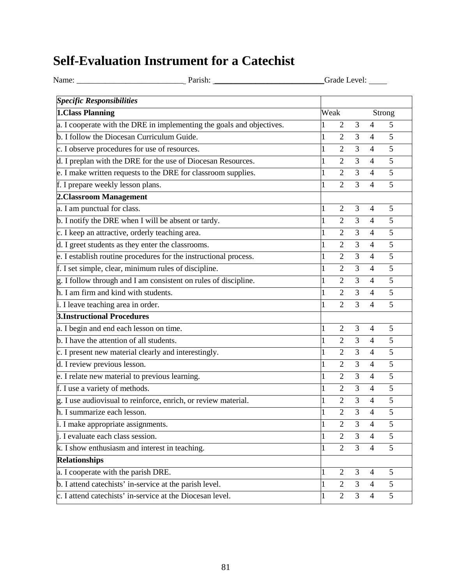## **Self-Evaluation Instrument for a Catechist**

|                                                                       |              | Grade Level:   |                |                |                |  |
|-----------------------------------------------------------------------|--------------|----------------|----------------|----------------|----------------|--|
| <b>Specific Responsibilities</b>                                      |              |                |                |                |                |  |
| 1. Class Planning                                                     | Weak         |                |                | Strong         |                |  |
| a. I cooperate with the DRE in implementing the goals and objectives. |              | $\overline{2}$ | 3              | $\overline{4}$ | 5              |  |
| b. I follow the Diocesan Curriculum Guide.                            | 1            | $\overline{2}$ | $\overline{3}$ | $\overline{4}$ | 5              |  |
| c. I observe procedures for use of resources.                         |              | $\overline{2}$ | $\overline{3}$ | $\overline{4}$ | 5              |  |
| d. I preplan with the DRE for the use of Diocesan Resources.          | $\mathbf 1$  | $\overline{2}$ | $\overline{3}$ | $\overline{4}$ | 5              |  |
| e. I make written requests to the DRE for classroom supplies.         | $\mathbf 1$  | $\overline{2}$ | $\overline{3}$ | $\overline{4}$ | $\overline{5}$ |  |
| f. I prepare weekly lesson plans.                                     | 1            | $\overline{2}$ | 3              | $\overline{4}$ | 5              |  |
| 2. Classroom Management                                               |              |                |                |                |                |  |
| a. I am punctual for class.                                           | 1            | $\overline{2}$ | 3              | $\overline{4}$ | 5              |  |
| b. I notify the DRE when I will be absent or tardy.                   | 1            | $\overline{2}$ | $\overline{3}$ | $\overline{4}$ | 5              |  |
| c. I keep an attractive, orderly teaching area.                       | 1            | $\overline{2}$ | 3              | $\overline{4}$ | 5              |  |
| d. I greet students as they enter the classrooms.                     | 1            | $\overline{2}$ | 3              | $\overline{4}$ | 5              |  |
| e. I establish routine procedures for the instructional process.      | 1            | $\overline{2}$ | $\overline{3}$ | $\overline{4}$ | 5              |  |
| f. I set simple, clear, minimum rules of discipline.                  | 1            | $\overline{2}$ | 3              | $\overline{4}$ | 5              |  |
| g. I follow through and I am consistent on rules of discipline.       | $\mathbf{1}$ | $\overline{2}$ | $\overline{3}$ | $\overline{4}$ | 5              |  |
| h. I am firm and kind with students.                                  | $\mathbf{1}$ | $\overline{2}$ | $\overline{3}$ | $\overline{4}$ | 5              |  |
| i. I leave teaching area in order.                                    |              | $\overline{2}$ | 3              | $\overline{4}$ | 5              |  |
| <b>3.Instructional Procedures</b>                                     |              |                |                |                |                |  |
| a. I begin and end each lesson on time.                               | $\mathbf 1$  | $\overline{2}$ | 3              | $\overline{4}$ | 5              |  |
| b. I have the attention of all students.                              | $\mathbf 1$  | $\overline{2}$ | $\overline{3}$ | $\overline{4}$ | 5              |  |
| c. I present new material clearly and interestingly.                  |              | $\overline{2}$ | 3              | $\overline{4}$ | 5              |  |
| d. I review previous lesson.                                          |              | $\overline{2}$ | $\overline{3}$ | $\overline{4}$ | 5              |  |
| e. I relate new material to previous learning.                        | 1            | $\overline{2}$ | $\overline{3}$ | $\overline{4}$ | 5              |  |
| f. I use a variety of methods.                                        |              | $\overline{2}$ | 3              | $\overline{4}$ | 5              |  |
| g. I use audiovisual to reinforce, enrich, or review material.        |              | $\overline{c}$ | 3              | 4              | 5              |  |
| h. I summarize each lesson.                                           | $\mathbf 1$  | $\overline{2}$ | 3              | $\overline{4}$ | 5              |  |
| i. I make appropriate assignments.                                    | 1            | $\overline{2}$ | $\overline{3}$ | $\overline{4}$ | 5              |  |
| <i>i</i> . I evaluate each class session.                             | 1            | $\overline{2}$ | 3              | $\overline{4}$ | $\overline{5}$ |  |
| k. I show enthusiasm and interest in teaching.                        |              | $\overline{2}$ | $\overline{3}$ | $\overline{4}$ | 5              |  |
| <b>Relationships</b>                                                  |              |                |                |                |                |  |
| a. I cooperate with the parish DRE.                                   | 1            | $\overline{2}$ | 3              | $\overline{4}$ | 5              |  |
| b. I attend catechists' in-service at the parish level.               | 1            | $\overline{2}$ | $\mathfrak{Z}$ | $\overline{4}$ | 5              |  |
| c. I attend catechists' in-service at the Diocesan level.             | $\mathbf 1$  | $\overline{2}$ | $\overline{3}$ | $\overline{4}$ | 5              |  |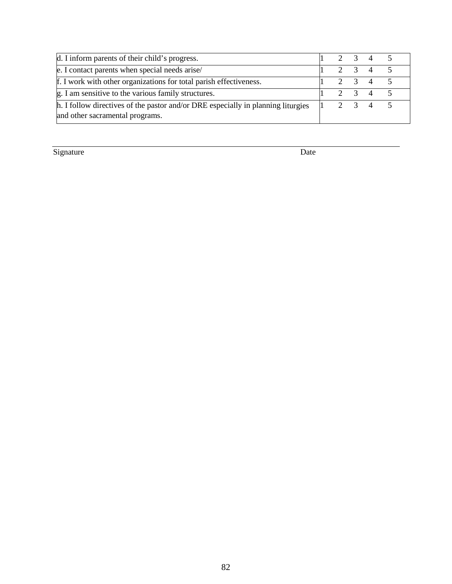| d. I inform parents of their child's progress.                                   |  | $2 \t3 \t4$ |  |
|----------------------------------------------------------------------------------|--|-------------|--|
| e. I contact parents when special needs arise/                                   |  | $2 \t3 \t4$ |  |
| f. I work with other organizations for total parish effectiveness.               |  | 2 3 4       |  |
| g. I am sensitive to the various family structures.                              |  | 2 3 4       |  |
| h. I follow directives of the pastor and/or DRE especially in planning liturgies |  | 2 3 4       |  |
| and other sacramental programs.                                                  |  |             |  |

Signature Date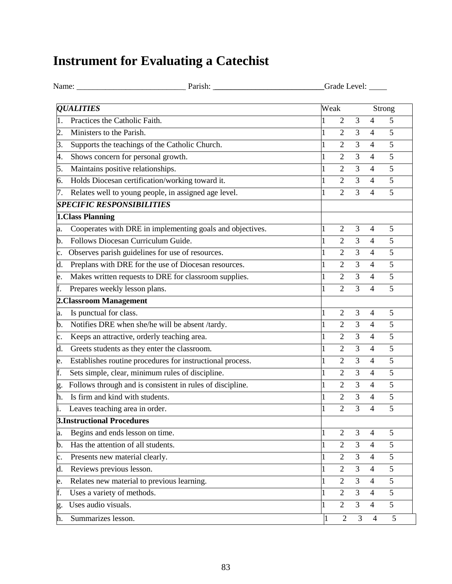# **Instrument for Evaluating a Catechist**

| <b>OUALITIES</b><br>Practices the Catholic Faith.<br>Ministers to the Parish.<br>2. | Weak         | $\overline{2}$<br>$\overline{2}$ | 3              |                | Strong         |
|-------------------------------------------------------------------------------------|--------------|----------------------------------|----------------|----------------|----------------|
|                                                                                     |              |                                  |                |                |                |
|                                                                                     |              |                                  |                | $\overline{4}$ | 5              |
|                                                                                     |              |                                  | 3              | $\overline{4}$ | 5              |
| Supports the teachings of the Catholic Church.<br>3.                                |              | $\overline{2}$                   | 3              | $\overline{4}$ | 5              |
| Shows concern for personal growth.<br>4.                                            |              | $\overline{2}$                   | 3              | $\overline{4}$ | 5              |
| Maintains positive relationships.<br>5.                                             |              | $\overline{2}$                   | 3              | 4              | 5              |
| Holds Diocesan certification/working toward it.<br>6.                               |              | $\overline{2}$                   | 3              | $\overline{4}$ | 5              |
| Relates well to young people, in assigned age level.<br>7.                          |              | $\overline{2}$                   | 3              | 4              | 5              |
| <b>SPECIFIC RESPONSIBILITIES</b>                                                    |              |                                  |                |                |                |
| 1.Class Planning                                                                    |              |                                  |                |                |                |
| Cooperates with DRE in implementing goals and objectives.<br>a.                     |              | $\overline{2}$                   | 3              | $\overline{4}$ | 5              |
| Follows Diocesan Curriculum Guide.<br>b.                                            |              | $\overline{2}$                   | 3              | $\overline{4}$ | 5              |
| Observes parish guidelines for use of resources.<br>c.                              |              | $\overline{2}$                   | 3              | $\overline{4}$ | 5              |
| Preplans with DRE for the use of Diocesan resources.<br>d.                          |              | 2                                | 3              | $\overline{4}$ | 5              |
| Makes written requests to DRE for classroom supplies.<br>e.                         |              | $\overline{2}$                   | 3              | $\overline{4}$ | 5              |
| Prepares weekly lesson plans.<br>f.                                                 |              | $\overline{2}$                   | $\overline{3}$ | $\overline{4}$ | 5              |
| 2. Classroom Management                                                             |              |                                  |                |                |                |
| Is punctual for class.<br>a.                                                        |              | $\overline{2}$                   | 3              | $\overline{4}$ | 5              |
| Notifies DRE when she/he will be absent /tardy.<br>b.                               |              | $\overline{2}$                   | 3              | $\overline{4}$ | 5              |
| Keeps an attractive, orderly teaching area.<br>c.                                   | 1            | $\overline{2}$                   | 3              | 4              | 5              |
| Greets students as they enter the classroom.<br>d.                                  |              | $\overline{2}$                   | 3              | $\overline{4}$ | 5              |
| Establishes routine procedures for instructional process.<br>e.                     |              | $\overline{2}$                   | 3              | $\overline{4}$ | 5              |
| Sets simple, clear, minimum rules of discipline.<br>f.                              | $\mathbf{1}$ | $\overline{2}$                   | 3              | $\overline{4}$ | $\overline{5}$ |
| Follows through and is consistent in rules of discipline.<br>g.                     |              | $\overline{2}$                   | 3              | $\overline{4}$ | 5              |
| Is firm and kind with students.<br>h.                                               |              | $\overline{2}$                   | 3              | 4              | 5              |
| Leaves teaching area in order.                                                      | $\mathbf{1}$ | $\overline{2}$                   | 3              | $\overline{4}$ | 5              |
| <b>3.Instructional Procedures</b>                                                   |              |                                  |                |                |                |
| Begins and ends lesson on time.<br>a.                                               | 1            | $\overline{2}$                   | 3              | 4              | 5              |
| Has the attention of all students.<br>b.                                            |              | $\overline{2}$                   | 3              | 4              | 5              |
| Presents new material clearly.<br>c.                                                |              | $\overline{2}$                   | $\overline{3}$ | $\overline{4}$ | $\overline{5}$ |
| Reviews previous lesson.<br>d.                                                      |              | $\overline{2}$                   | 3              | $\overline{4}$ | 5              |
| Relates new material to previous learning.<br>e.                                    |              | $\overline{2}$                   | 3              | 4              | 5              |
| Uses a variety of methods.<br>f.                                                    |              | $\overline{2}$                   | $\overline{3}$ | $\overline{4}$ | $\overline{5}$ |
| Uses audio visuals.<br>g.                                                           | 1            | $\overline{2}$                   | $\overline{3}$ | $\overline{4}$ | $\overline{5}$ |
| Summarizes lesson.<br>h.                                                            | 1            | $\overline{2}$                   | 3              | $\overline{4}$ | 5              |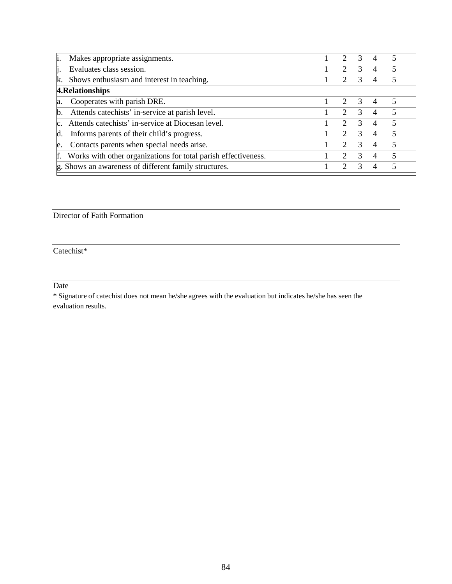| i.  | Makes appropriate assignments.                                    | 2                           | 3             | $\overline{4}$ |                |
|-----|-------------------------------------------------------------------|-----------------------------|---------------|----------------|----------------|
| li. | Evaluates class session.                                          | 2                           | 3             | 4              | 5              |
| k.  | Shows enthusiasm and interest in teaching.                        | 2                           | $\mathcal{R}$ | 4              | $\overline{5}$ |
|     | 4. Relationships                                                  |                             |               |                |                |
| a.  | Cooperates with parish DRE.                                       | 2                           | $\mathcal{R}$ | $\overline{4}$ | $\overline{5}$ |
|     | b. Attends catechists' in-service at parish level.                | $\mathcal{D}_{\cdot}$       | $\mathcal{R}$ | 4              | 5              |
|     | c. Attends catechists' in-service at Diocesan level.              | $\mathcal{D}_{\mathcal{L}}$ |               | 4              | 5              |
|     | d. Informs parents of their child's progress.                     | 2                           | 3             | $\overline{4}$ | 5              |
| e.  | Contacts parents when special needs arise.                        | $\mathcal{D}_{\cdot}$       | 3             | 4              | 5              |
|     | f. Works with other organizations for total parish effectiveness. | $\mathcal{D}_{\mathcal{L}}$ | $\mathcal{R}$ | 4              | 5              |
|     | g. Shows an awareness of different family structures.             |                             |               | 4              | 5              |
|     |                                                                   |                             |               |                |                |

Director of Faith Formation

Catechist\*

Date

\* Signature of catechist does not mean he/she agrees with the evaluation but indicates he/she has seen the evaluation results.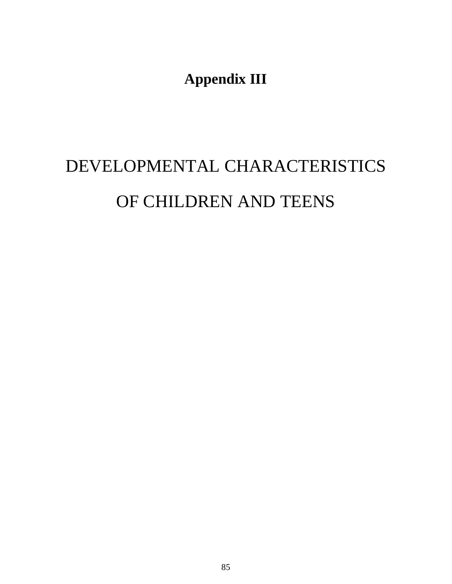**Appendix III**

# DEVELOPMENTAL CHARACTERISTICS OF CHILDREN AND TEENS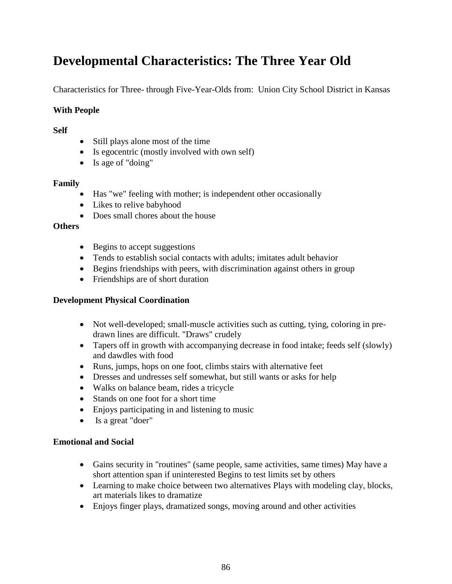## **Developmental Characteristics: The Three Year Old**

Characteristics for Three- through Five-Year-Olds from: Union City School District in Kansas

#### **With People**

#### **Self**

- Still plays alone most of the time
- Is egocentric (mostly involved with own self)
- Is age of "doing"

#### **Family**

- Has "we" feeling with mother; is independent other occasionally
- Likes to relive babyhood
- Does small chores about the house

#### **Others**

- Begins to accept suggestions
- Tends to establish social contacts with adults; imitates adult behavior
- Begins friendships with peers, with discrimination against others in group
- Friendships are of short duration

#### **Development Physical Coordination**

- Not well-developed; small-muscle activities such as cutting, tying, coloring in predrawn lines are difficult. "Draws" crudely
- Tapers off in growth with accompanying decrease in food intake; feeds self (slowly) and dawdles with food
- Runs, jumps, hops on one foot, climbs stairs with alternative feet
- Dresses and undresses self somewhat, but still wants or asks for help
- Walks on balance beam, rides a tricycle
- Stands on one foot for a short time
- Enjoys participating in and listening to music
- Is a great "doer"

#### **Emotional and Social**

- Gains security in "routines" (same people, same activities, same times) May have a short attention span if uninterested Begins to test limits set by others
- Learning to make choice between two alternatives Plays with modeling clay, blocks, art materials likes to dramatize
- Enjoys finger plays, dramatized songs, moving around and other activities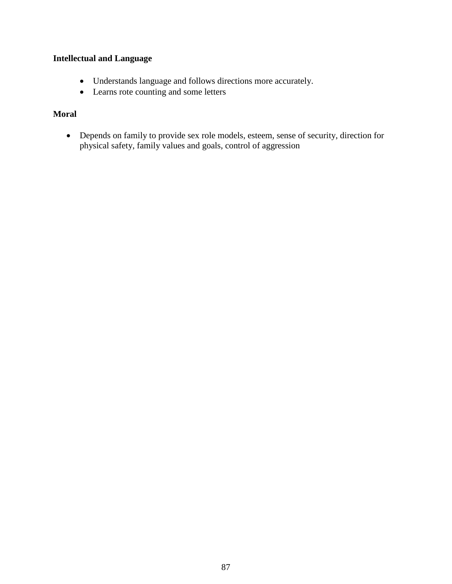#### **Intellectual and Language**

- Understands language and follows directions more accurately.
- Learns rote counting and some letters

#### **Moral**

• Depends on family to provide sex role models, esteem, sense of security, direction for physical safety, family values and goals, control of aggression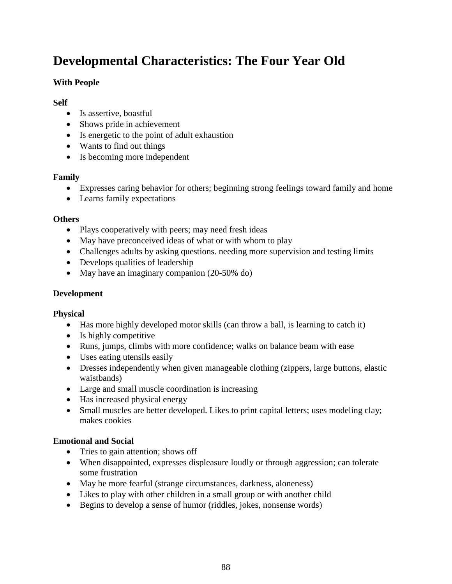## **Developmental Characteristics: The Four Year Old**

#### **With People**

#### **Self**

- Is assertive, boastful
- Shows pride in achievement
- Is energetic to the point of adult exhaustion
- Wants to find out things
- Is becoming more independent

#### **Family**

- Expresses caring behavior for others; beginning strong feelings toward family and home
- Learns family expectations

#### **Others**

- Plays cooperatively with peers; may need fresh ideas
- May have preconceived ideas of what or with whom to play
- Challenges adults by asking questions. needing more supervision and testing limits
- Develops qualities of leadership
- May have an imaginary companion (20-50% do)

#### **Development**

#### **Physical**

- Has more highly developed motor skills (can throw a ball, is learning to catch it)
- Is highly competitive
- Runs, jumps, climbs with more confidence; walks on balance beam with ease
- Uses eating utensils easily
- Dresses independently when given manageable clothing (zippers, large buttons, elastic waistbands)
- Large and small muscle coordination is increasing
- Has increased physical energy
- Small muscles are better developed. Likes to print capital letters; uses modeling clay; makes cookies

#### **Emotional and Social**

- Tries to gain attention; shows off
- When disappointed, expresses displeasure loudly or through aggression; can tolerate some frustration
- May be more fearful (strange circumstances, darkness, aloneness)
- Likes to play with other children in a small group or with another child
- Begins to develop a sense of humor (riddles, jokes, nonsense words)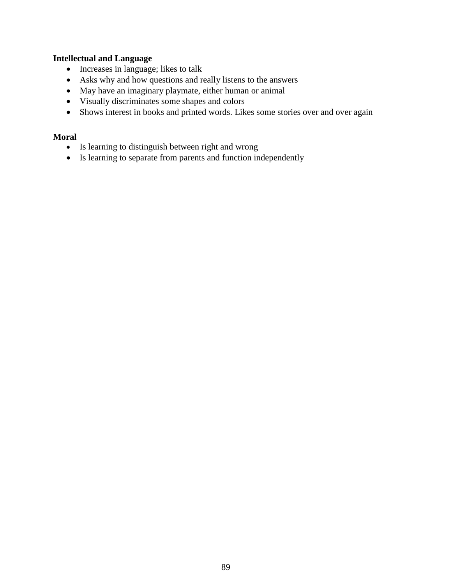#### **Intellectual and Language**

- Increases in language; likes to talk
- Asks why and how questions and really listens to the answers
- May have an imaginary playmate, either human or animal
- Visually discriminates some shapes and colors
- Shows interest in books and printed words. Likes some stories over and over again

#### **Moral**

- Is learning to distinguish between right and wrong
- Is learning to separate from parents and function independently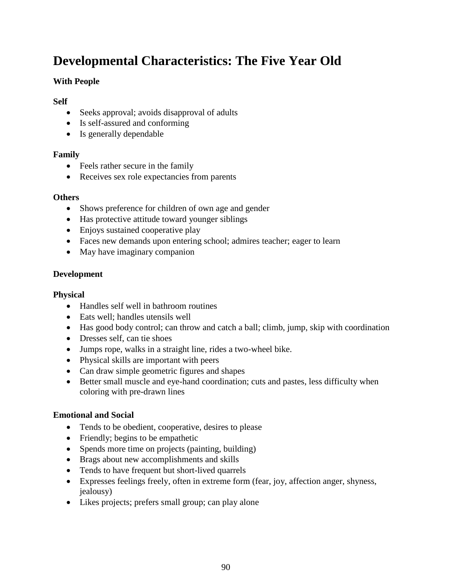## **Developmental Characteristics: The Five Year Old**

#### **With People**

#### **Self**

- Seeks approval; avoids disapproval of adults
- Is self-assured and conforming
- Is generally dependable

#### **Family**

- Feels rather secure in the family
- Receives sex role expectancies from parents

#### **Others**

- Shows preference for children of own age and gender
- Has protective attitude toward younger siblings
- Enjoys sustained cooperative play
- Faces new demands upon entering school; admires teacher; eager to learn
- May have imaginary companion

#### **Development**

#### **Physical**

- Handles self well in bathroom routines
- Eats well: handles utensils well
- Has good body control; can throw and catch a ball; climb, jump, skip with coordination
- Dresses self, can tie shoes
- Jumps rope, walks in a straight line, rides a two-wheel bike.
- Physical skills are important with peers
- Can draw simple geometric figures and shapes
- Better small muscle and eye-hand coordination; cuts and pastes, less difficulty when coloring with pre-drawn lines

#### **Emotional and Social**

- Tends to be obedient, cooperative, desires to please
- Friendly; begins to be empathetic
- Spends more time on projects (painting, building)
- Brags about new accomplishments and skills
- Tends to have frequent but short-lived quarrels
- Expresses feelings freely, often in extreme form (fear, joy, affection anger, shyness, jealousy)
- Likes projects; prefers small group; can play alone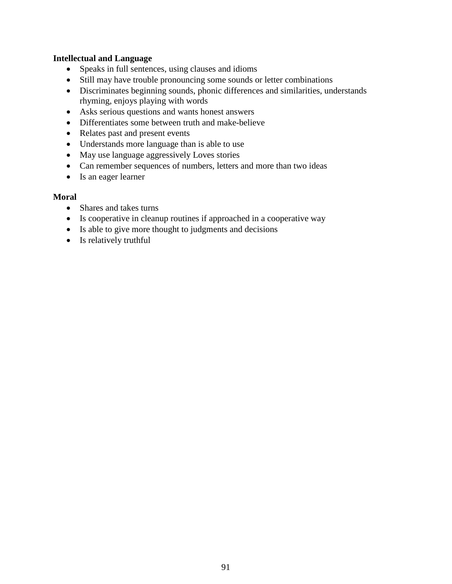#### **Intellectual and Language**

- Speaks in full sentences, using clauses and idioms
- Still may have trouble pronouncing some sounds or letter combinations
- Discriminates beginning sounds, phonic differences and similarities, understands rhyming, enjoys playing with words
- Asks serious questions and wants honest answers
- Differentiates some between truth and make-believe
- Relates past and present events
- Understands more language than is able to use
- May use language aggressively Loves stories
- Can remember sequences of numbers, letters and more than two ideas
- Is an eager learner

#### **Moral**

- Shares and takes turns
- Is cooperative in cleanup routines if approached in a cooperative way
- Is able to give more thought to judgments and decisions
- Is relatively truthful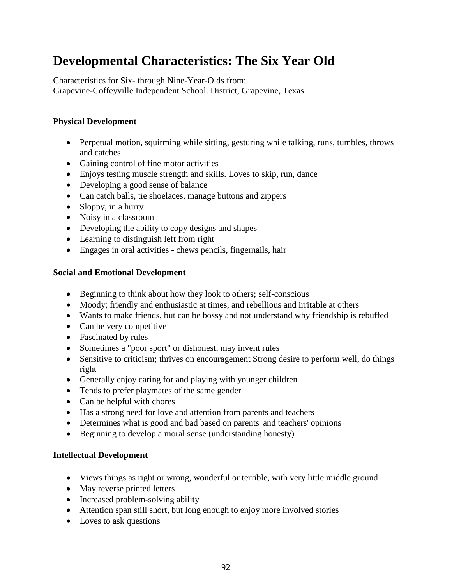## **Developmental Characteristics: The Six Year Old**

Characteristics for Six- through Nine-Year-Olds from: Grapevine-Coffeyville Independent School. District, Grapevine, Texas

#### **Physical Development**

- Perpetual motion, squirming while sitting, gesturing while talking, runs, tumbles, throws and catches
- Gaining control of fine motor activities
- Enjoys testing muscle strength and skills. Loves to skip, run, dance
- Developing a good sense of balance
- Can catch balls, tie shoelaces, manage buttons and zippers
- Sloppy, in a hurry
- Noisy in a classroom
- Developing the ability to copy designs and shapes
- Learning to distinguish left from right
- Engages in oral activities chews pencils, fingernails, hair

#### **Social and Emotional Development**

- Beginning to think about how they look to others; self-conscious
- Moody; friendly and enthusiastic at times, and rebellious and irritable at others
- Wants to make friends, but can be bossy and not understand why friendship is rebuffed
- Can be very competitive
- Fascinated by rules
- Sometimes a "poor sport" or dishonest, may invent rules
- Sensitive to criticism; thrives on encouragement Strong desire to perform well, do things right
- Generally enjoy caring for and playing with younger children
- Tends to prefer playmates of the same gender
- Can be helpful with chores
- Has a strong need for love and attention from parents and teachers
- Determines what is good and bad based on parents' and teachers' opinions
- Beginning to develop a moral sense (understanding honesty)

- Views things as right or wrong, wonderful or terrible, with very little middle ground
- May reverse printed letters
- Increased problem-solving ability
- Attention span still short, but long enough to enjoy more involved stories
- Loves to ask questions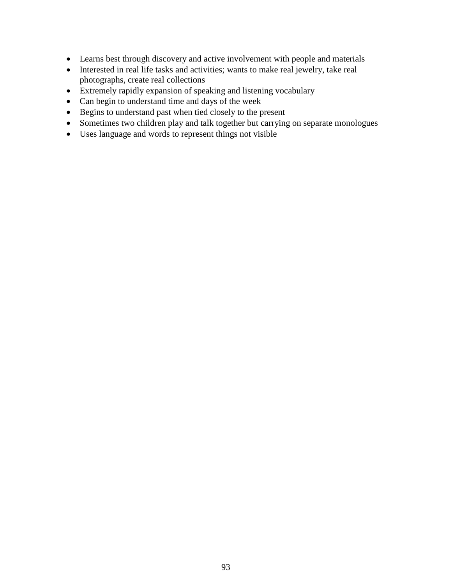- Learns best through discovery and active involvement with people and materials
- Interested in real life tasks and activities; wants to make real jewelry, take real photographs, create real collections
- Extremely rapidly expansion of speaking and listening vocabulary
- Can begin to understand time and days of the week
- Begins to understand past when tied closely to the present
- Sometimes two children play and talk together but carrying on separate monologues
- Uses language and words to represent things not visible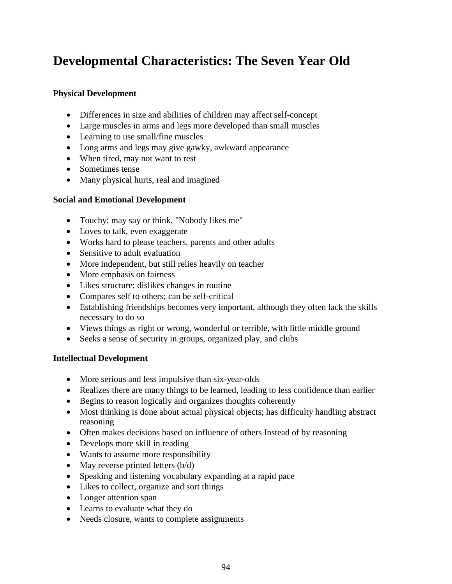## **Developmental Characteristics: The Seven Year Old**

#### **Physical Development**

- Differences in size and abilities of children may affect self-concept
- Large muscles in arms and legs more developed than small muscles
- Learning to use small/fine muscles
- Long arms and legs may give gawky, awkward appearance
- When tired, may not want to rest
- Sometimes tense
- Many physical hurts, real and imagined

#### **Social and Emotional Development**

- Touchy; may say or think, "Nobody likes me"
- Loves to talk, even exaggerate
- Works hard to please teachers, parents and other adults
- Sensitive to adult evaluation
- More independent, but still relies heavily on teacher
- More emphasis on fairness
- Likes structure; dislikes changes in routine
- Compares self to others; can be self-critical
- Establishing friendships becomes very important, although they often lack the skills necessary to do so
- Views things as right or wrong, wonderful or terrible, with little middle ground
- Seeks a sense of security in groups, organized play, and clubs

- More serious and less impulsive than six-year-olds
- Realizes there are many things to be learned, leading to less confidence than earlier
- Begins to reason logically and organizes thoughts coherently
- Most thinking is done about actual physical objects; has difficulty handling abstract reasoning
- Often makes decisions based on influence of others Instead of by reasoning
- Develops more skill in reading
- Wants to assume more responsibility
- May reverse printed letters  $(b/d)$
- Speaking and listening vocabulary expanding at a rapid pace
- Likes to collect, organize and sort things
- Longer attention span
- Learns to evaluate what they do
- Needs closure, wants to complete assignments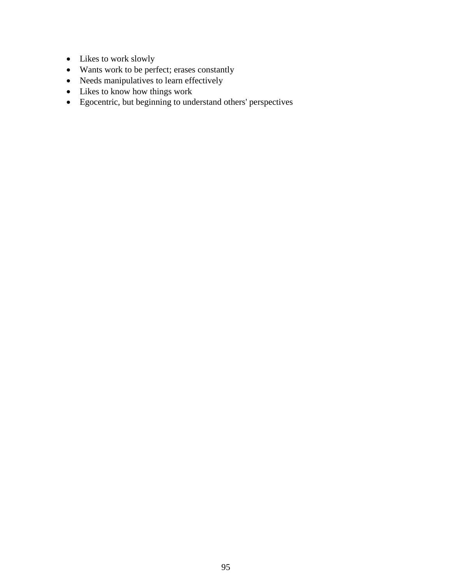- Likes to work slowly
- Wants work to be perfect; erases constantly
- Needs manipulatives to learn effectively
- Likes to know how things work
- Egocentric, but beginning to understand others' perspectives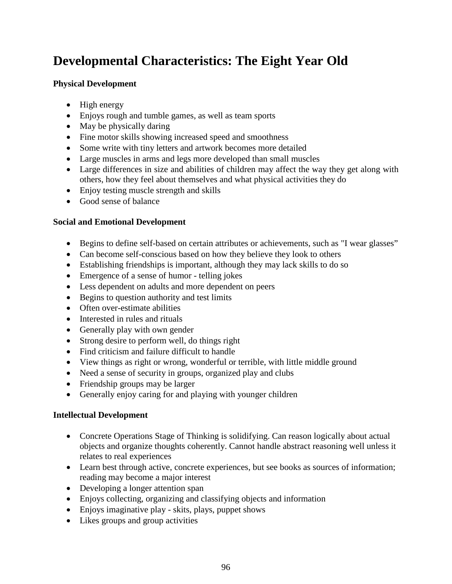## **Developmental Characteristics: The Eight Year Old**

#### **Physical Development**

- High energy
- Enjoys rough and tumble games, as well as team sports
- May be physically daring
- Fine motor skills showing increased speed and smoothness
- Some write with tiny letters and artwork becomes more detailed
- Large muscles in arms and legs more developed than small muscles
- Large differences in size and abilities of children may affect the way they get along with others, how they feel about themselves and what physical activities they do
- Enjoy testing muscle strength and skills
- Good sense of balance

#### **Social and Emotional Development**

- Begins to define self-based on certain attributes or achievements, such as "I wear glasses"
- Can become self-conscious based on how they believe they look to others
- Establishing friendships is important, although they may lack skills to do so
- Emergence of a sense of humor telling jokes
- Less dependent on adults and more dependent on peers
- Begins to question authority and test limits
- Often over-estimate abilities
- Interested in rules and rituals
- Generally play with own gender
- Strong desire to perform well, do things right
- Find criticism and failure difficult to handle
- View things as right or wrong, wonderful or terrible, with little middle ground
- Need a sense of security in groups, organized play and clubs
- Friendship groups may be larger
- Generally enjoy caring for and playing with younger children

- Concrete Operations Stage of Thinking is solidifying. Can reason logically about actual objects and organize thoughts coherently. Cannot handle abstract reasoning well unless it relates to real experiences
- Learn best through active, concrete experiences, but see books as sources of information; reading may become a major interest
- Developing a longer attention span
- Enjoys collecting, organizing and classifying objects and information
- Enjoys imaginative play skits, plays, puppet shows
- Likes groups and group activities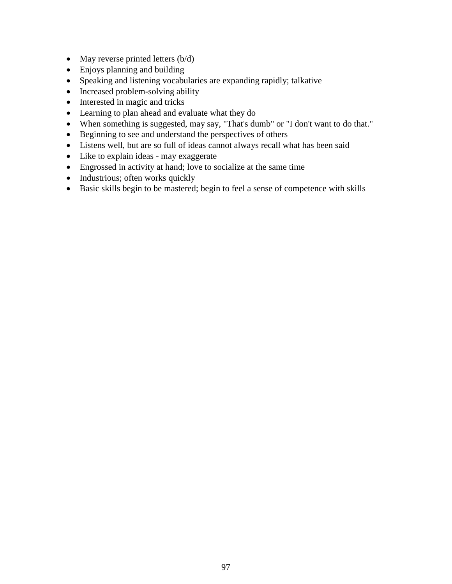- May reverse printed letters (b/d)
- Enjoys planning and building
- Speaking and listening vocabularies are expanding rapidly; talkative
- Increased problem-solving ability
- Interested in magic and tricks
- Learning to plan ahead and evaluate what they do
- When something is suggested, may say, "That's dumb" or "I don't want to do that."
- Beginning to see and understand the perspectives of others
- Listens well, but are so full of ideas cannot always recall what has been said
- Like to explain ideas may exaggerate
- Engrossed in activity at hand; love to socialize at the same time
- Industrious; often works quickly
- Basic skills begin to be mastered; begin to feel a sense of competence with skills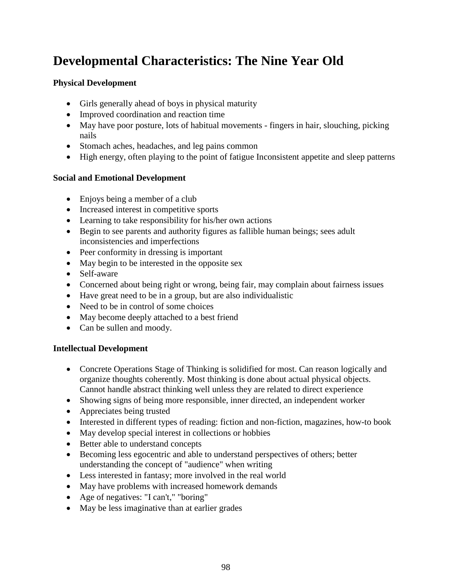## **Developmental Characteristics: The Nine Year Old**

#### **Physical Development**

- Girls generally ahead of boys in physical maturity
- Improved coordination and reaction time
- May have poor posture, lots of habitual movements fingers in hair, slouching, picking nails
- Stomach aches, headaches, and leg pains common
- High energy, often playing to the point of fatigue Inconsistent appetite and sleep patterns

#### **Social and Emotional Development**

- Enjoys being a member of a club
- Increased interest in competitive sports
- Learning to take responsibility for his/her own actions
- Begin to see parents and authority figures as fallible human beings; sees adult inconsistencies and imperfections
- Peer conformity in dressing is important
- May begin to be interested in the opposite sex
- Self-aware
- Concerned about being right or wrong, being fair, may complain about fairness issues
- Have great need to be in a group, but are also individualistic
- Need to be in control of some choices
- May become deeply attached to a best friend
- Can be sullen and moody.

- Concrete Operations Stage of Thinking is solidified for most. Can reason logically and organize thoughts coherently. Most thinking is done about actual physical objects. Cannot handle abstract thinking well unless they are related to direct experience
- Showing signs of being more responsible, inner directed, an independent worker
- Appreciates being trusted
- Interested in different types of reading: fiction and non-fiction, magazines, how-to book
- May develop special interest in collections or hobbies
- Better able to understand concepts
- Becoming less egocentric and able to understand perspectives of others; better understanding the concept of "audience" when writing
- Less interested in fantasy; more involved in the real world
- May have problems with increased homework demands
- Age of negatives: "I can't," "boring"
- May be less imaginative than at earlier grades